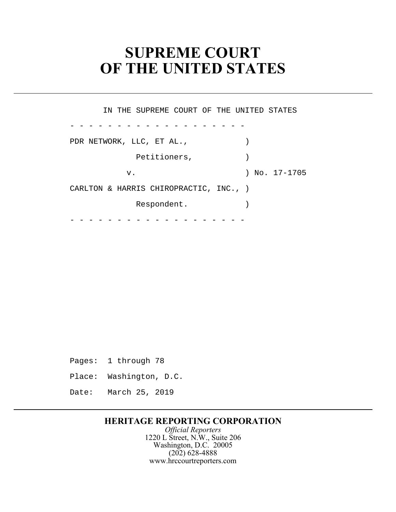# **SUPREME COURT OF THE UNITED STATES**

PDR NETWORK, LLC, ET AL.,  $\qquad \qquad$  CARLTON & HARRIS CHIROPRACTIC, INC., ) - - - - - - - - - - - - - - - - - - - - - - - - - - - - - - - - - - - - - - IN THE SUPREME COURT OF THE UNITED STATES Petitioners, (1) v. ) No. 17-1705 Respondent.

Pages: 1 through 78

Place: Washington, D.C.

Date: March 25, 2019

## **HERITAGE REPORTING CORPORATION**

*Official Reporters*  1220 L Street, N.W., Suite 206 Washington, D.C. 20005 (202) 628-4888 <www.hrccourtreporters.com>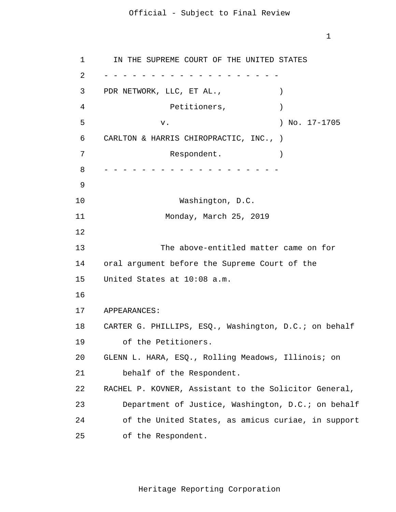1

1 2 3 4 5 6 7 8 9 10 11 12 13 14 15 16 17 18 19 20 21 22 23 24 25 - - - - - - - - - - - - - - - - - - - - - - - - - - - - - - - - - - - - - - IN THE SUPREME COURT OF THE UNITED STATES PDR NETWORK, LLC, ET AL.,  $\qquad \qquad$ Petitioners,  $)$ v. ) No. 17-1705 CARLTON & HARRIS CHIROPRACTIC, INC., ) Respondent. Washington, D.C. Monday, March 25, 2019 The above-entitled matter came on for oral argument before the Supreme Court of the United States at 10:08 a.m. APPEARANCES: CARTER G. PHILLIPS, ESQ., Washington, D.C.; on behalf of the Petitioners. GLENN L. HARA, ESQ., Rolling Meadows, Illinois; on behalf of the Respondent. RACHEL P. KOVNER, Assistant to the Solicitor General, Department of Justice, Washington, D.C.; on behalf of the United States, as amicus curiae, in support of the Respondent.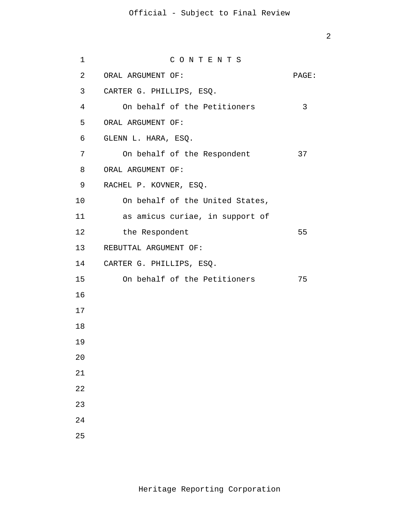```
1
 2
 3
4
5
6
7
8
9
10
11
12
13
14
CARTER G. PHILLIPS, ESQ. 
15
16
17
18
19
20
21
22
23
24
25
                  C O N T E N T S 
     ORAL ARGUMENT OF: PAGE:
    CARTER G. PHILLIPS, ESQ. 
        On behalf of the Petitioners 3
    ORAL ARGUMENT OF: 
     GLENN L. HARA, ESQ. 
        On behalf of the Respondent 37
     ORAL ARGUMENT OF: 
     RACHEL P. KOVNER, ESQ. 
        On behalf of the United States, 
        as amicus curiae, in support of 
        the Respondent 55
     REBUTTAL ARGUMENT OF: 
        On behalf of the Petitioners 75
```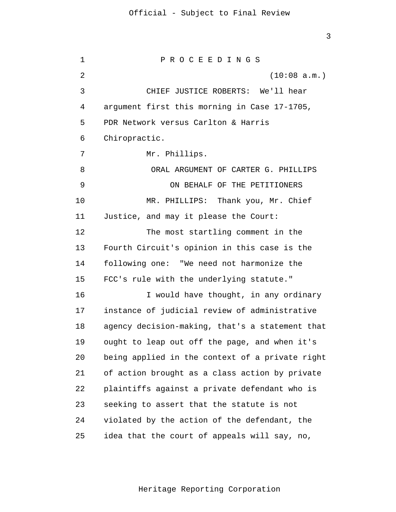3

1  $\overline{2}$ 3 4 5 6 7 8 9 10 11 12 13 14 15 16 17 18 19 20 21 22 23 24 25 P R O C E E D I N G S (10:08 a.m.) CHIEF JUSTICE ROBERTS: We'll hear argument first this morning in Case 17-1705, PDR Network versus Carlton & Harris Chiropractic. Mr. Phillips. ORAL ARGUMENT OF CARTER G. PHILLIPS ON BEHALF OF THE PETITIONERS MR. PHILLIPS: Thank you, Mr. Chief Justice, and may it please the Court: The most startling comment in the Fourth Circuit's opinion in this case is the following one: "We need not harmonize the FCC's rule with the underlying statute." I would have thought, in any ordinary instance of judicial review of administrative agency decision-making, that's a statement that ought to leap out off the page, and when it's being applied in the context of a private right of action brought as a class action by private plaintiffs against a private defendant who is seeking to assert that the statute is not violated by the action of the defendant, the idea that the court of appeals will say, no,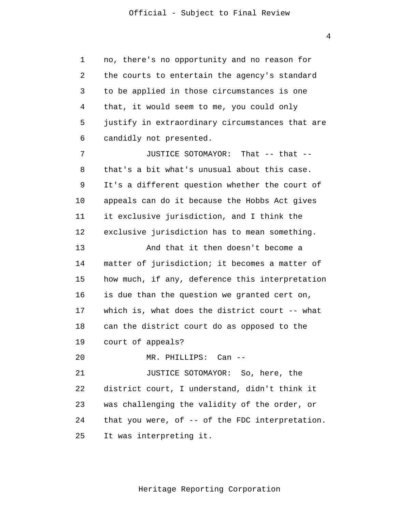the courts to entertain the agency's standard JUSTICE SOTOMAYOR: So, here, the 1 2 3 4 5 6 7 8 9 10 11 12 13 14 15 16 17 18 19 20 21 22 23 24 25 no, there's no opportunity and no reason for to be applied in those circumstances is one that, it would seem to me, you could only justify in extraordinary circumstances that are candidly not presented. JUSTICE SOTOMAYOR: That -- that - that's a bit what's unusual about this case. It's a different question whether the court of appeals can do it because the Hobbs Act gives it exclusive jurisdiction, and I think the exclusive jurisdiction has to mean something. And that it then doesn't become a matter of jurisdiction; it becomes a matter of how much, if any, deference this interpretation is due than the question we granted cert on, which is, what does the district court -- what can the district court do as opposed to the court of appeals? MR. PHILLIPS: Can - district court, I understand, didn't think it was challenging the validity of the order, or that you were, of -- of the FDC interpretation. It was interpreting it.

Heritage Reporting Corporation

4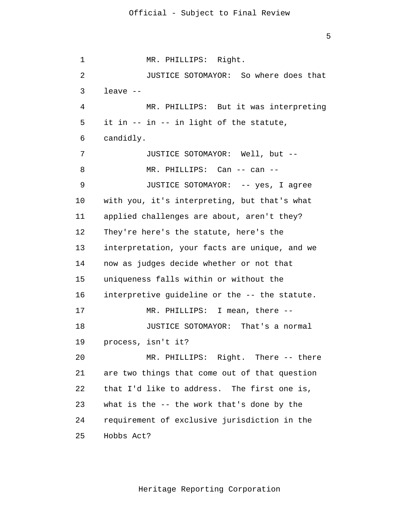JUSTICE SOTOMAYOR: So where does that MR. PHILLIPS: Can -- can -- JUSTICE SOTOMAYOR: -- yes, I agree JUSTICE SOTOMAYOR: That's a normal 1 2 3 4 5 6 7 8 9 10 11 12 13 14 15 16 17 18 19 20 21 22 23 24 MR. PHILLIPS: Right. leave -- MR. PHILLIPS: But it was interpreting it in -- in -- in light of the statute, candidly. JUSTICE SOTOMAYOR: Well, but - with you, it's interpreting, but that's what applied challenges are about, aren't they? They're here's the statute, here's the interpretation, your facts are unique, and we now as judges decide whether or not that uniqueness falls within or without the interpretive guideline or the -- the statute. MR. PHILLIPS: I mean, there - process, isn't it? MR. PHILLIPS: Right. There -- there are two things that come out of that question that I'd like to address. The first one is, what is the -- the work that's done by the requirement of exclusive jurisdiction in the

25

Hobbs Act?

5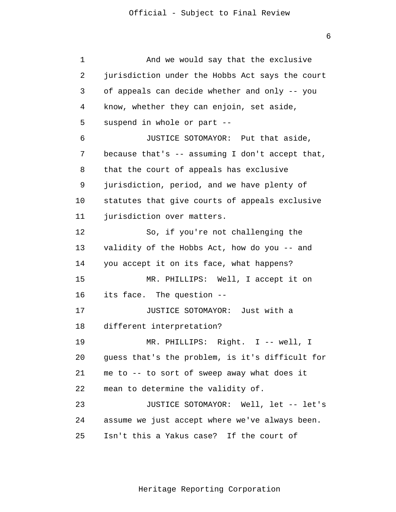6

1 2 3 4 5 6 7 8 9 10 11 12 13 14 15 16 17 18 19 20 21 22 23 24 25 And we would say that the exclusive jurisdiction under the Hobbs Act says the court of appeals can decide whether and only -- you know, whether they can enjoin, set aside, suspend in whole or part -- JUSTICE SOTOMAYOR: Put that aside, because that's  $-$  assuming I don't accept that, that the court of appeals has exclusive jurisdiction, period, and we have plenty of statutes that give courts of appeals exclusive jurisdiction over matters. So, if you're not challenging the validity of the Hobbs Act, how do you -- and you accept it on its face, what happens? MR. PHILLIPS: Well, I accept it on its face. The question -- JUSTICE SOTOMAYOR: Just with a different interpretation? MR. PHILLIPS: Right. I -- well, I guess that's the problem, is it's difficult for me to -- to sort of sweep away what does it mean to determine the validity of. JUSTICE SOTOMAYOR: Well, let -- let's assume we just accept where we've always been. Isn't this a Yakus case? If the court of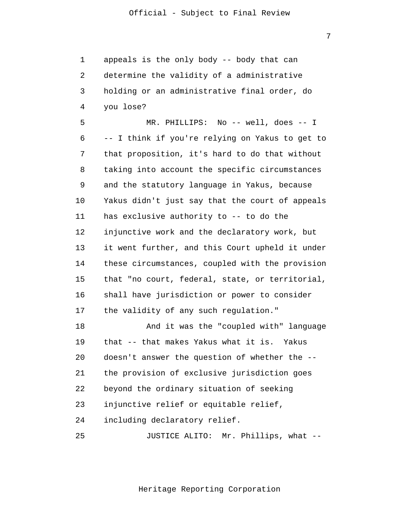1 2 3 4 appeals is the only body -- body that can determine the validity of a administrative holding or an administrative final order, do you lose?

5 6 7 8 9 10 11 12 13 14 15 16 17 MR. PHILLIPS: No -- well, does -- I -- I think if you're relying on Yakus to get to that proposition, it's hard to do that without taking into account the specific circumstances and the statutory language in Yakus, because Yakus didn't just say that the court of appeals has exclusive authority to -- to do the injunctive work and the declaratory work, but it went further, and this Court upheld it under these circumstances, coupled with the provision that "no court, federal, state, or territorial, shall have jurisdiction or power to consider the validity of any such regulation."

18 19 20 21 22 23 24 And it was the "coupled with" language that -- that makes Yakus what it is. Yakus doesn't answer the question of whether the - the provision of exclusive jurisdiction goes beyond the ordinary situation of seeking injunctive relief or equitable relief, including declaratory relief.

25 JUSTICE ALITO: Mr. Phillips, what --

Heritage Reporting Corporation

7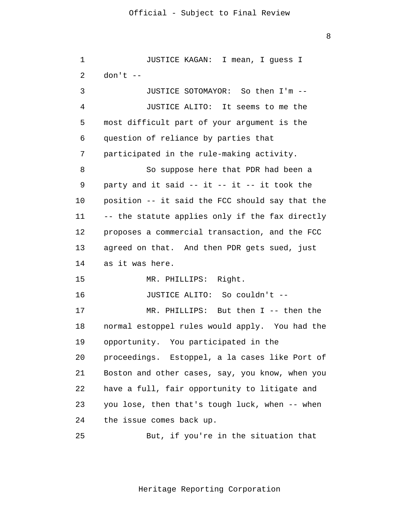8

| 1  | JUSTICE KAGAN: I mean, I guess I                   |
|----|----------------------------------------------------|
| 2  | $don't --$                                         |
| 3  | JUSTICE SOTOMAYOR: So then I'm --                  |
| 4  | JUSTICE ALITO: It seems to me the                  |
| 5  | most difficult part of your argument is the        |
| 6  | question of reliance by parties that               |
| 7  | participated in the rule-making activity.          |
| 8  | So suppose here that PDR had been a                |
| 9  | party and it said $--$ it $--$ it $--$ it took the |
| 10 | position -- it said the FCC should say that the    |
| 11 | -- the statute applies only if the fax directly    |
| 12 | proposes a commercial transaction, and the FCC     |
| 13 | agreed on that. And then PDR gets sued, just       |
| 14 | as it was here.                                    |
| 15 | MR. PHILLIPS: Right.                               |
| 16 | JUSTICE ALITO: So couldn't --                      |
| 17 | MR. PHILLIPS: But then I -- then the               |
| 18 | normal estoppel rules would apply. You had the     |
| 19 | opportunity. You participated in the               |
| 20 | proceedings. Estoppel, a la cases like Port of     |
| 21 | Boston and other cases, say, you know, when you    |
| 22 | have a full, fair opportunity to litigate and      |
| 23 | you lose, then that's tough luck, when -- when     |
| 24 | the issue comes back up.                           |
| 25 | But, if you're in the situation that               |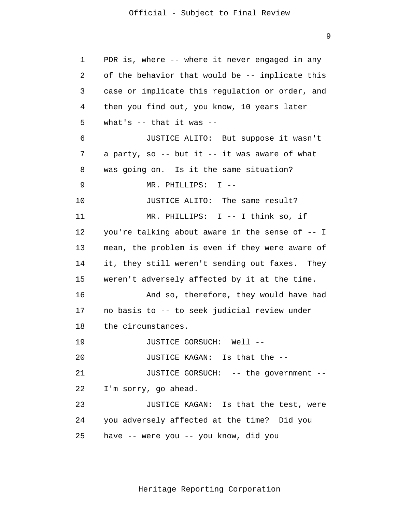9

1 2 3 4 5 6 7 8 9 10 11 12 13 14 15 16 17 18 19 20 21 22 23 24 25 PDR is, where -- where it never engaged in any of the behavior that would be -- implicate this case or implicate this regulation or order, and then you find out, you know, 10 years later what's -- that it was -- JUSTICE ALITO: But suppose it wasn't a party, so  $-$ - but it  $-$ - it was aware of what was going on. Is it the same situation? MR. PHILLIPS: I -- JUSTICE ALITO: The same result? MR. PHILLIPS: I -- I think so, if you're talking about aware in the sense of -- I mean, the problem is even if they were aware of it, they still weren't sending out faxes. They weren't adversely affected by it at the time. And so, therefore, they would have had no basis to -- to seek judicial review under the circumstances. JUSTICE GORSUCH: Well -- JUSTICE KAGAN: Is that the -- JUSTICE GORSUCH: -- the government -- I'm sorry, go ahead. JUSTICE KAGAN: Is that the test, were you adversely affected at the time? Did you have -- were you -- you know, did you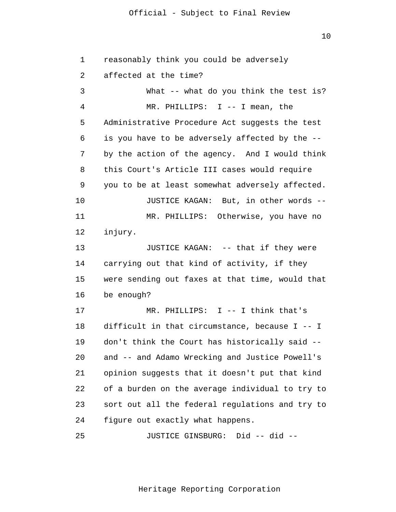10

1 2 3 4 5 6 7 8 9 10 11 12 13 14 15 16 17 18 19 20 21 22 23 24 25 reasonably think you could be adversely affected at the time? What -- what do you think the test is? MR. PHILLIPS: I -- I mean, the Administrative Procedure Act suggests the test is you have to be adversely affected by the - by the action of the agency. And I would think this Court's Article III cases would require you to be at least somewhat adversely affected. JUSTICE KAGAN: But, in other words -- MR. PHILLIPS: Otherwise, you have no injury. JUSTICE KAGAN: -- that if they were carrying out that kind of activity, if they were sending out faxes at that time, would that be enough? MR. PHILLIPS: I -- I think that's difficult in that circumstance, because I -- I don't think the Court has historically said - and -- and Adamo Wrecking and Justice Powell's opinion suggests that it doesn't put that kind of a burden on the average individual to try to sort out all the federal regulations and try to figure out exactly what happens. JUSTICE GINSBURG: Did -- did --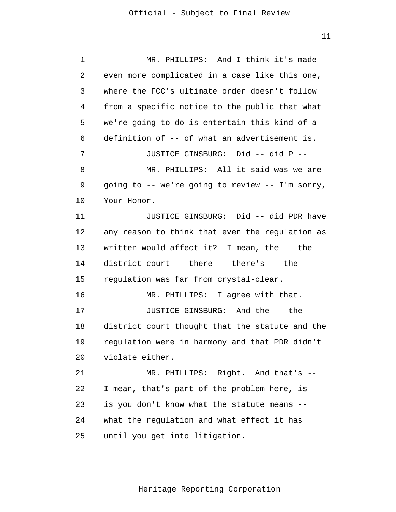11

| 1  | MR. PHILLIPS: And I think it's made             |
|----|-------------------------------------------------|
| 2  | even more complicated in a case like this one,  |
| 3  | where the FCC's ultimate order doesn't follow   |
| 4  | from a specific notice to the public that what  |
| 5  | we're going to do is entertain this kind of a   |
| 6  | definition of -- of what an advertisement is.   |
| 7  | JUSTICE GINSBURG: Did -- did P --               |
| 8  | MR. PHILLIPS: All it said was we are            |
| 9  | going to -- we're going to review -- I'm sorry, |
| 10 | Your Honor.                                     |
| 11 | JUSTICE GINSBURG: Did -- did PDR have           |
| 12 | any reason to think that even the regulation as |
| 13 | written would affect it? I mean, the -- the     |
| 14 | district court -- there -- there's -- the       |
| 15 | regulation was far from crystal-clear.          |
| 16 | MR. PHILLIPS: I agree with that.                |
| 17 | JUSTICE GINSBURG: And the -- the                |
| 18 | district court thought that the statute and the |
| 19 | regulation were in harmony and that PDR didn't  |
| 20 | violate either.                                 |
| 21 | MR. PHILLIPS: Right. And that's --              |
| 22 | I mean, that's part of the problem here, is --  |
| 23 | is you don't know what the statute means        |
| 24 | what the regulation and what effect it has      |
| 25 | until you get into litigation.                  |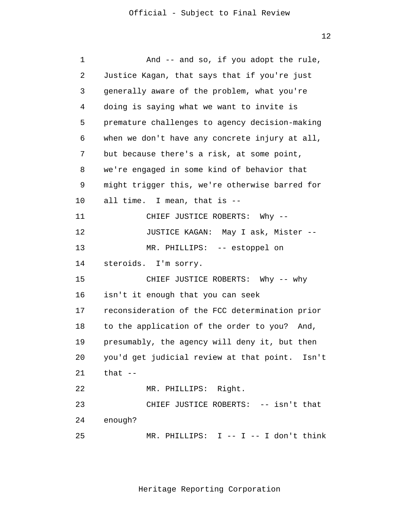12

| 1  | And -- and so, if you adopt the rule,          |
|----|------------------------------------------------|
| 2  | Justice Kagan, that says that if you're just   |
| 3  | generally aware of the problem, what you're    |
| 4  | doing is saying what we want to invite is      |
| 5  | premature challenges to agency decision-making |
| 6  | when we don't have any concrete injury at all, |
| 7  | but because there's a risk, at some point,     |
| 8  | we're engaged in some kind of behavior that    |
| 9  | might trigger this, we're otherwise barred for |
| 10 | all time. I mean, that is --                   |
| 11 | CHIEF JUSTICE ROBERTS: Why --                  |
| 12 | JUSTICE KAGAN: May I ask, Mister --            |
| 13 | MR. PHILLIPS: -- estoppel on                   |
| 14 | steroids. I'm sorry.                           |
| 15 | CHIEF JUSTICE ROBERTS: Why -- why              |
| 16 | isn't it enough that you can seek              |
| 17 | reconsideration of the FCC determination prior |
| 18 | to the application of the order to you? And,   |
| 19 | presumably, the agency will deny it, but then  |
| 20 | you'd get judicial review at that point. Isn't |
| 21 | that $-$                                       |
| 22 | MR. PHILLIPS: Right.                           |
| 23 | CHIEF JUSTICE ROBERTS: -- isn't that           |
| 24 | enough?                                        |
| 25 | MR. PHILLIPS: I -- I -- I don't think          |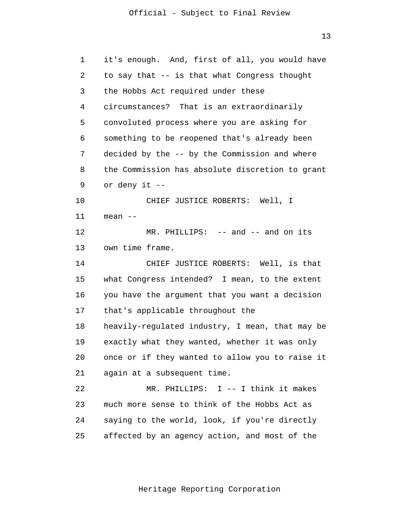13

| 1  | it's enough. And, first of all, you would have  |
|----|-------------------------------------------------|
| 2  | to say that -- is that what Congress thought    |
| 3  | the Hobbs Act required under these              |
| 4  | circumstances? That is an extraordinarily       |
| 5  | convoluted process where you are asking for     |
| 6  | something to be reopened that's already been    |
| 7  | decided by the -- by the Commission and where   |
| 8  | the Commission has absolute discretion to grant |
| 9  | or deny it --                                   |
| 10 | CHIEF JUSTICE ROBERTS: Well, I                  |
| 11 | mean --                                         |
| 12 | MR. PHILLIPS: -- and -- and on its              |
| 13 | own time frame.                                 |
| 14 | CHIEF JUSTICE ROBERTS: Well, is that            |
| 15 | what Congress intended? I mean, to the extent   |
| 16 | you have the argument that you want a decision  |
| 17 | that's applicable throughout the                |
| 18 | heavily-regulated industry, I mean, that may be |
| 19 | exactly what they wanted, whether it was only   |
| 20 | once or if they wanted to allow you to raise it |
| 21 | again at a subsequent time.                     |
| 22 | MR. PHILLIPS: I -- I think it makes             |
| 23 | much more sense to think of the Hobbs Act as    |
| 24 | saying to the world, look, if you're directly   |
| 25 | affected by an agency action, and most of the   |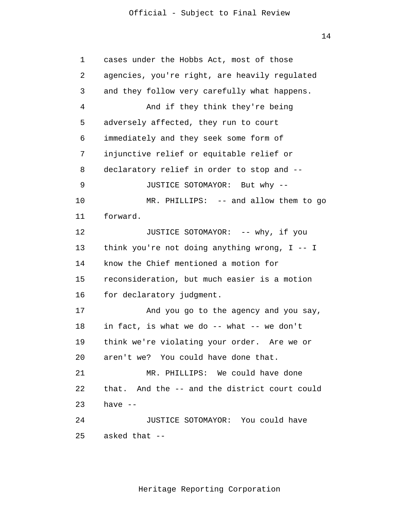14

| 1  | cases under the Hobbs Act, most of those         |
|----|--------------------------------------------------|
| 2  | agencies, you're right, are heavily regulated    |
| 3  | and they follow very carefully what happens.     |
| 4  | And if they think they're being                  |
| 5  | adversely affected, they run to court            |
| 6  | immediately and they seek some form of           |
| 7  | injunctive relief or equitable relief or         |
| 8  | declaratory relief in order to stop and --       |
| 9  | JUSTICE SOTOMAYOR: But why --                    |
| 10 | MR. PHILLIPS: -- and allow them to go            |
| 11 | forward.                                         |
| 12 | JUSTICE SOTOMAYOR: -- why, if you                |
| 13 | think you're not doing anything wrong, $I - - I$ |
| 14 | know the Chief mentioned a motion for            |
| 15 | reconsideration, but much easier is a motion     |
| 16 | for declaratory judgment.                        |
| 17 | And you go to the agency and you say,            |
| 18 | in fact, is what we do -- what -- we don't       |
| 19 | think we're violating your order. Are we or      |
| 20 | aren't we? You could have done that.             |
| 21 | MR. PHILLIPS: We could have done                 |
| 22 | that. And the -- and the district court could    |
| 23 | have $--$                                        |
| 24 | JUSTICE SOTOMAYOR: You could have                |
| 25 | asked that --                                    |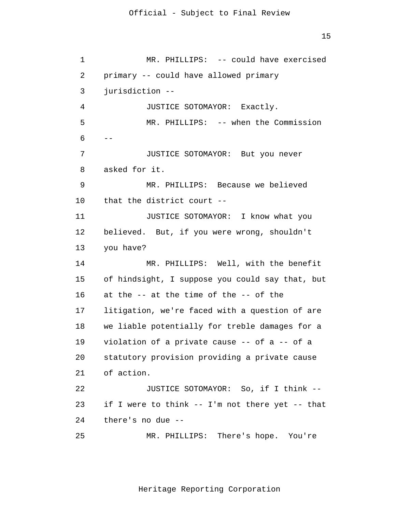15

 MR. PHILLIPS: -- when the Commission 1 2 3 4 5 6 7 8 9 10 11 12 13 14 15 16 17 18 19 20 21 22 23 24 25  $-$ MR. PHILLIPS: -- could have exercised primary -- could have allowed primary jurisdiction -- JUSTICE SOTOMAYOR: Exactly. JUSTICE SOTOMAYOR: But you never asked for it. MR. PHILLIPS: Because we believed that the district court -- JUSTICE SOTOMAYOR: I know what you believed. But, if you were wrong, shouldn't you have? MR. PHILLIPS: Well, with the benefit of hindsight, I suppose you could say that, but at the -- at the time of the -- of the litigation, we're faced with a question of are we liable potentially for treble damages for a violation of a private cause -- of a -- of a statutory provision providing a private cause of action. JUSTICE SOTOMAYOR: So, if I think - if I were to think -- I'm not there yet -- that there's no due -- MR. PHILLIPS: There's hope. You're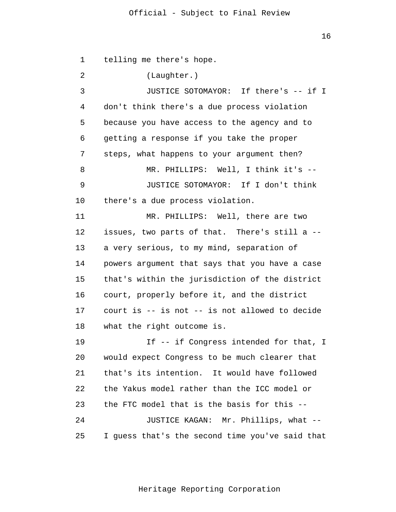16

 JUSTICE SOTOMAYOR: If I don't think 1 2 3 4 5 6 7 8 9 10 11 12 13 14 15 16 17 18 19 20 21 22 23 24 25 telling me there's hope. (Laughter.) JUSTICE SOTOMAYOR: If there's -- if I don't think there's a due process violation because you have access to the agency and to getting a response if you take the proper steps, what happens to your argument then? MR. PHILLIPS: Well, I think it's - there's a due process violation. MR. PHILLIPS: Well, there are two issues, two parts of that. There's still a - a very serious, to my mind, separation of powers argument that says that you have a case that's within the jurisdiction of the district court, properly before it, and the district court is -- is not -- is not allowed to decide what the right outcome is. If -- if Congress intended for that, I would expect Congress to be much clearer that that's its intention. It would have followed the Yakus model rather than the ICC model or the FTC model that is the basis for this -- JUSTICE KAGAN: Mr. Phillips, what -- I guess that's the second time you've said that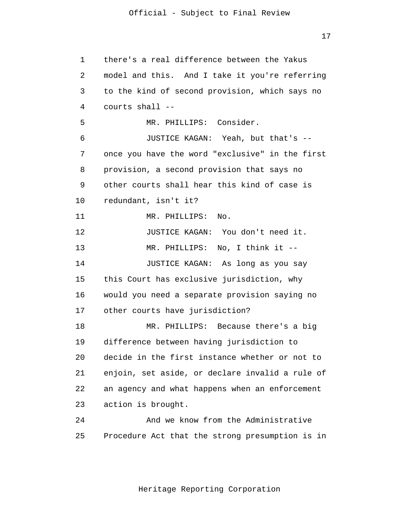17

1 2 3 4 5 6 7 8 9 10 11 12 13 14 15 16 17 18 19 20 21 22 23  $2.4$ 25 there's a real difference between the Yakus model and this. And I take it you're referring to the kind of second provision, which says no courts shall -- MR. PHILLIPS: Consider. JUSTICE KAGAN: Yeah, but that's - once you have the word "exclusive" in the first provision, a second provision that says no other courts shall hear this kind of case is redundant, isn't it? MR. PHILLIPS: No. JUSTICE KAGAN: You don't need it. MR. PHILLIPS: No, I think it -- JUSTICE KAGAN: As long as you say this Court has exclusive jurisdiction, why would you need a separate provision saying no other courts have jurisdiction? MR. PHILLIPS: Because there's a big difference between having jurisdiction to decide in the first instance whether or not to enjoin, set aside, or declare invalid a rule of an agency and what happens when an enforcement action is brought. And we know from the Administrative Procedure Act that the strong presumption is in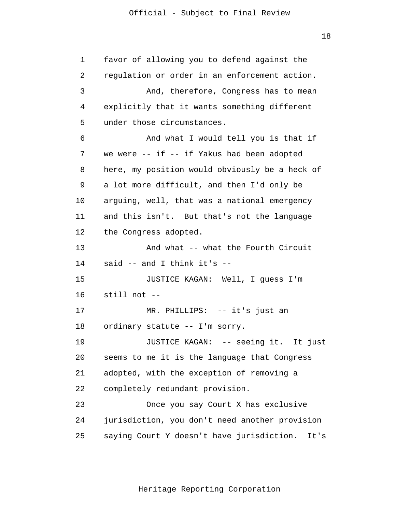1 2 3 4 5 7 8 9 10 11 12 13 14 15 16 17 18 19 20 21 22 23 24 25 favor of allowing you to defend against the regulation or order in an enforcement action. And, therefore, Congress has to mean explicitly that it wants something different under those circumstances. And what I would tell you is that if we were  $--$  if  $--$  if Yakus had been adopted here, my position would obviously be a heck of a lot more difficult, and then I'd only be arguing, well, that was a national emergency and this isn't. But that's not the language the Congress adopted. And what -- what the Fourth Circuit said -- and I think it's -- JUSTICE KAGAN: Well, I guess I'm still not -- MR. PHILLIPS: -- it's just an ordinary statute -- I'm sorry. JUSTICE KAGAN: -- seeing it. It just seems to me it is the language that Congress adopted, with the exception of removing a completely redundant provision. Once you say Court X has exclusive jurisdiction, you don't need another provision saying Court Y doesn't have jurisdiction. It's

6

18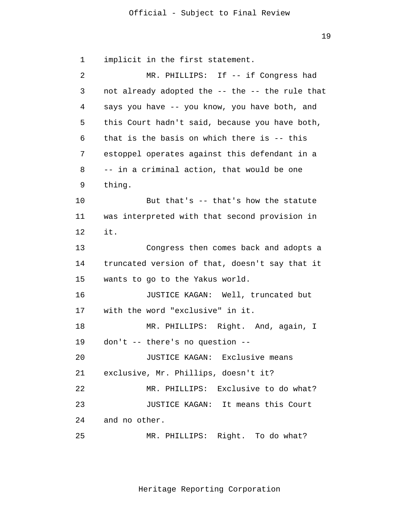19

1 2 3 4 5 6 7 8 9 10 11 12 13 14 15 16 17 18 19 20 21 22 23 24 25 implicit in the first statement. MR. PHILLIPS: If -- if Congress had not already adopted the -- the -- the rule that says you have -- you know, you have both, and this Court hadn't said, because you have both, that is the basis on which there is -- this estoppel operates against this defendant in a -- in a criminal action, that would be one thing. But that's -- that's how the statute was interpreted with that second provision in it. Congress then comes back and adopts a truncated version of that, doesn't say that it wants to go to the Yakus world. JUSTICE KAGAN: Well, truncated but with the word "exclusive" in it. MR. PHILLIPS: Right. And, again, I don't -- there's no question -- JUSTICE KAGAN: Exclusive means exclusive, Mr. Phillips, doesn't it? MR. PHILLIPS: Exclusive to do what? JUSTICE KAGAN: It means this Court and no other. MR. PHILLIPS: Right. To do what?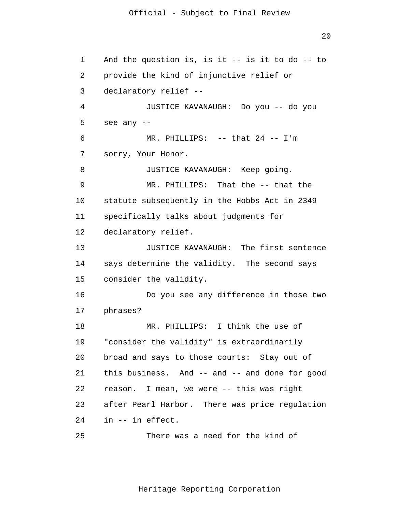$2.0$ 

 MR. PHILLIPS: That the -- that the 1 2 3 4 5 6 7 8 9 10 11 12 13 14 15 16 17 18 19 20 21 22 23 24 25 And the question is, is it -- is it to do -- to provide the kind of injunctive relief or declaratory relief -- JUSTICE KAVANAUGH: Do you -- do you see any -- MR. PHILLIPS: -- that 24 -- I'm sorry, Your Honor. JUSTICE KAVANAUGH: Keep going. statute subsequently in the Hobbs Act in 2349 specifically talks about judgments for declaratory relief. JUSTICE KAVANAUGH: The first sentence says determine the validity. The second says consider the validity. Do you see any difference in those two phrases? MR. PHILLIPS: I think the use of "consider the validity" is extraordinarily broad and says to those courts: Stay out of this business. And -- and -- and done for good reason. I mean, we were -- this was right after Pearl Harbor. There was price regulation in -- in effect. There was a need for the kind of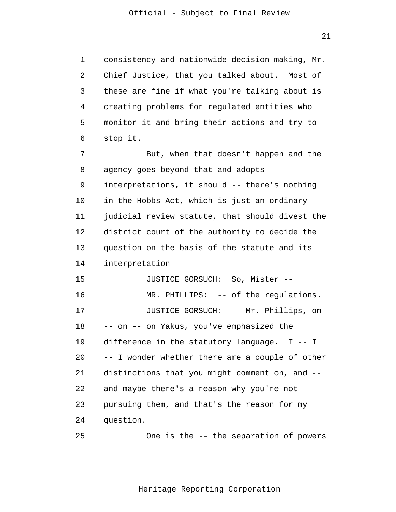21

1 2 3 4 5 6 consistency and nationwide decision-making, Mr. Chief Justice, that you talked about. Most of these are fine if what you're talking about is creating problems for regulated entities who monitor it and bring their actions and try to stop it.

7 8 9 10 11 12 13 14 But, when that doesn't happen and the agency goes beyond that and adopts interpretations, it should -- there's nothing in the Hobbs Act, which is just an ordinary judicial review statute, that should divest the district court of the authority to decide the question on the basis of the statute and its interpretation --

15 16 17 18 19 20 21 22 23 24 JUSTICE GORSUCH: So, Mister -- MR. PHILLIPS: -- of the regulations. JUSTICE GORSUCH: -- Mr. Phillips, on -- on -- on Yakus, you've emphasized the difference in the statutory language. I -- I -- I wonder whether there are a couple of other distinctions that you might comment on, and - and maybe there's a reason why you're not pursuing them, and that's the reason for my question.

25 One is the -- the separation of powers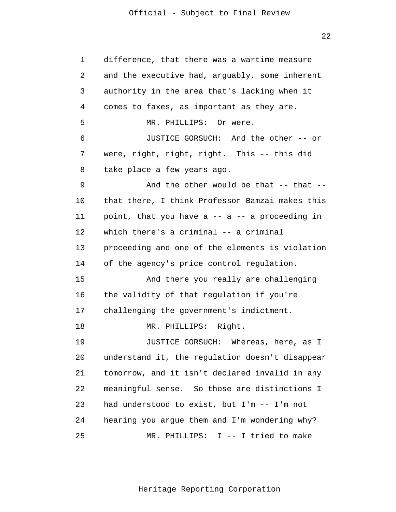22

1 2 3 4 5 6 7 8 9 10 11 12 13 14 15 16 17 18 19 20 21 22 23 24 25 difference, that there was a wartime measure and the executive had, arguably, some inherent authority in the area that's lacking when it comes to faxes, as important as they are. MR. PHILLIPS: Or were. JUSTICE GORSUCH: And the other -- or were, right, right, right. This -- this did take place a few years ago. And the other would be that  $--$  that  $-$ that there, I think Professor Bamzai makes this point, that you have  $a - - a - a$  proceeding in which there's a criminal -- a criminal proceeding and one of the elements is violation of the agency's price control regulation. And there you really are challenging the validity of that regulation if you're challenging the government's indictment. MR. PHILLIPS: Right. JUSTICE GORSUCH: Whereas, here, as I understand it, the regulation doesn't disappear tomorrow, and it isn't declared invalid in any meaningful sense. So those are distinctions I had understood to exist, but I'm -- I'm not hearing you argue them and I'm wondering why? MR. PHILLIPS: I -- I tried to make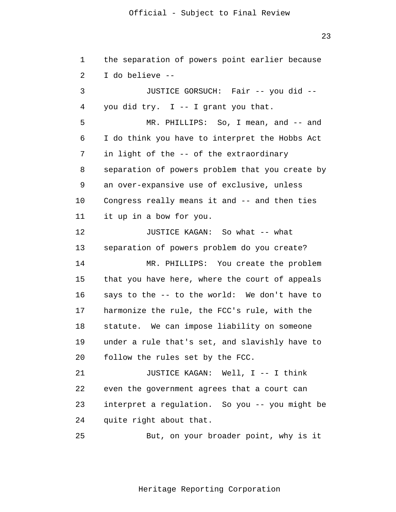23

1 2 3 4 5 6 7 8 9 10 11 12 13 14 15 16 17 18 19 20 21 22 23 24 25 the separation of powers point earlier because I do believe -- JUSTICE GORSUCH: Fair -- you did - you did try. I -- I grant you that. MR. PHILLIPS: So, I mean, and -- and I do think you have to interpret the Hobbs Act in light of the -- of the extraordinary separation of powers problem that you create by an over-expansive use of exclusive, unless Congress really means it and -- and then ties it up in a bow for you. JUSTICE KAGAN: So what -- what separation of powers problem do you create? MR. PHILLIPS: You create the problem that you have here, where the court of appeals says to the -- to the world: We don't have to harmonize the rule, the FCC's rule, with the statute. We can impose liability on someone under a rule that's set, and slavishly have to follow the rules set by the FCC. JUSTICE KAGAN: Well, I -- I think even the government agrees that a court can interpret a regulation. So you -- you might be quite right about that. But, on your broader point, why is it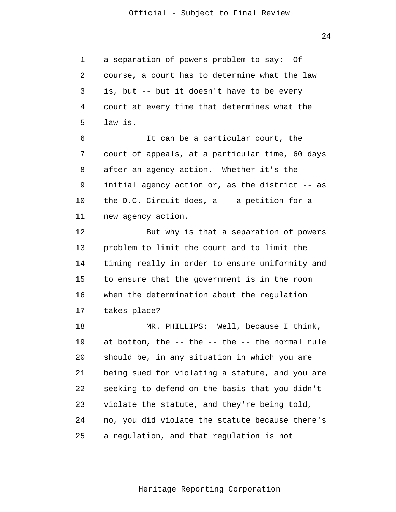$2.4$ 

1 2 3 4 5 a separation of powers problem to say: Of course, a court has to determine what the law is, but -- but it doesn't have to be every court at every time that determines what the law is.

6 7 8 9 10 11 It can be a particular court, the court of appeals, at a particular time, 60 days after an agency action. Whether it's the initial agency action or, as the district -- as the D.C. Circuit does, a -- a petition for a new agency action.

12 13 14 15 16 17 But why is that a separation of powers problem to limit the court and to limit the timing really in order to ensure uniformity and to ensure that the government is in the room when the determination about the regulation takes place?

18 19 20 21 22 23 24 25 MR. PHILLIPS: Well, because I think, at bottom, the -- the -- the -- the normal rule should be, in any situation in which you are being sued for violating a statute, and you are seeking to defend on the basis that you didn't violate the statute, and they're being told, no, you did violate the statute because there's a regulation, and that regulation is not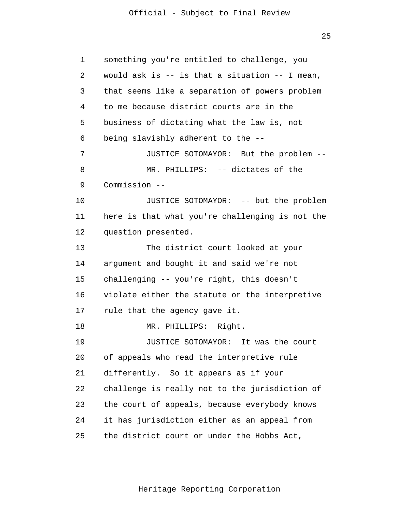25

| 1  | something you're entitled to challenge, you        |
|----|----------------------------------------------------|
| 2  | would ask is $--$ is that a situation $--$ I mean, |
| 3  | that seems like a separation of powers problem     |
| 4  | to me because district courts are in the           |
| 5  | business of dictating what the law is, not         |
| 6  | being slavishly adherent to the --                 |
| 7  | JUSTICE SOTOMAYOR: But the problem --              |
| 8  | MR. PHILLIPS: -- dictates of the                   |
| 9  | Commission --                                      |
| 10 | JUSTICE SOTOMAYOR: -- but the problem              |
| 11 | here is that what you're challenging is not the    |
| 12 | question presented.                                |
| 13 | The district court looked at your                  |
| 14 | argument and bought it and said we're not          |
| 15 | challenging -- you're right, this doesn't          |
| 16 | violate either the statute or the interpretive     |
| 17 | rule that the agency gave it.                      |
| 18 | MR. PHILLIPS: Right.                               |
| 19 | JUSTICE SOTOMAYOR: It was the court                |
| 20 | of appeals who read the interpretive rule          |
| 21 | differently. So it appears as if your              |
| 22 | challenge is really not to the jurisdiction of     |
| 23 | the court of appeals, because everybody knows      |
| 24 | it has jurisdiction either as an appeal from       |
| 25 | the district court or under the Hobbs Act,         |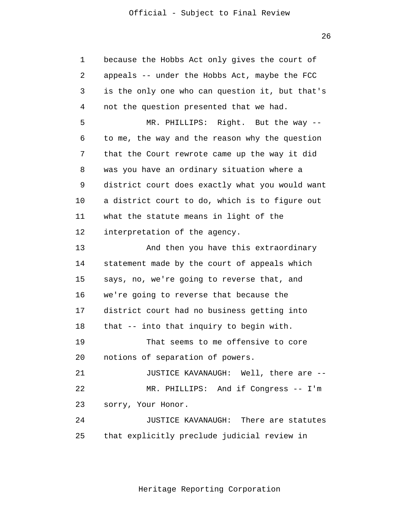MR. PHILLIPS: And if Congress -- I'm 1 2 3 4 5 6 7 8 9 10 11 12 13 14 15 16 17 18 19 20 21 22 23 24 25 because the Hobbs Act only gives the court of appeals -- under the Hobbs Act, maybe the FCC is the only one who can question it, but that's not the question presented that we had. MR. PHILLIPS: Right. But the way - to me, the way and the reason why the question that the Court rewrote came up the way it did was you have an ordinary situation where a district court does exactly what you would want a district court to do, which is to figure out what the statute means in light of the interpretation of the agency. And then you have this extraordinary statement made by the court of appeals which says, no, we're going to reverse that, and we're going to reverse that because the district court had no business getting into that -- into that inquiry to begin with. That seems to me offensive to core notions of separation of powers. JUSTICE KAVANAUGH: Well, there are - sorry, Your Honor. JUSTICE KAVANAUGH: There are statutes that explicitly preclude judicial review in

26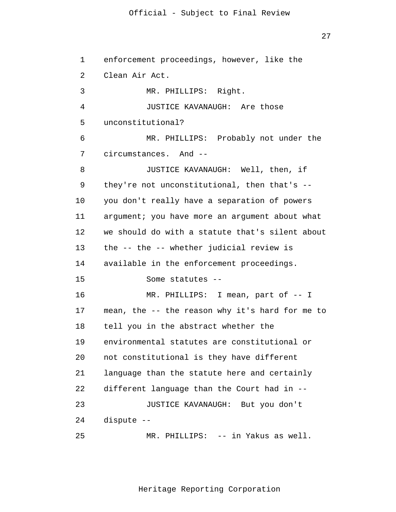27

```
 
JUSTICE KAVANAUGH: Are those 
1
 2
 3
 4
 5
 6
7
8
9
10
11
12
13
14
15
16
17
18
19
20
21
22
23
24
25
      enforcement proceedings, however, like the 
      Clean Air Act. 
               MR. PHILLIPS: Right. 
      unconstitutional? 
               MR. PHILLIPS: Probably not under the 
      circumstances. And --
               JUSTICE KAVANAUGH: Well, then, if 
      they're not unconstitutional, then that's --
      you don't really have a separation of powers 
      argument; you have more an argument about what 
      we should do with a statute that's silent about 
      the -- the -- whether judicial review is 
      available in the enforcement proceedings. 
               Some statutes --
               MR. PHILLIPS: I mean, part of -- I 
      mean, the -- the reason why it's hard for me to 
      tell you in the abstract whether the 
      environmental statutes are constitutional or 
      not constitutional is they have different 
      language than the statute here and certainly 
      different language than the Court had in --
               JUSTICE KAVANAUGH: But you don't 
      dispute --
               MR. PHILLIPS: -- in Yakus as well.
```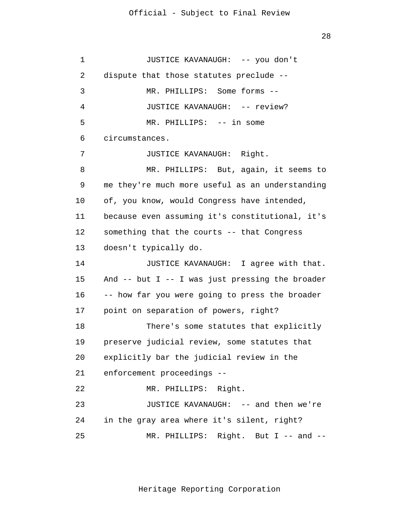28

| 1  | JUSTICE KAVANAUGH: -- you don't                     |
|----|-----------------------------------------------------|
| 2  | dispute that those statutes preclude --             |
| 3  | MR. PHILLIPS: Some forms --                         |
| 4  | JUSTICE KAVANAUGH: -- review?                       |
| 5  | MR. PHILLIPS: -- in some                            |
| 6  | circumstances.                                      |
| 7  | JUSTICE KAVANAUGH: Right.                           |
| 8  | MR. PHILLIPS: But, again, it seems to               |
| 9  | me they're much more useful as an understanding     |
| 10 | of, you know, would Congress have intended,         |
| 11 | because even assuming it's constitutional, it's     |
| 12 | something that the courts -- that Congress          |
| 13 | doesn't typically do.                               |
| 14 | JUSTICE KAVANAUGH: I agree with that.               |
| 15 | And $--$ but I $--$ I was just pressing the broader |
| 16 | -- how far you were going to press the broader      |
| 17 | point on separation of powers, right?               |
| 18 | There's some statutes that explicitly               |
| 19 | preserve judicial review, some statutes that        |
| 20 | explicitly bar the judicial review in the           |
| 21 | enforcement proceedings --                          |
| 22 | MR. PHILLIPS: Right.                                |
| 23 | JUSTICE KAVANAUGH: -- and then we're                |
| 24 | in the gray area where it's silent, right?          |
| 25 | MR. PHILLIPS: Right. But I -- and --                |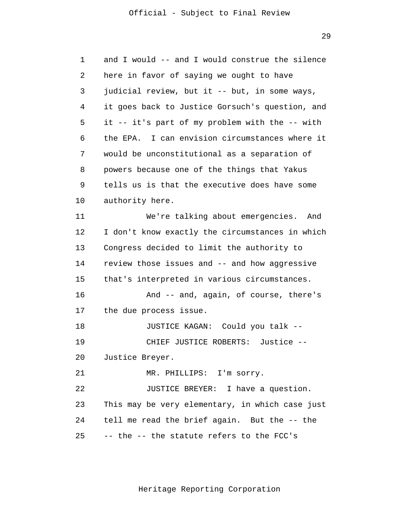29

| 1  | and I would -- and I would construe the silence |
|----|-------------------------------------------------|
| 2  | here in favor of saying we ought to have        |
| 3  | judicial review, but it -- but, in some ways,   |
| 4  | it goes back to Justice Gorsuch's question, and |
| 5  | it -- it's part of my problem with the -- with  |
| 6  | the EPA. I can envision circumstances where it  |
| 7  | would be unconstitutional as a separation of    |
| 8  | powers because one of the things that Yakus     |
| 9  | tells us is that the executive does have some   |
| 10 | authority here.                                 |
| 11 | We're talking about emergencies. And            |
| 12 | I don't know exactly the circumstances in which |
| 13 | Congress decided to limit the authority to      |
| 14 | review those issues and -- and how aggressive   |
| 15 | that's interpreted in various circumstances.    |
| 16 | And -- and, again, of course, there's           |
| 17 | the due process issue.                          |
| 18 | JUSTICE KAGAN: Could you talk --                |
| 19 | CHIEF JUSTICE ROBERTS:<br>Justice --            |
| 20 | Justice Breyer.                                 |
| 21 | MR. PHILLIPS: I'm sorry.                        |
| 22 | JUSTICE BREYER: I have a question.              |
| 23 | This may be very elementary, in which case just |
| 24 | tell me read the brief again. But the -- the    |
| 25 | -- the -- the statute refers to the FCC's       |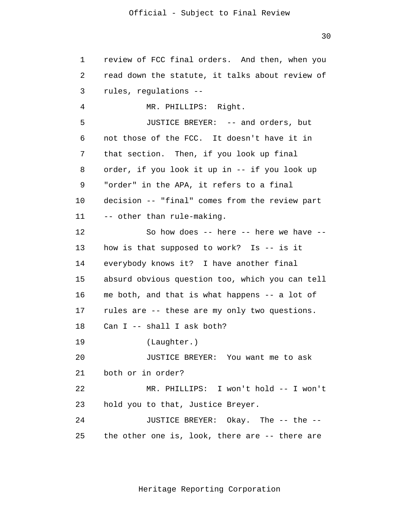30

1 2 3 4 5 6 7 8 9 10 11 12 13 14 15 16 17 18 19 20 21 22 23  $2.4$ 25 review of FCC final orders. And then, when you read down the statute, it talks about review of rules, regulations -- MR. PHILLIPS: Right. JUSTICE BREYER: -- and orders, but not those of the FCC. It doesn't have it in that section. Then, if you look up final order, if you look it up in -- if you look up "order" in the APA, it refers to a final decision -- "final" comes from the review part -- other than rule-making. So how does -- here -- here we have - how is that supposed to work? Is -- is it everybody knows it? I have another final absurd obvious question too, which you can tell me both, and that is what happens -- a lot of rules are -- these are my only two questions. Can I -- shall I ask both? (Laughter.) JUSTICE BREYER: You want me to ask both or in order? MR. PHILLIPS: I won't hold -- I won't hold you to that, Justice Breyer. JUSTICE BREYER: Okay. The -- the -the other one is, look, there are -- there are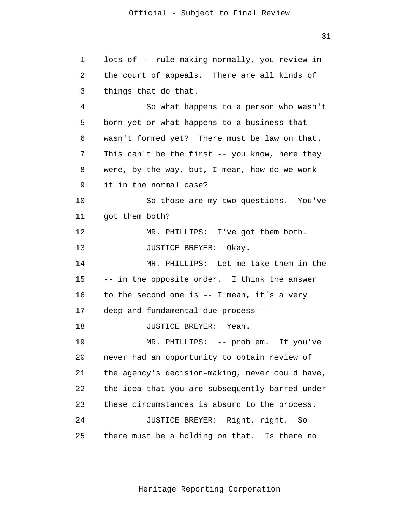31

1 2 3 4 5 6 7 8 9 10 11 12 13 14 15 16 17 18 19 20 21 22 23 24 25 lots of -- rule-making normally, you review in the court of appeals. There are all kinds of things that do that. So what happens to a person who wasn't born yet or what happens to a business that wasn't formed yet? There must be law on that. This can't be the first -- you know, here they were, by the way, but, I mean, how do we work it in the normal case? So those are my two questions. You've got them both? MR. PHILLIPS: I've got them both. JUSTICE BREYER: Okay. MR. PHILLIPS: Let me take them in the -- in the opposite order. I think the answer to the second one is -- I mean, it's a very deep and fundamental due process -- JUSTICE BREYER: Yeah. MR. PHILLIPS: -- problem. If you've never had an opportunity to obtain review of the agency's decision-making, never could have, the idea that you are subsequently barred under these circumstances is absurd to the process. JUSTICE BREYER: Right, right. So there must be a holding on that. Is there no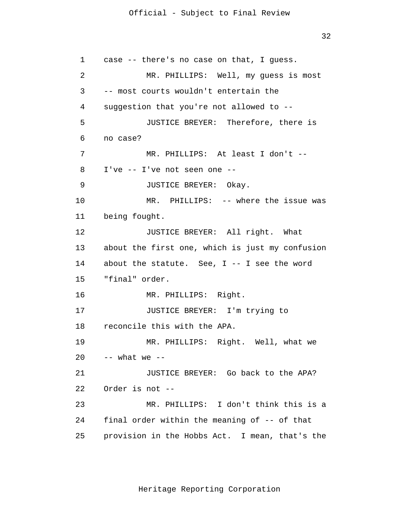32

1 2 3 4 5 6 7 8 9 10 11 12 13 14 15 16 17 18 19 20 21  $2.2<sup>2</sup>$ 23 24 25 case -- there's no case on that, I guess. MR. PHILLIPS: Well, my guess is most -- most courts wouldn't entertain the suggestion that you're not allowed to -- JUSTICE BREYER: Therefore, there is no case? MR. PHILLIPS: At least I don't -- I've -- I've not seen one -- JUSTICE BREYER: Okay. MR. PHILLIPS: -- where the issue was being fought. JUSTICE BREYER: All right. What about the first one, which is just my confusion about the statute. See,  $I$  -- I see the word "final" order. MR. PHILLIPS: Right. JUSTICE BREYER: I'm trying to reconcile this with the APA. MR. PHILLIPS: Right. Well, what we  $--$  what we  $--$ JUSTICE BREYER: Go back to the APA? Order is not -- MR. PHILLIPS: I don't think this is a final order within the meaning of -- of that provision in the Hobbs Act. I mean, that's the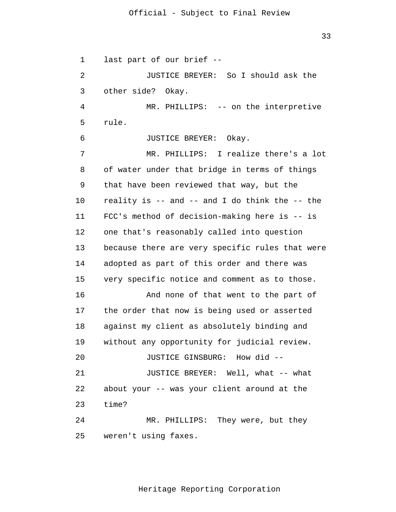1 2 3 4 5 6 7 8 9 10 11 12 13 14 15 16 17 18 19 20 21 22 23  $2.4$ 25 last part of our brief -- JUSTICE BREYER: So I should ask the other side? Okay. MR. PHILLIPS: -- on the interpretive rule. JUSTICE BREYER: Okay. MR. PHILLIPS: I realize there's a lot of water under that bridge in terms of things that have been reviewed that way, but the reality is -- and -- and I do think the -- the FCC's method of decision-making here is -- is one that's reasonably called into question because there are very specific rules that were adopted as part of this order and there was very specific notice and comment as to those. And none of that went to the part of the order that now is being used or asserted against my client as absolutely binding and without any opportunity for judicial review. JUSTICE GINSBURG: How did -- JUSTICE BREYER: Well, what -- what about your -- was your client around at the time? MR. PHILLIPS: They were, but they weren't using faxes.

Heritage Reporting Corporation

33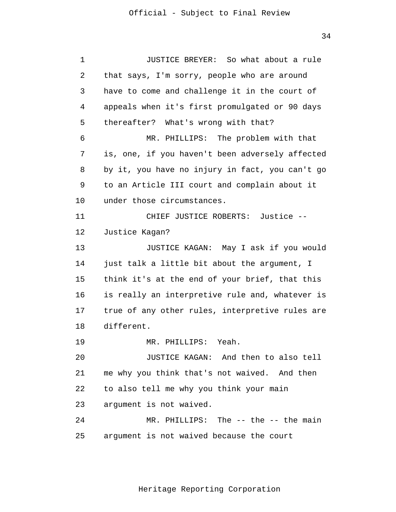34

 appeals when it's first promulgated or 90 days 1 2 3 4 5 6 7 8 9 10 11 12 13 14 15 16 17 18 19 20 21 22 23  $2.4$ 25 JUSTICE BREYER: So what about a rule that says, I'm sorry, people who are around have to come and challenge it in the court of thereafter? What's wrong with that? MR. PHILLIPS: The problem with that is, one, if you haven't been adversely affected by it, you have no injury in fact, you can't go to an Article III court and complain about it under those circumstances. CHIEF JUSTICE ROBERTS: Justice -- Justice Kagan? JUSTICE KAGAN: May I ask if you would just talk a little bit about the argument, I think it's at the end of your brief, that this is really an interpretive rule and, whatever is true of any other rules, interpretive rules are different. MR. PHILLIPS: Yeah. JUSTICE KAGAN: And then to also tell me why you think that's not waived. And then to also tell me why you think your main argument is not waived. MR. PHILLIPS: The -- the -- the main argument is not waived because the court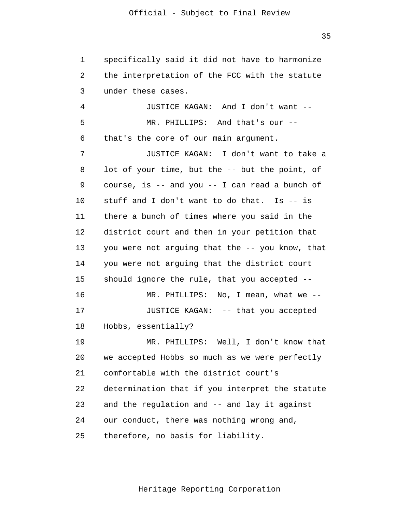1 2 3 specifically said it did not have to harmonize the interpretation of the FCC with the statute under these cases.

4 5 6 JUSTICE KAGAN: And I don't want -- MR. PHILLIPS: And that's our - that's the core of our main argument.

7 8 9 10 11 12 13 14 15 16 17 18 19 20 21 JUSTICE KAGAN: I don't want to take a lot of your time, but the -- but the point, of course, is  $--$  and you  $--$  I can read a bunch of stuff and I don't want to do that. Is -- is there a bunch of times where you said in the district court and then in your petition that you were not arguing that the -- you know, that you were not arguing that the district court should ignore the rule, that you accepted -- MR. PHILLIPS: No, I mean, what we -- JUSTICE KAGAN: -- that you accepted Hobbs, essentially? MR. PHILLIPS: Well, I don't know that we accepted Hobbs so much as we were perfectly comfortable with the district court's

23 determination that if you interpret the statute and the regulation and -- and lay it against

 $2.4$ our conduct, there was nothing wrong and,

25 therefore, no basis for liability.

22

Heritage Reporting Corporation

35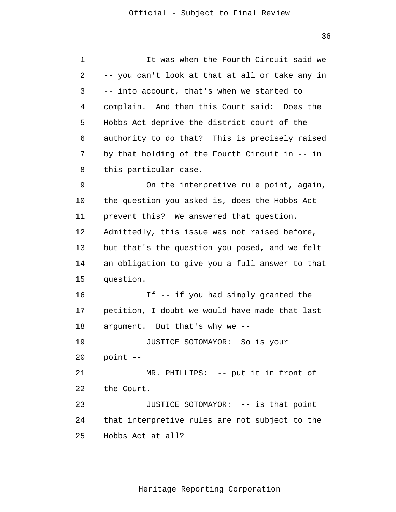| 1  | It was when the Fourth Circuit said we          |
|----|-------------------------------------------------|
| 2  | -- you can't look at that at all or take any in |
| 3  | -- into account, that's when we started to      |
| 4  | complain. And then this Court said: Does the    |
| 5  | Hobbs Act deprive the district court of the     |
| 6  | authority to do that? This is precisely raised  |
| 7  | by that holding of the Fourth Circuit in -- in  |
| 8  | this particular case.                           |
| 9  | On the interpretive rule point, again,          |
| 10 | the question you asked is, does the Hobbs Act   |
| 11 | prevent this? We answered that question.        |
| 12 | Admittedly, this issue was not raised before,   |
| 13 | but that's the question you posed, and we felt  |
| 14 | an obligation to give you a full answer to that |
| 15 | question.                                       |
| 16 | If -- if you had simply granted the             |
| 17 | petition, I doubt we would have made that last  |
| 18 | argument. But that's why we --                  |
| 19 | JUSTICE SOTOMAYOR: So is your                   |
| 20 | point --                                        |
| 21 | MR. PHILLIPS: -- put it in front of             |
| 22 | the Court.                                      |
| 23 | JUSTICE SOTOMAYOR: -- is that point             |
| 24 | that interpretive rules are not subject to the  |
| 25 | Hobbs Act at all?                               |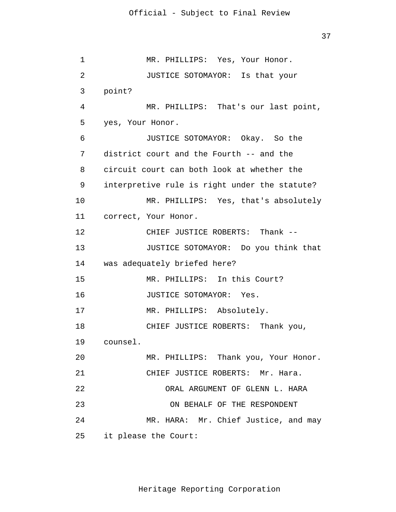37

 JUSTICE SOTOMAYOR: Is that your JUSTICE SOTOMAYOR: Yes. MR. PHILLIPS: Absolutely. 1 2 3 4 5 6 7 8 9 10 11 12 13 14 15 16 17 18 19 20 21 22 23 24 25 MR. PHILLIPS: Yes, Your Honor. point? MR. PHILLIPS: That's our last point, yes, Your Honor. JUSTICE SOTOMAYOR: Okay. So the district court and the Fourth -- and the circuit court can both look at whether the interpretive rule is right under the statute? MR. PHILLIPS: Yes, that's absolutely correct, Your Honor. CHIEF JUSTICE ROBERTS: Thank -- JUSTICE SOTOMAYOR: Do you think that was adequately briefed here? MR. PHILLIPS: In this Court? CHIEF JUSTICE ROBERTS: Thank you, counsel. MR. PHILLIPS: Thank you, Your Honor. CHIEF JUSTICE ROBERTS: Mr. Hara. ORAL ARGUMENT OF GLENN L. HARA ON BEHALF OF THE RESPONDENT MR. HARA: Mr. Chief Justice, and may it please the Court: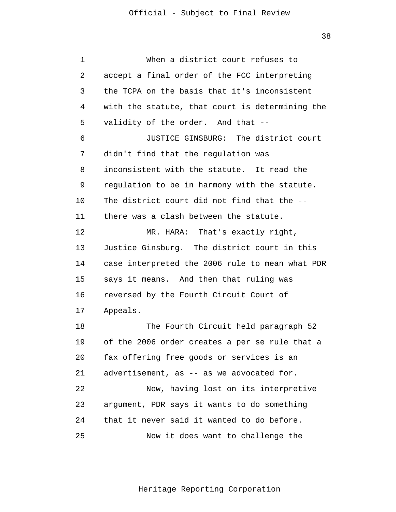38

1 2 3 4 5 6 7 8 9 10 11 12 13 14 15 16 17 18 19 20 21 22 23  $2.4$ 25 When a district court refuses to accept a final order of the FCC interpreting the TCPA on the basis that it's inconsistent with the statute, that court is determining the validity of the order. And that -- JUSTICE GINSBURG: The district court didn't find that the regulation was inconsistent with the statute. It read the regulation to be in harmony with the statute. The district court did not find that the - there was a clash between the statute. MR. HARA: That's exactly right, Justice Ginsburg. The district court in this case interpreted the 2006 rule to mean what PDR says it means. And then that ruling was reversed by the Fourth Circuit Court of Appeals. The Fourth Circuit held paragraph 52 of the 2006 order creates a per se rule that a fax offering free goods or services is an advertisement, as -- as we advocated for. Now, having lost on its interpretive argument, PDR says it wants to do something that it never said it wanted to do before. Now it does want to challenge the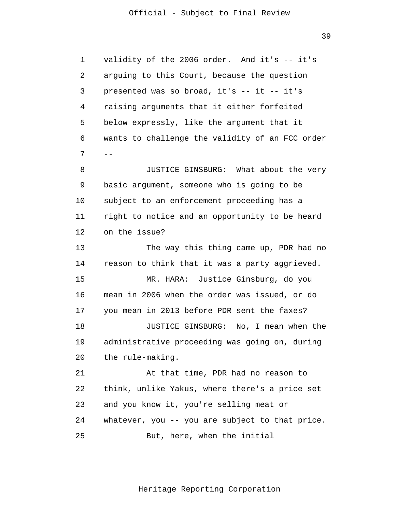39

1 2 3 4 5 6 7 8 9 10 11 12 13 14 15 16 17 18 19 20 21 22 23 24 25 - validity of the 2006 order. And it's -- it's arguing to this Court, because the question presented was so broad, it's -- it -- it's raising arguments that it either forfeited below expressly, like the argument that it wants to challenge the validity of an FCC order JUSTICE GINSBURG: What about the very basic argument, someone who is going to be subject to an enforcement proceeding has a right to notice and an opportunity to be heard on the issue? The way this thing came up, PDR had no reason to think that it was a party aggrieved. MR. HARA: Justice Ginsburg, do you mean in 2006 when the order was issued, or do you mean in 2013 before PDR sent the faxes? JUSTICE GINSBURG: No, I mean when the administrative proceeding was going on, during the rule-making. At that time, PDR had no reason to think, unlike Yakus, where there's a price set and you know it, you're selling meat or whatever, you -- you are subject to that price. But, here, when the initial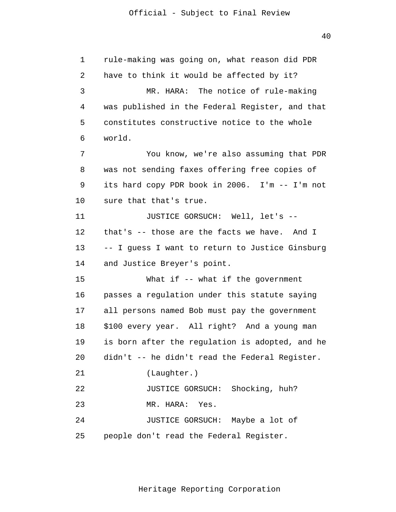40

| 1  | rule-making was going on, what reason did PDR   |
|----|-------------------------------------------------|
| 2  | have to think it would be affected by it?       |
| 3  | MR. HARA: The notice of rule-making             |
| 4  | was published in the Federal Register, and that |
| 5  | constitutes constructive notice to the whole    |
| 6  | world.                                          |
| 7  | You know, we're also assuming that PDR          |
| 8  | was not sending faxes offering free copies of   |
| 9  | its hard copy PDR book in 2006. I'm -- I'm not  |
| 10 | sure that that's true.                          |
| 11 | JUSTICE GORSUCH: Well, let's --                 |
| 12 | that's -- those are the facts we have. And I    |
| 13 | -- I guess I want to return to Justice Ginsburg |
| 14 | and Justice Breyer's point.                     |
| 15 | What if $--$ what if the government             |
| 16 | passes a regulation under this statute saying   |
| 17 | all persons named Bob must pay the government   |
| 18 | \$100 every year. All right? And a young man    |
| 19 | is born after the regulation is adopted, and he |
| 20 | didn't -- he didn't read the Federal Register.  |
| 21 | (Laughter.)                                     |
| 22 | JUSTICE GORSUCH: Shocking, huh?                 |
| 23 | MR. HARA: Yes.                                  |
| 24 | JUSTICE GORSUCH: Maybe a lot of                 |
| 25 | people don't read the Federal Register.         |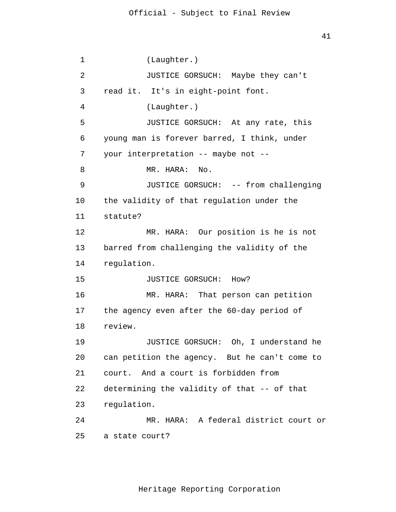1 2 3 4 5 6 7 8 9 10 11 12 13 14 15 16 17 18 19 20 21 22 23 24 25 (Laughter.) JUSTICE GORSUCH: Maybe they can't read it. It's in eight-point font. (Laughter.) JUSTICE GORSUCH: At any rate, this young man is forever barred, I think, under your interpretation -- maybe not -- MR. HARA: No. JUSTICE GORSUCH: -- from challenging the validity of that regulation under the statute? MR. HARA: Our position is he is not barred from challenging the validity of the regulation. JUSTICE GORSUCH: How? MR. HARA: That person can petition the agency even after the 60-day period of review. JUSTICE GORSUCH: Oh, I understand he can petition the agency. But he can't come to court. And a court is forbidden from determining the validity of that -- of that regulation. MR. HARA: A federal district court or a state court?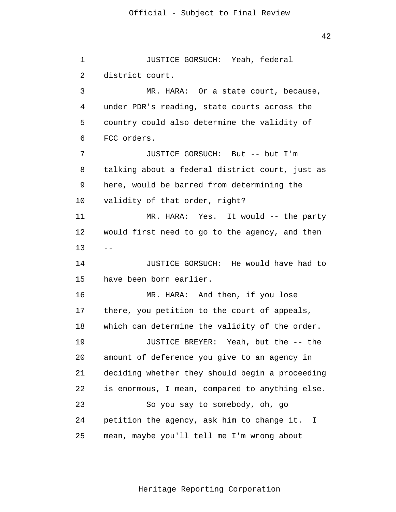1 2 3 4 5 6 7 8 9 10 11 12 13 14 15 16 17 18 19 20 21 22 23 24 25  $-$ JUSTICE GORSUCH: Yeah, federal district court. MR. HARA: Or a state court, because, under PDR's reading, state courts across the country could also determine the validity of FCC orders. JUSTICE GORSUCH: But -- but I'm talking about a federal district court, just as here, would be barred from determining the validity of that order, right? MR. HARA: Yes. It would -- the party would first need to go to the agency, and then JUSTICE GORSUCH: He would have had to have been born earlier. MR. HARA: And then, if you lose there, you petition to the court of appeals, which can determine the validity of the order. JUSTICE BREYER: Yeah, but the -- the amount of deference you give to an agency in deciding whether they should begin a proceeding is enormous, I mean, compared to anything else. So you say to somebody, oh, go petition the agency, ask him to change it. I mean, maybe you'll tell me I'm wrong about

Heritage Reporting Corporation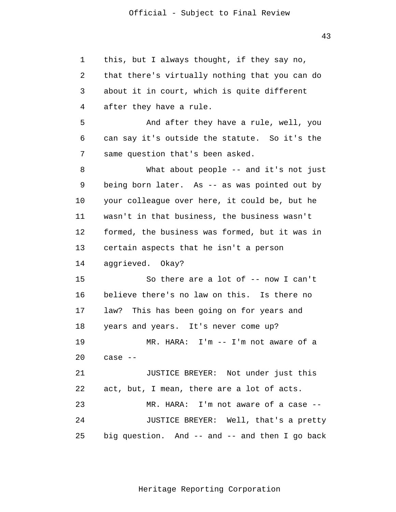43

1 2 3 4 5 6 7 8 9 10 11 12 13 14 15 16 17 18 19 20 21 22 23 24 25 this, but I always thought, if they say no, that there's virtually nothing that you can do about it in court, which is quite different after they have a rule. And after they have a rule, well, you can say it's outside the statute. So it's the same question that's been asked. What about people -- and it's not just being born later. As -- as was pointed out by your colleague over here, it could be, but he wasn't in that business, the business wasn't formed, the business was formed, but it was in certain aspects that he isn't a person aggrieved. Okay? So there are a lot of -- now I can't believe there's no law on this. Is there no law? This has been going on for years and years and years. It's never come up? MR. HARA: I'm -- I'm not aware of a case -- JUSTICE BREYER: Not under just this act, but, I mean, there are a lot of acts. MR. HARA: I'm not aware of a case -- JUSTICE BREYER: Well, that's a pretty big question. And -- and -- and then I go back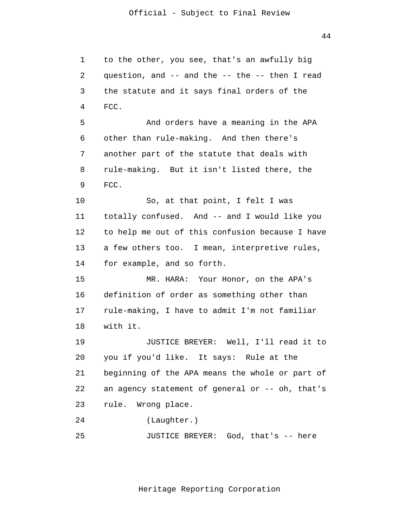1 2 3 4 5 6 7 8 9 10 11 12 13 14 15 16 17 18 19 20 21 22 23  $2.4$ 25 to the other, you see, that's an awfully big question, and -- and the -- the -- then I read the statute and it says final orders of the FCC. And orders have a meaning in the APA other than rule-making. And then there's another part of the statute that deals with rule-making. But it isn't listed there, the FCC. So, at that point, I felt I was totally confused. And -- and I would like you to help me out of this confusion because I have a few others too. I mean, interpretive rules, for example, and so forth. MR. HARA: Your Honor, on the APA's definition of order as something other than rule-making, I have to admit I'm not familiar with it. JUSTICE BREYER: Well, I'll read it to you if you'd like. It says: Rule at the beginning of the APA means the whole or part of an agency statement of general or -- oh, that's rule. Wrong place. (Laughter.) JUSTICE BREYER: God, that's -- here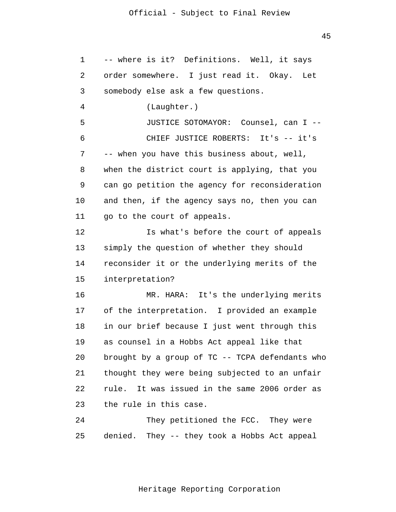| 1  | -- where is it? Definitions. Well, it says      |
|----|-------------------------------------------------|
| 2  | order somewhere. I just read it. Okay. Let      |
| 3  | somebody else ask a few questions.              |
| 4  | (Laughter.)                                     |
| 5  | JUSTICE SOTOMAYOR: Counsel, can I --            |
| 6  | CHIEF JUSTICE ROBERTS: It's -- it's             |
| 7  | -- when you have this business about, well,     |
| 8  | when the district court is applying, that you   |
| 9  | can go petition the agency for reconsideration  |
| 10 | and then, if the agency says no, then you can   |
| 11 | go to the court of appeals.                     |
| 12 | Is what's before the court of appeals           |
| 13 | simply the question of whether they should      |
| 14 | reconsider it or the underlying merits of the   |
| 15 | interpretation?                                 |
| 16 | MR. HARA: It's the underlying merits            |
| 17 | of the interpretation. I provided an example    |
| 18 | in our brief because I just went through this   |
| 19 | as counsel in a Hobbs Act appeal like that      |
| 20 | brought by a group of TC -- TCPA defendants who |
| 21 | thought they were being subjected to an unfair  |
| 22 | rule. It was issued in the same 2006 order as   |
| 23 | the rule in this case.                          |
| 24 | They petitioned the FCC. They were              |
| 25 | denied. They -- they took a Hobbs Act appeal    |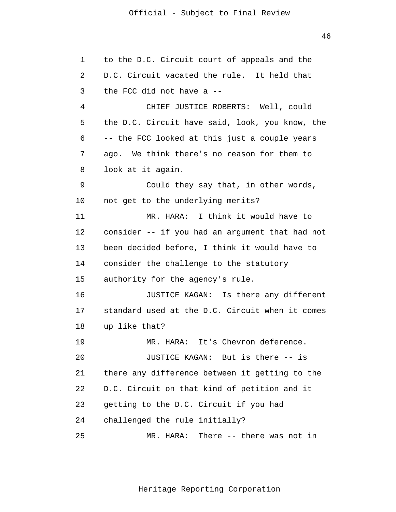46

1 2 3 4 5 6 7 8 9 10 11 12 13 14 15 16 17 18 19 20 21 22 23 24 25 to the D.C. Circuit court of appeals and the D.C. Circuit vacated the rule. It held that the FCC did not have a -- CHIEF JUSTICE ROBERTS: Well, could the D.C. Circuit have said, look, you know, the -- the FCC looked at this just a couple years ago. We think there's no reason for them to look at it again. Could they say that, in other words, not get to the underlying merits? MR. HARA: I think it would have to consider -- if you had an argument that had not been decided before, I think it would have to consider the challenge to the statutory authority for the agency's rule. JUSTICE KAGAN: Is there any different standard used at the D.C. Circuit when it comes up like that? MR. HARA: It's Chevron deference. JUSTICE KAGAN: But is there -- is there any difference between it getting to the D.C. Circuit on that kind of petition and it getting to the D.C. Circuit if you had challenged the rule initially? MR. HARA: There -- there was not in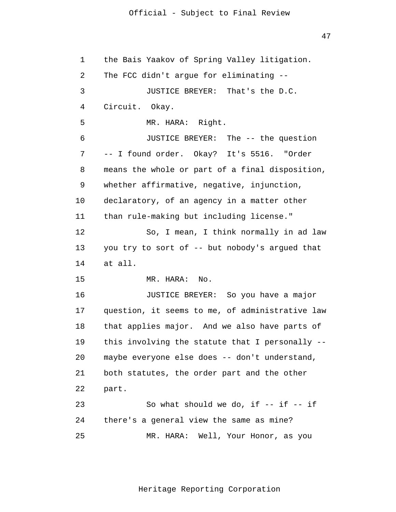47

1 2 3 4 5 6 7 8 9 10 11 12 13 14 15 16 17 18 19 20 21 22 23 24 25 the Bais Yaakov of Spring Valley litigation. The FCC didn't argue for eliminating -- JUSTICE BREYER: That's the D.C. Circuit. Okay. MR. HARA: Right. JUSTICE BREYER: The -- the question -- I found order. Okay? It's 5516. "Order means the whole or part of a final disposition, whether affirmative, negative, injunction, declaratory, of an agency in a matter other than rule-making but including license." So, I mean, I think normally in ad law you try to sort of -- but nobody's argued that at all. MR. HARA: No. JUSTICE BREYER: So you have a major question, it seems to me, of administrative law that applies major. And we also have parts of this involving the statute that I personally - maybe everyone else does -- don't understand, both statutes, the order part and the other part. So what should we do, if  $--$  if  $--$  if there's a general view the same as mine? MR. HARA: Well, Your Honor, as you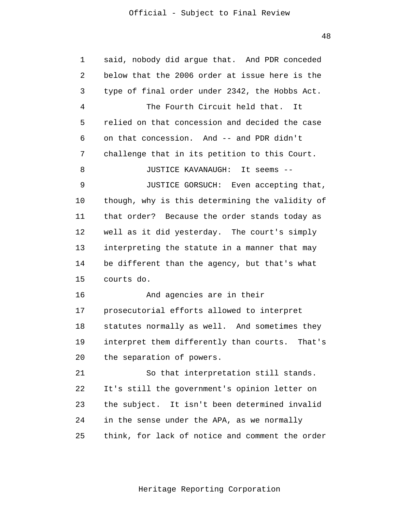48

| 1  | said, nobody did argue that. And PDR conceded     |
|----|---------------------------------------------------|
| 2  | below that the 2006 order at issue here is the    |
| 3  | type of final order under 2342, the Hobbs Act.    |
| 4  | The Fourth Circuit held that.<br>It               |
| 5  | relied on that concession and decided the case    |
| 6  | on that concession. And -- and PDR didn't         |
| 7  | challenge that in its petition to this Court.     |
| 8  | JUSTICE KAVANAUGH: It seems --                    |
| 9  | JUSTICE GORSUCH: Even accepting that,             |
| 10 | though, why is this determining the validity of   |
| 11 | that order? Because the order stands today as     |
| 12 | well as it did yesterday. The court's simply      |
| 13 | interpreting the statute in a manner that may     |
| 14 | be different than the agency, but that's what     |
| 15 | courts do.                                        |
| 16 | And agencies are in their                         |
| 17 | prosecutorial efforts allowed to interpret        |
| 18 | statutes normally as well. And sometimes they     |
| 19 | interpret them differently than courts.<br>That's |
| 20 | the separation of powers.                         |
| 21 | So that interpretation still stands.              |
| 22 | It's still the government's opinion letter on     |
| 23 | the subject. It isn't been determined invalid     |
| 24 | in the sense under the APA, as we normally        |
| 25 | think, for lack of notice and comment the order   |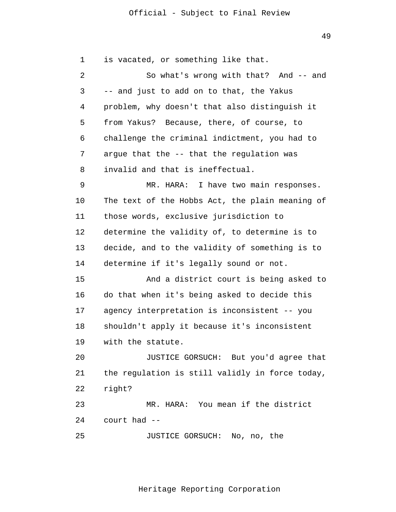49

1 2 3 4 5 6 7 8 9 10 11 12 13 14 15 16 17 18 19 20 21 22 23 24 25 is vacated, or something like that. So what's wrong with that? And -- and -- and just to add on to that, the Yakus problem, why doesn't that also distinguish it from Yakus? Because, there, of course, to challenge the criminal indictment, you had to argue that the -- that the regulation was invalid and that is ineffectual. MR. HARA: I have two main responses. The text of the Hobbs Act, the plain meaning of those words, exclusive jurisdiction to determine the validity of, to determine is to decide, and to the validity of something is to determine if it's legally sound or not. And a district court is being asked to do that when it's being asked to decide this agency interpretation is inconsistent -- you shouldn't apply it because it's inconsistent with the statute. JUSTICE GORSUCH: But you'd agree that the regulation is still validly in force today, right? MR. HARA: You mean if the district court had -- JUSTICE GORSUCH: No, no, the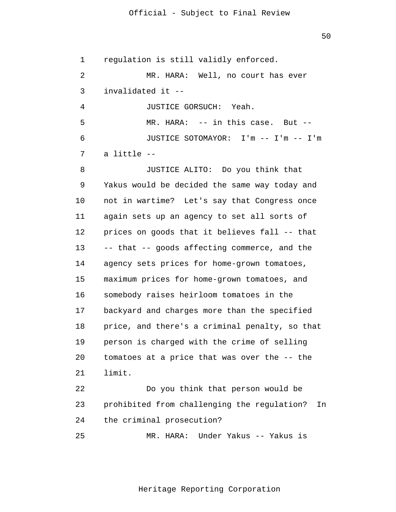50

1 regulation is still validly enforced.

 $\overline{2}$ 3 MR. HARA: Well, no court has ever invalidated it --

4 5 6 7 JUSTICE GORSUCH: Yeah. MR. HARA: -- in this case. But -- JUSTICE SOTOMAYOR: I'm -- I'm -- I'm a little --

8 9 10 11 12 13 14 15 16 17 18 19 20 21 JUSTICE ALITO: Do you think that Yakus would be decided the same way today and not in wartime? Let's say that Congress once again sets up an agency to set all sorts of prices on goods that it believes fall -- that -- that -- goods affecting commerce, and the agency sets prices for home-grown tomatoes, maximum prices for home-grown tomatoes, and somebody raises heirloom tomatoes in the backyard and charges more than the specified price, and there's a criminal penalty, so that person is charged with the crime of selling tomatoes at a price that was over the -- the limit.

22 23 24 Do you think that person would be prohibited from challenging the regulation? In the criminal prosecution?

25 MR. HARA: Under Yakus -- Yakus is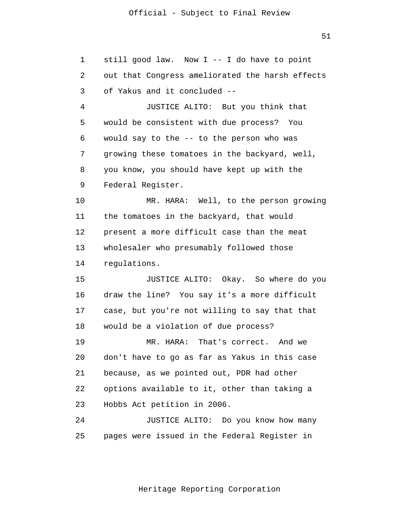51

1 2 3 4 5 6 7 8 9 10 11 12 13 14 15 16 17 18 19 20 21 22 23 24 25 still good law. Now I -- I do have to point out that Congress ameliorated the harsh effects of Yakus and it concluded -- JUSTICE ALITO: But you think that would be consistent with due process? You would say to the -- to the person who was growing these tomatoes in the backyard, well, you know, you should have kept up with the Federal Register. MR. HARA: Well, to the person growing the tomatoes in the backyard, that would present a more difficult case than the meat wholesaler who presumably followed those regulations. JUSTICE ALITO: Okay. So where do you draw the line? You say it's a more difficult case, but you're not willing to say that that would be a violation of due process? MR. HARA: That's correct. And we don't have to go as far as Yakus in this case because, as we pointed out, PDR had other options available to it, other than taking a Hobbs Act petition in 2006. JUSTICE ALITO: Do you know how many pages were issued in the Federal Register in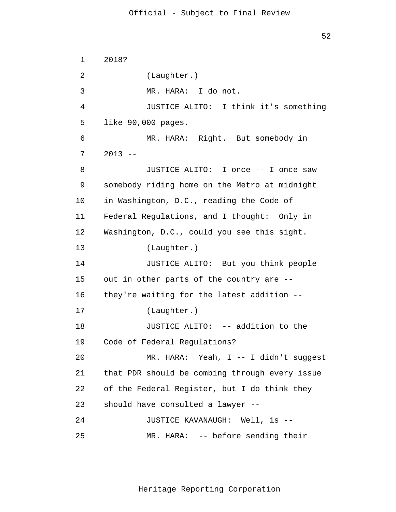1 2 3 4 5 6 7 8 9 10 11 12 13 14 15 16 17 18 19 20 21 22 23 24 25 2018? (Laughter.) MR. HARA: I do not. JUSTICE ALITO: I think it's something like 90,000 pages. MR. HARA: Right. But somebody in  $2013 - -$ JUSTICE ALITO: I once -- I once saw somebody riding home on the Metro at midnight in Washington, D.C., reading the Code of Federal Regulations, and I thought: Only in Washington, D.C., could you see this sight. (Laughter.) JUSTICE ALITO: But you think people out in other parts of the country are - they're waiting for the latest addition -- (Laughter.) JUSTICE ALITO: -- addition to the Code of Federal Regulations? MR. HARA: Yeah, I -- I didn't suggest that PDR should be combing through every issue of the Federal Register, but I do think they should have consulted a lawyer -- JUSTICE KAVANAUGH: Well, is -- MR. HARA: -- before sending their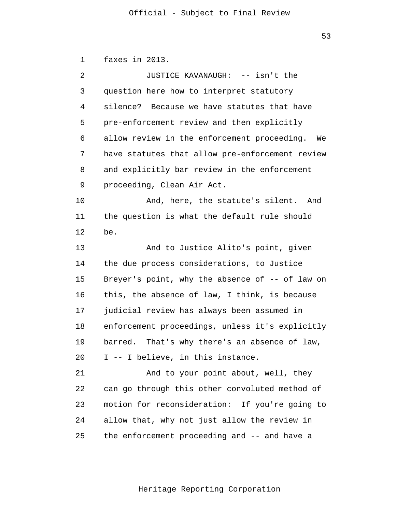53

1 faxes in 2013.

| 2  | JUSTICE KAVANAUGH: -- isn't the                 |
|----|-------------------------------------------------|
| 3  | question here how to interpret statutory        |
| 4  | silence? Because we have statutes that have     |
| 5  | pre-enforcement review and then explicitly      |
| 6  | allow review in the enforcement proceeding. We  |
| 7  | have statutes that allow pre-enforcement review |
| 8  | and explicitly bar review in the enforcement    |
| 9  | proceeding, Clean Air Act.                      |
| 10 | And, here, the statute's silent. And            |
| 11 | the question is what the default rule should    |
| 12 | be.                                             |
| 13 | And to Justice Alito's point, given             |
| 14 | the due process considerations, to Justice      |
| 15 | Breyer's point, why the absence of -- of law on |
| 16 | this, the absence of law, I think, is because   |
| 17 | judicial review has always been assumed in      |
| 18 | enforcement proceedings, unless it's explicitly |
| 19 | barred. That's why there's an absence of law,   |
| 20 | I -- I believe, in this instance.               |
| 21 | And to your point about, well, they             |
| 22 | can go through this other convoluted method of  |
| 23 | motion for reconsideration: If you're going to  |
| 24 | allow that, why not just allow the review in    |
| 25 | the enforcement proceeding and -- and have a    |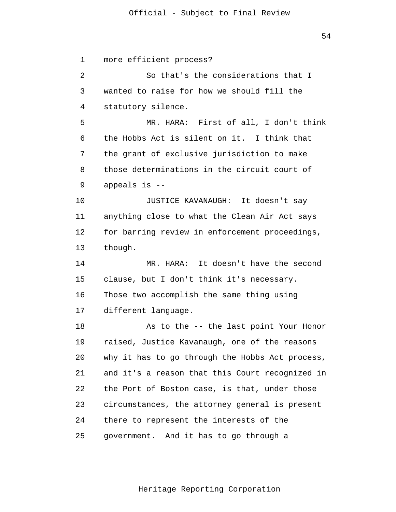54

1 2 3 4 5 6 7 8 9 10 11 12 13 14 15 16 17 18 19 20 21 22 23  $2.4$ 25 more efficient process? So that's the considerations that I wanted to raise for how we should fill the statutory silence. MR. HARA: First of all, I don't think the Hobbs Act is silent on it. I think that the grant of exclusive jurisdiction to make those determinations in the circuit court of appeals is -- JUSTICE KAVANAUGH: It doesn't say anything close to what the Clean Air Act says for barring review in enforcement proceedings, though. MR. HARA: It doesn't have the second clause, but I don't think it's necessary. Those two accomplish the same thing using different language. As to the -- the last point Your Honor raised, Justice Kavanaugh, one of the reasons why it has to go through the Hobbs Act process, and it's a reason that this Court recognized in the Port of Boston case, is that, under those circumstances, the attorney general is present there to represent the interests of the government. And it has to go through a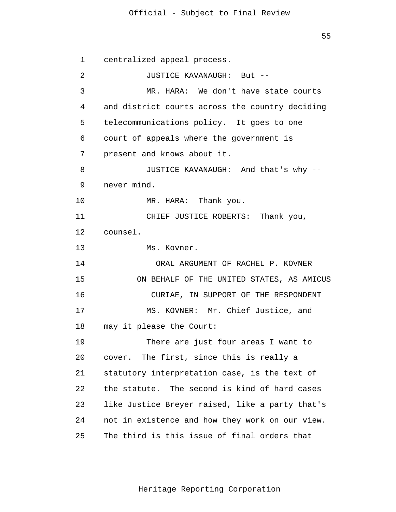55

| 1  | centralized appeal process.                     |
|----|-------------------------------------------------|
| 2  | JUSTICE KAVANAUGH: But --                       |
| 3  | MR. HARA: We don't have state courts            |
| 4  | and district courts across the country deciding |
| 5  | telecommunications policy. It goes to one       |
| 6  | court of appeals where the government is        |
| 7  | present and knows about it.                     |
| 8  | JUSTICE KAVANAUGH: And that's why --            |
| 9  | never mind.                                     |
| 10 | MR. HARA: Thank you.                            |
| 11 | CHIEF JUSTICE ROBERTS: Thank you,               |
| 12 | counsel.                                        |
| 13 | Ms. Kovner.                                     |
| 14 | ORAL ARGUMENT OF RACHEL P. KOVNER               |
| 15 | ON BEHALF OF THE UNITED STATES, AS AMICUS       |
| 16 | CURIAE, IN SUPPORT OF THE RESPONDENT            |
| 17 | MS. KOVNER: Mr. Chief Justice, and              |
| 18 | may it please the Court:                        |
| 19 | There are just four areas I want to             |
| 20 | cover. The first, since this is really a        |
| 21 | statutory interpretation case, is the text of   |
| 22 | the statute. The second is kind of hard cases   |
| 23 | like Justice Breyer raised, like a party that's |
| 24 | not in existence and how they work on our view. |
| 25 | The third is this issue of final orders that    |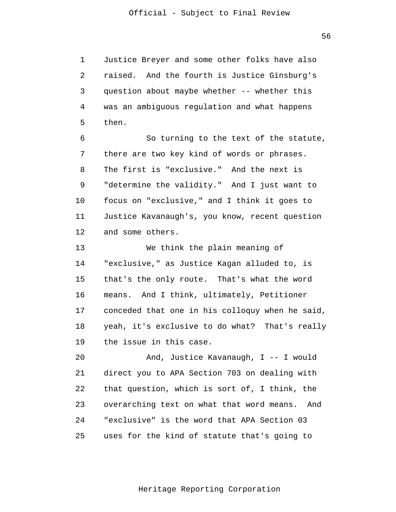1 2 3 4 5 Justice Breyer and some other folks have also raised. And the fourth is Justice Ginsburg's question about maybe whether -- whether this was an ambiguous regulation and what happens then.

6 7 8 9 10 11 12 So turning to the text of the statute, there are two key kind of words or phrases. The first is "exclusive." And the next is "determine the validity." And I just want to focus on "exclusive," and I think it goes to Justice Kavanaugh's, you know, recent question and some others.

13 14 15 16 17 18 19 We think the plain meaning of "exclusive," as Justice Kagan alluded to, is that's the only route. That's what the word means. And I think, ultimately, Petitioner conceded that one in his colloquy when he said, yeah, it's exclusive to do what? That's really the issue in this case.

20 21 22 23  $2.4$ 25 And, Justice Kavanaugh, I -- I would direct you to APA Section 703 on dealing with that question, which is sort of, I think, the overarching text on what that word means. And "exclusive" is the word that APA Section 03 uses for the kind of statute that's going to

Heritage Reporting Corporation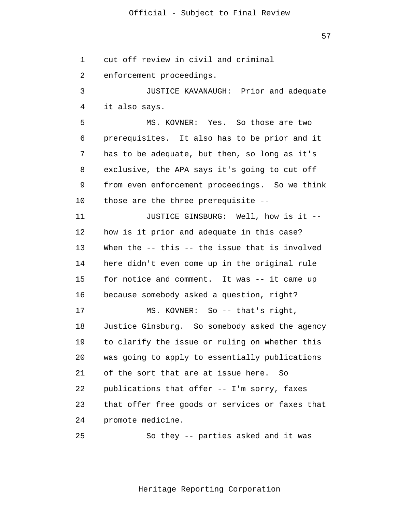57

1 2 3 4 5 6 7 8 9 10 11 12 13 14 15 16 17 18 19 20 21 22 23 24 25 cut off review in civil and criminal enforcement proceedings. JUSTICE KAVANAUGH: Prior and adequate it also says. MS. KOVNER: Yes. So those are two prerequisites. It also has to be prior and it has to be adequate, but then, so long as it's exclusive, the APA says it's going to cut off from even enforcement proceedings. So we think those are the three prerequisite -- JUSTICE GINSBURG: Well, how is it - how is it prior and adequate in this case? When the -- this -- the issue that is involved here didn't even come up in the original rule for notice and comment. It was -- it came up because somebody asked a question, right? MS. KOVNER: So -- that's right, Justice Ginsburg. So somebody asked the agency to clarify the issue or ruling on whether this was going to apply to essentially publications of the sort that are at issue here. So publications that offer -- I'm sorry, faxes that offer free goods or services or faxes that promote medicine. So they -- parties asked and it was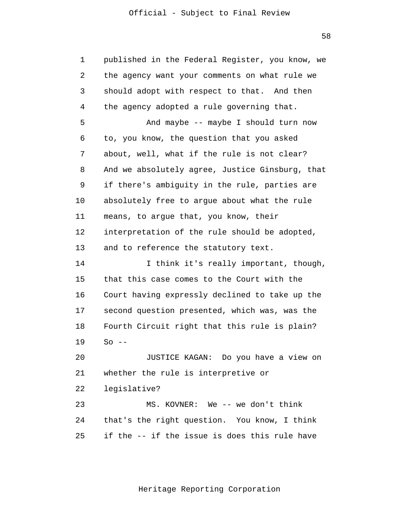second question presented, which was, was the 1 2 3 4 5 6 7 8 9 10 11 12 13 14 15 16 17 18 19 20 21 published in the Federal Register, you know, we the agency want your comments on what rule we should adopt with respect to that. And then the agency adopted a rule governing that. And maybe -- maybe I should turn now to, you know, the question that you asked about, well, what if the rule is not clear? And we absolutely agree, Justice Ginsburg, that if there's ambiguity in the rule, parties are absolutely free to argue about what the rule means, to argue that, you know, their interpretation of the rule should be adopted, and to reference the statutory text. I think it's really important, though, that this case comes to the Court with the Court having expressly declined to take up the Fourth Circuit right that this rule is plain?  $So$  --JUSTICE KAGAN: Do you have a view on whether the rule is interpretive or

22 legislative?

23 24 25 MS. KOVNER: We -- we don't think that's the right question. You know, I think if the -- if the issue is does this rule have

58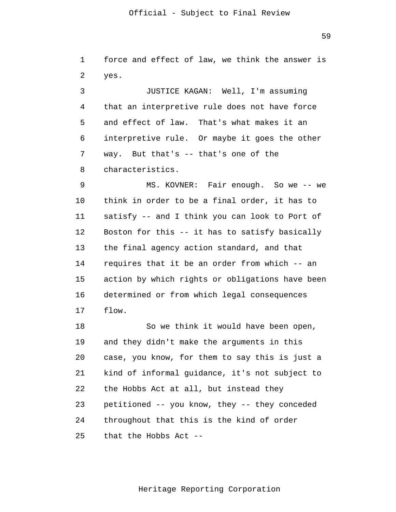1 2 3 4 5 6 7 8 9 10 11 force and effect of law, we think the answer is yes. JUSTICE KAGAN: Well, I'm assuming that an interpretive rule does not have force and effect of law. That's what makes it an interpretive rule. Or maybe it goes the other way. But that's -- that's one of the characteristics. MS. KOVNER: Fair enough. So we -- we think in order to be a final order, it has to satisfy -- and I think you can look to Port of

12 13 14 15 16 17 Boston for this -- it has to satisfy basically the final agency action standard, and that requires that it be an order from which -- an action by which rights or obligations have been determined or from which legal consequences flow.

18 19 20 21 22 23  $2.4$ 25 So we think it would have been open, and they didn't make the arguments in this case, you know, for them to say this is just a kind of informal guidance, it's not subject to the Hobbs Act at all, but instead they petitioned -- you know, they -- they conceded throughout that this is the kind of order that the Hobbs Act --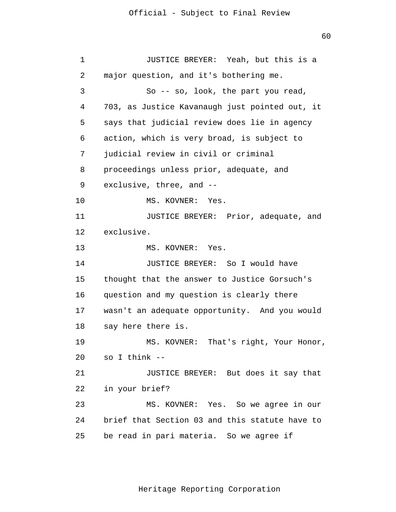JUSTICE BREYER: Yeah, but this is a major question, and it's bothering me. So -- so, look, the part you read, 703, as Justice Kavanaugh just pointed out, it says that judicial review does lie in agency action, which is very broad, is subject to judicial review in civil or criminal

8 proceedings unless prior, adequate, and

9 exclusive, three, and --

1

2

3

4

5

6

7

10 MS. KOVNER: Yes.

11 12 JUSTICE BREYER: Prior, adequate, and exclusive.

13 MS. KOVNER: Yes.

14 15 16 17 18 JUSTICE BREYER: So I would have thought that the answer to Justice Gorsuch's question and my question is clearly there wasn't an adequate opportunity. And you would say here there is.

19 20 MS. KOVNER: That's right, Your Honor, so I think --

21 22 JUSTICE BREYER: But does it say that in your brief?

23  $2.4$ 25 MS. KOVNER: Yes. So we agree in our brief that Section 03 and this statute have to be read in pari materia. So we agree if

Heritage Reporting Corporation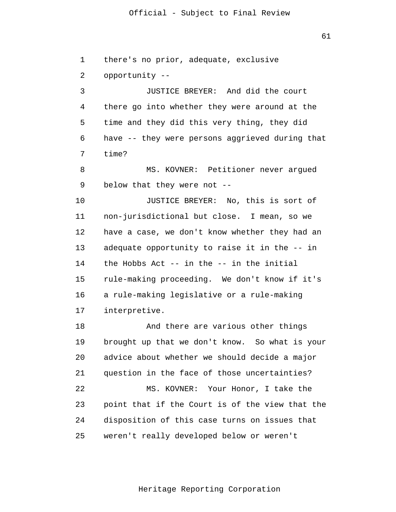1 2 3 4 5 6 7 8 9 10 11 12 13 there's no prior, adequate, exclusive opportunity -- JUSTICE BREYER: And did the court there go into whether they were around at the time and they did this very thing, they did have -- they were persons aggrieved during that time? MS. KOVNER: Petitioner never argued below that they were not -- JUSTICE BREYER: No, this is sort of non-jurisdictional but close. I mean, so we have a case, we don't know whether they had an adequate opportunity to raise it in the -- in

14 15 16 17 the Hobbs Act -- in the -- in the initial rule-making proceeding. We don't know if it's a rule-making legislative or a rule-making interpretive.

18 19 20 21 22 23 24 25 And there are various other things brought up that we don't know. So what is your advice about whether we should decide a major question in the face of those uncertainties? MS. KOVNER: Your Honor, I take the point that if the Court is of the view that the disposition of this case turns on issues that weren't really developed below or weren't

61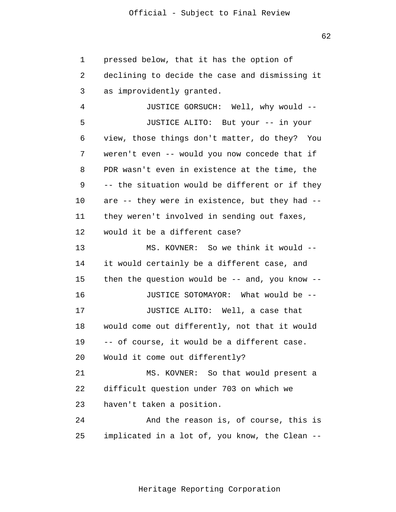1 2 3 pressed below, that it has the option of declining to decide the case and dismissing it as improvidently granted.

4 5 6 7 8 9 10 11 12 JUSTICE GORSUCH: Well, why would -- JUSTICE ALITO: But your -- in your view, those things don't matter, do they? You weren't even -- would you now concede that if PDR wasn't even in existence at the time, the -- the situation would be different or if they are -- they were in existence, but they had - they weren't involved in sending out faxes, would it be a different case?

13 14 15 16 17 18 19 20 21 22 23 MS. KOVNER: So we think it would - it would certainly be a different case, and then the question would be  $-$ - and, you know  $-$ -JUSTICE SOTOMAYOR: What would be -- JUSTICE ALITO: Well, a case that would come out differently, not that it would -- of course, it would be a different case. Would it come out differently? MS. KOVNER: So that would present a difficult question under 703 on which we haven't taken a position.

24 25 And the reason is, of course, this is implicated in a lot of, you know, the Clean --

Heritage Reporting Corporation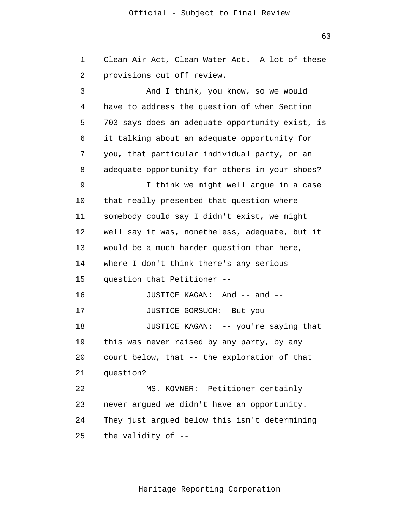1 2 3 4 5 6 7 8 9 10 11 12 13 14 15 16 17 18 19 20 21 22 23 24 25 Clean Air Act, Clean Water Act. A lot of these provisions cut off review. And I think, you know, so we would have to address the question of when Section 703 says does an adequate opportunity exist, is it talking about an adequate opportunity for you, that particular individual party, or an adequate opportunity for others in your shoes? I think we might well argue in a case that really presented that question where somebody could say I didn't exist, we might well say it was, nonetheless, adequate, but it would be a much harder question than here, where I don't think there's any serious question that Petitioner -- JUSTICE KAGAN: And -- and -- JUSTICE GORSUCH: But you -- JUSTICE KAGAN: -- you're saying that this was never raised by any party, by any court below, that -- the exploration of that question? MS. KOVNER: Petitioner certainly never argued we didn't have an opportunity. They just argued below this isn't determining the validity of --

Heritage Reporting Corporation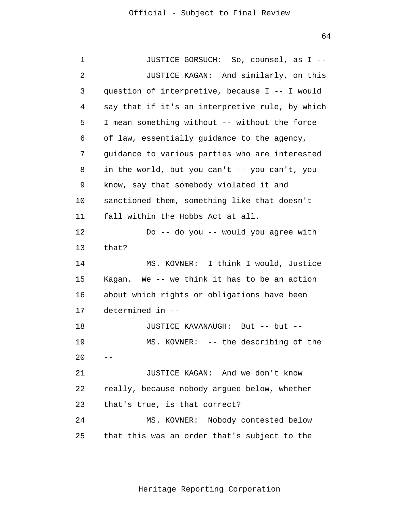| 1              | JUSTICE GORSUCH: So, counsel, as I --           |
|----------------|-------------------------------------------------|
| $\overline{2}$ | JUSTICE KAGAN: And similarly, on this           |
| 3              | question of interpretive, because I -- I would  |
| 4              | say that if it's an interpretive rule, by which |
| 5              | I mean something without -- without the force   |
| 6              | of law, essentially guidance to the agency,     |
| 7              | guidance to various parties who are interested  |
| 8              | in the world, but you can't -- you can't, you   |
| 9              | know, say that somebody violated it and         |
| 10             | sanctioned them, something like that doesn't    |
| 11             | fall within the Hobbs Act at all.               |
| 12             | Do -- do you -- would you agree with            |
| 13             | that?                                           |
| 14             | MS. KOVNER: I think I would, Justice            |
| 15             | Kagan. We -- we think it has to be an action    |
| 16             | about which rights or obligations have been     |
| 17             | determined in --                                |
| 18             | JUSTICE KAVANAUGH: But -- but --                |
| 19             | MS. KOVNER: -- the describing of the            |
| 20             |                                                 |
| 21             | JUSTICE KAGAN: And we don't know                |
| 22             | really, because nobody argued below, whether    |
| 23             | that's true, is that correct?                   |
| 24             | MS. KOVNER: Nobody contested below              |
| 25             | that this was an order that's subject to the    |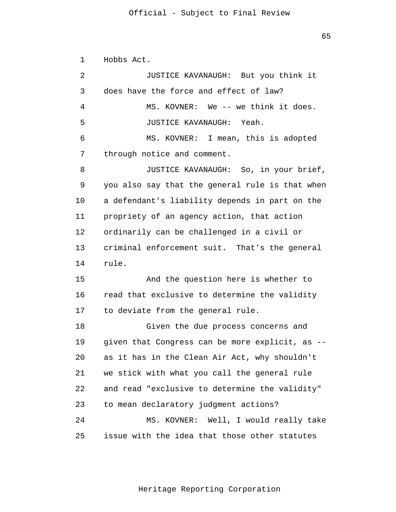1

2

3

4

5

6

7

8

9

10

11

12

13

14

rule.

15

16

17

Hobbs Act. JUSTICE KAVANAUGH: But you think it does have the force and effect of law? MS. KOVNER: We -- we think it does. JUSTICE KAVANAUGH: Yeah. MS. KOVNER: I mean, this is adopted through notice and comment. JUSTICE KAVANAUGH: So, in your brief, you also say that the general rule is that when a defendant's liability depends in part on the propriety of an agency action, that action ordinarily can be challenged in a civil or criminal enforcement suit. That's the general And the question here is whether to read that exclusive to determine the validity

18 19 20 21 22 23  $2.4$ 25 Given the due process concerns and given that Congress can be more explicit, as - as it has in the Clean Air Act, why shouldn't we stick with what you call the general rule and read "exclusive to determine the validity" to mean declaratory judgment actions? MS. KOVNER: Well, I would really take issue with the idea that those other statutes

to deviate from the general rule.

Heritage Reporting Corporation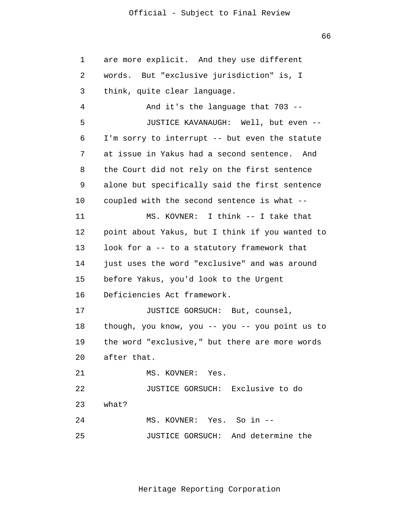66

 JUSTICE GORSUCH: Exclusive to do 1 2 3 4 5 6 7 8 9 10 11 12 13 14 15 16 17 18 19 20 21 22 23  $2.4$ 25 are more explicit. And they use different words. But "exclusive jurisdiction" is, I think, quite clear language. And it's the language that 703 -- JUSTICE KAVANAUGH: Well, but even -- I'm sorry to interrupt -- but even the statute at issue in Yakus had a second sentence. And the Court did not rely on the first sentence alone but specifically said the first sentence coupled with the second sentence is what -- MS. KOVNER: I think -- I take that point about Yakus, but I think if you wanted to look for a -- to a statutory framework that just uses the word "exclusive" and was around before Yakus, you'd look to the Urgent Deficiencies Act framework. JUSTICE GORSUCH: But, counsel, though, you know, you  $-$ - you  $-$ - you point us to the word "exclusive," but there are more words after that. MS. KOVNER: Yes. what? MS. KOVNER: Yes. So in -- JUSTICE GORSUCH: And determine the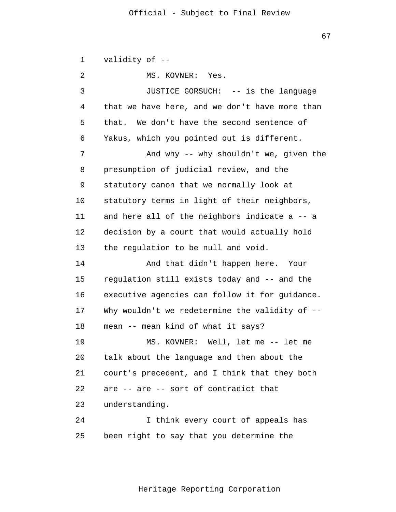1  $\overline{2}$ 3 4 5 6 7 8 9 10 11 12 13 14 15 16 17 18 19 20 21 22 23 24 25 validity of -- MS. KOVNER: Yes. JUSTICE GORSUCH: -- is the language that we have here, and we don't have more than that. We don't have the second sentence of Yakus, which you pointed out is different. And why -- why shouldn't we, given the presumption of judicial review, and the statutory canon that we normally look at statutory terms in light of their neighbors, and here all of the neighbors indicate a -- a decision by a court that would actually hold the regulation to be null and void. And that didn't happen here. Your regulation still exists today and -- and the executive agencies can follow it for guidance. Why wouldn't we redetermine the validity of -mean -- mean kind of what it says? MS. KOVNER: Well, let me -- let me talk about the language and then about the court's precedent, and I think that they both are -- are -- sort of contradict that understanding. I think every court of appeals has been right to say that you determine the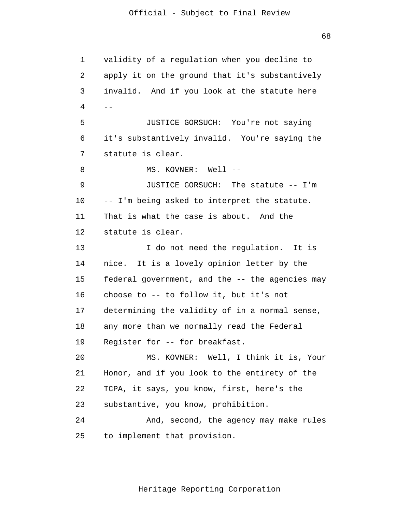1 2 3 4 5 6 7 8 9 10 11 12 13 14 15 16 17 18 19 20 21 22 23  $2.4$ 25  $$ validity of a regulation when you decline to apply it on the ground that it's substantively invalid. And if you look at the statute here JUSTICE GORSUCH: You're not saying it's substantively invalid. You're saying the statute is clear. MS. KOVNER: Well --JUSTICE GORSUCH: The statute -- I'm -- I'm being asked to interpret the statute. That is what the case is about. And the statute is clear. I do not need the regulation. It is nice. It is a lovely opinion letter by the federal government, and the -- the agencies may choose to -- to follow it, but it's not determining the validity of in a normal sense, any more than we normally read the Federal Register for -- for breakfast. MS. KOVNER: Well, I think it is, Your Honor, and if you look to the entirety of the TCPA, it says, you know, first, here's the substantive, you know, prohibition. And, second, the agency may make rules to implement that provision.

Heritage Reporting Corporation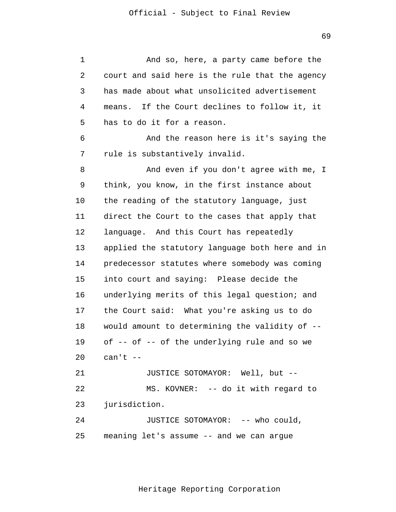1 2 3 4 5 6 7 8 9 10 11 12 13 14 15 16 17 18 19 20 21 22 23 24 25 And so, here, a party came before the court and said here is the rule that the agency has made about what unsolicited advertisement means. If the Court declines to follow it, it has to do it for a reason. And the reason here is it's saying the rule is substantively invalid. And even if you don't agree with me, I think, you know, in the first instance about the reading of the statutory language, just direct the Court to the cases that apply that language. And this Court has repeatedly applied the statutory language both here and in predecessor statutes where somebody was coming into court and saying: Please decide the underlying merits of this legal question; and the Court said: What you're asking us to do would amount to determining the validity of - of -- of -- of the underlying rule and so we  $can't --$ JUSTICE SOTOMAYOR: Well, but -- MS. KOVNER: -- do it with regard to jurisdiction. JUSTICE SOTOMAYOR: -- who could, meaning let's assume -- and we can argue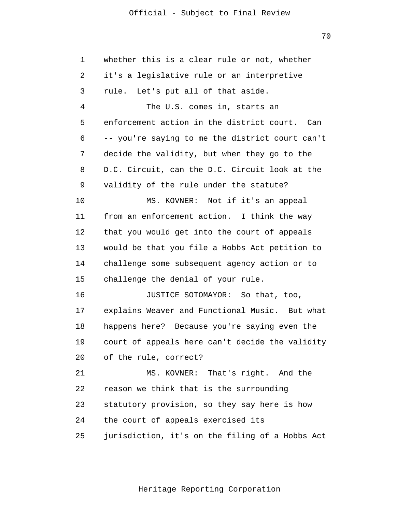70

| 1  | whether this is a clear rule or not, whether    |
|----|-------------------------------------------------|
| 2  | it's a legislative rule or an interpretive      |
| 3  | rule. Let's put all of that aside.              |
| 4  | The U.S. comes in, starts an                    |
| 5  | enforcement action in the district court. Can   |
| 6  | -- you're saying to me the district court can't |
| 7  | decide the validity, but when they go to the    |
| 8  | D.C. Circuit, can the D.C. Circuit look at the  |
| 9  | validity of the rule under the statute?         |
| 10 | MS. KOVNER: Not if it's an appeal               |
| 11 | from an enforcement action. I think the way     |
| 12 | that you would get into the court of appeals    |
| 13 | would be that you file a Hobbs Act petition to  |
| 14 | challenge some subsequent agency action or to   |
| 15 | challenge the denial of your rule.              |
| 16 | JUSTICE SOTOMAYOR: So that, too,                |
| 17 | explains Weaver and Functional Music. But what  |
| 18 | happens here? Because you're saying even the    |
| 19 | court of appeals here can't decide the validity |
| 20 | of the rule, correct?                           |
| 21 | MS. KOVNER: That's right. And the               |
| 22 | reason we think that is the surrounding         |
| 23 | statutory provision, so they say here is how    |
| 24 | the court of appeals exercised its              |
| 25 | jurisdiction, it's on the filing of a Hobbs Act |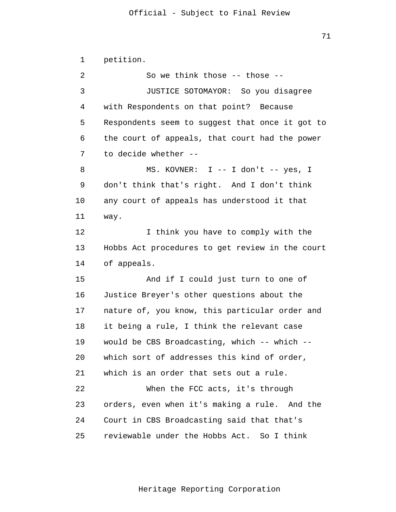which sort of addresses this kind of order, 1 2 3 4 5 6 7 8 9 10 11 12 13 14 15 16 17 18 19 20 21 22 23 24 25 petition. So we think those -- those -- JUSTICE SOTOMAYOR: So you disagree with Respondents on that point? Because Respondents seem to suggest that once it got to the court of appeals, that court had the power to decide whether -- MS. KOVNER: I -- I don't -- yes, I don't think that's right. And I don't think any court of appeals has understood it that way. I think you have to comply with the Hobbs Act procedures to get review in the court of appeals. And if I could just turn to one of Justice Breyer's other questions about the nature of, you know, this particular order and it being a rule, I think the relevant case would be CBS Broadcasting, which -- which - which is an order that sets out a rule. When the FCC acts, it's through orders, even when it's making a rule. And the Court in CBS Broadcasting said that that's reviewable under the Hobbs Act. So I think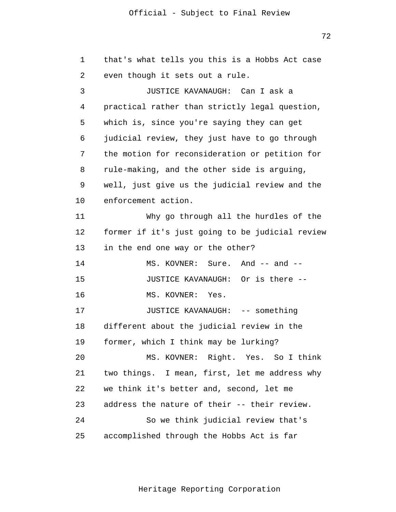1 2 3 4 5 6 7 8 9 10 11 12 13 14 15 16 17 18 19 20 21 22 23 24 25 that's what tells you this is a Hobbs Act case even though it sets out a rule. JUSTICE KAVANAUGH: Can I ask a practical rather than strictly legal question, which is, since you're saying they can get judicial review, they just have to go through the motion for reconsideration or petition for rule-making, and the other side is arguing, well, just give us the judicial review and the enforcement action. Why go through all the hurdles of the former if it's just going to be judicial review in the end one way or the other? MS. KOVNER: Sure. And -- and --JUSTICE KAVANAUGH: Or is there -- MS. KOVNER: Yes. JUSTICE KAVANAUGH: -- something different about the judicial review in the former, which I think may be lurking? MS. KOVNER: Right. Yes. So I think two things. I mean, first, let me address why we think it's better and, second, let me address the nature of their -- their review. So we think judicial review that's accomplished through the Hobbs Act is far

Heritage Reporting Corporation

72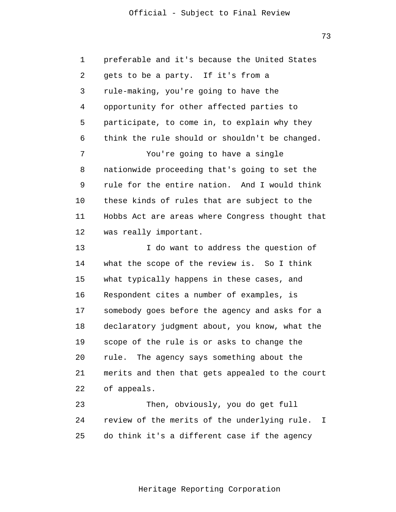1 2 3 4 5 6 7 8 9 10 11 12 preferable and it's because the United States gets to be a party. If it's from a rule-making, you're going to have the opportunity for other affected parties to participate, to come in, to explain why they think the rule should or shouldn't be changed. You're going to have a single nationwide proceeding that's going to set the rule for the entire nation. And I would think these kinds of rules that are subject to the Hobbs Act are areas where Congress thought that was really important.

13 14 15 16 17 18 19 20 21 22 I do want to address the question of what the scope of the review is. So I think what typically happens in these cases, and Respondent cites a number of examples, is somebody goes before the agency and asks for a declaratory judgment about, you know, what the scope of the rule is or asks to change the rule. The agency says something about the merits and then that gets appealed to the court of appeals.

23 24 25 Then, obviously, you do get full review of the merits of the underlying rule. I do think it's a different case if the agency

73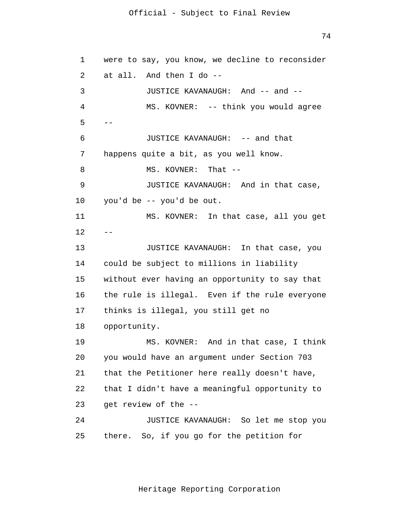74

```
1
 2
 3
 4
 5
 6
7
8
9
10
11
12
13
14
15
16
17
18
19
20
21
22
23
24
25
      --were to say, you know, we decline to reconsider 
      at all. And then I do --
               JUSTICE KAVANAUGH: And -- and --
               MS. KOVNER: -- think you would agree
               JUSTICE KAVANAUGH: -- and that 
      happens quite a bit, as you well know. 
               MS. KOVNER: That --
               JUSTICE KAVANAUGH: And in that case, 
      you'd be -- you'd be out. 
               MS. KOVNER: In that case, all you get 
               JUSTICE KAVANAUGH: In that case, you 
      could be subject to millions in liability 
      without ever having an opportunity to say that 
      the rule is illegal. Even if the rule everyone 
      thinks is illegal, you still get no 
      opportunity. 
               MS. KOVNER: And in that case, I think 
      you would have an argument under Section 703 
      that the Petitioner here really doesn't have, 
      that I didn't have a meaningful opportunity to 
      get review of the --
               JUSTICE KAVANAUGH: So let me stop you 
      there. So, if you go for the petition for
```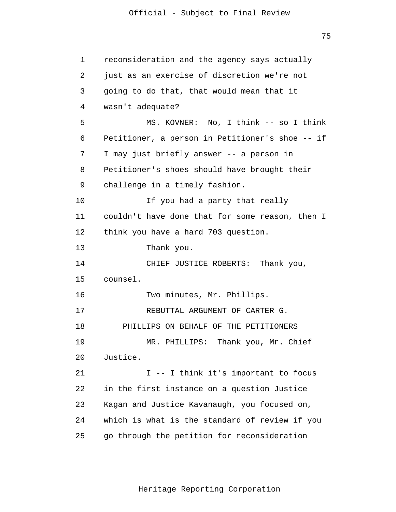1 2 3 4 5 6 7 8 9 10 11 12 13 14 15 16 17 18 19 20 21 22 23 24 25 reconsideration and the agency says actually just as an exercise of discretion we're not going to do that, that would mean that it wasn't adequate? MS. KOVNER: No, I think -- so I think Petitioner, a person in Petitioner's shoe -- if I may just briefly answer -- a person in Petitioner's shoes should have brought their challenge in a timely fashion. If you had a party that really couldn't have done that for some reason, then I think you have a hard 703 question. Thank you. CHIEF JUSTICE ROBERTS: Thank you, counsel. Two minutes, Mr. Phillips. REBUTTAL ARGUMENT OF CARTER G. PHILLIPS ON BEHALF OF THE PETITIONERS MR. PHILLIPS: Thank you, Mr. Chief Justice. I -- I think it's important to focus in the first instance on a question Justice Kagan and Justice Kavanaugh, you focused on, which is what is the standard of review if you go through the petition for reconsideration

75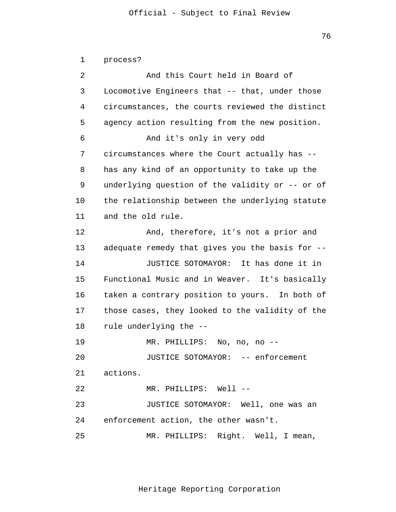76

 JUSTICE SOTOMAYOR: -- enforcement JUSTICE SOTOMAYOR: Well, one was an 1  $\overline{a}$ 3 4 5 6 7 8 9 10 11 12 13 14 15 16 17 18 19 20 21 22 23 24 25 process? And this Court held in Board of Locomotive Engineers that -- that, under those circumstances, the courts reviewed the distinct agency action resulting from the new position. And it's only in very odd circumstances where the Court actually has - has any kind of an opportunity to take up the underlying question of the validity or -- or of the relationship between the underlying statute and the old rule. And, therefore, it's not a prior and adequate remedy that gives you the basis for -- JUSTICE SOTOMAYOR: It has done it in Functional Music and in Weaver. It's basically taken a contrary position to yours. In both of those cases, they looked to the validity of the rule underlying the -- MR. PHILLIPS: No, no, no - actions. MR. PHILLIPS: Well - enforcement action, the other wasn't. MR. PHILLIPS: Right. Well, I mean,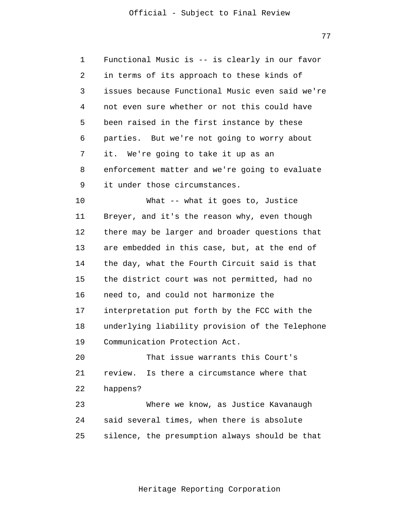1 2 3 4 5 6 7 8 9 Functional Music is -- is clearly in our favor in terms of its approach to these kinds of issues because Functional Music even said we're not even sure whether or not this could have been raised in the first instance by these parties. But we're not going to worry about it. We're going to take it up as an enforcement matter and we're going to evaluate it under those circumstances.

10 11 12 13 14 15 16 17 18 19 What -- what it goes to, Justice Breyer, and it's the reason why, even though there may be larger and broader questions that are embedded in this case, but, at the end of the day, what the Fourth Circuit said is that the district court was not permitted, had no need to, and could not harmonize the interpretation put forth by the FCC with the underlying liability provision of the Telephone Communication Protection Act.

20 21 22 That issue warrants this Court's review. Is there a circumstance where that happens?

23  $2.4$ 25 Where we know, as Justice Kavanaugh said several times, when there is absolute silence, the presumption always should be that

77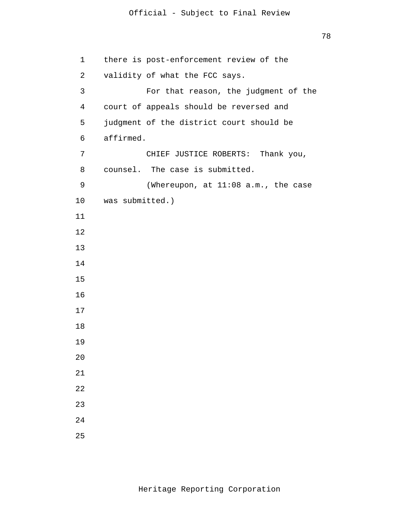| $\mathbf 1$    | there is post-enforcement review of the  |
|----------------|------------------------------------------|
| 2              | validity of what the FCC says.           |
| 3              | For that reason, the judgment of the     |
| $\overline{4}$ | court of appeals should be reversed and  |
| 5              | judgment of the district court should be |
| 6              | affirmed.                                |
| 7              | CHIEF JUSTICE ROBERTS: Thank you,        |
| 8              | counsel. The case is submitted.          |
| 9              | (Whereupon, at 11:08 a.m., the case      |
| 10             | was submitted.)                          |
| 11             |                                          |
| 12             |                                          |
| 13             |                                          |
| 14             |                                          |
| 15             |                                          |
| 16             |                                          |
| 17             |                                          |
| 18             |                                          |
| 19             |                                          |
| 20             |                                          |
| 21             |                                          |
| 22             |                                          |
| 23             |                                          |
| 24             |                                          |
| 25             |                                          |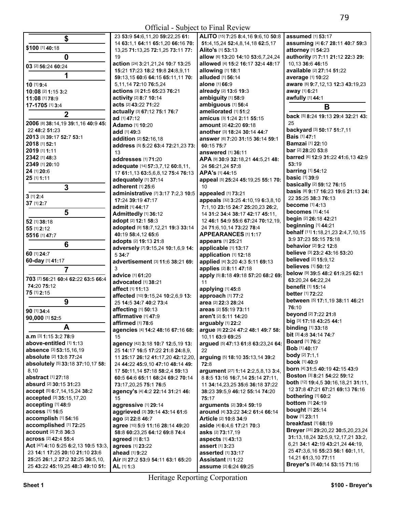| \$                                                  | 23 53:9 54:6,11,20 59:22,25 61:                                    | ALITO [15] 7:25 8:4,16 9:6,10 50:8                                  | assumed [1] 53:17                                                    |
|-----------------------------------------------------|--------------------------------------------------------------------|---------------------------------------------------------------------|----------------------------------------------------------------------|
|                                                     | 14 63:1,1 64:11 65:1,20 66:16 70:                                  | 51:4, 15, 24 52:4, 8, 14, 18 62:5, 17                               | assuming [4] 6:7 28:11 40:7 59:3                                     |
| \$100 [1] 40:18                                     | 13,25 71:13,25 72:1,25 73:11 77:                                   | Alito's [1] 53:13                                                   | attorney [1] 54:23                                                   |
| 0                                                   | 19                                                                 | allow [6] 13:20 14:10 53:6,7,24,24                                  | authority [7] 7:11 21:12 22:3 29:                                    |
| 03 [2] 56:24 60:24                                  | action [24] 3:21,21,24 10:7 13:25                                  | allowed [4] 15:2 16:17 32:4 48:17                                   | 10,13 36:6 46:15                                                     |
|                                                     | 15:21 17:23 18:2 19:8 24:8,9,11                                    | allowing [1] 18:1                                                   | available [2] 27:14 51:22                                            |
| 1                                                   | 59:13,15 60:6 64:15 65:11,11 70:                                   | alluded [1] 56:14                                                   | average [1] 10:22                                                    |
| 10 [1] 9:4                                          | 5,11,14 72:10 76:5,24                                              | alone [1] 66:9                                                      | aware [6] 9:7,12,13 12:3 43:19,23                                    |
| 10:08 [2] 1:15 3:2                                  | actions [3] 21:5 65:23 76:21                                       | already [2] 13:6 19:3                                               | away [1] 6:21                                                        |
| 11:08 [1] 78:9                                      | activity [2] 8:7 10:14                                             | ambiguity [1] 58:9                                                  | awfully [1] 44:1                                                     |
| 17-1705 [1] 3:4                                     | acts [2] 43:22 71:22                                               | ambiguous [1] 56:4                                                  | B                                                                    |
| $\mathbf{2}$                                        | actually [3] 67:12 75:1 76:7                                       | ameliorated [1] 51:2                                                | back [5] 8:24 19:13 29:4 32:21 43:                                   |
|                                                     | ad [1] 47:12                                                       | amicus [3] 1:24 2:11 55:15                                          | 25                                                                   |
| 2006 [8] 38:14,19 39:1,16 40:9 45:<br>22 48:2 51:23 | Adamo [1] 10:20                                                    | amount [2] 42:20 69:18                                              | backyard [3] 50:17 51:7,11                                           |
| 2013 [3] 39:17 52:7 53:1                            | add [1] 49:3                                                       | another [3] 18:24 30:14 44:7                                        | <b>Bais</b> [1] 47:1                                                 |
| 2018 [1] 52:1                                       | addition [2] 52:16,18                                              | answer [6] 7:20 31:15 36:14 59:1                                    | <b>Bamzai</b> [1] 22:10                                              |
| 2019 [1] 1:11                                       | address [5] 5:22 63:4 72:21,23 73:                                 | 60:15 75:7                                                          | <b>bar</b> [2] <b>28:20 53:</b> 8                                    |
| 2342 [1] 48:3                                       | 13                                                                 | answered [1] 36:11                                                  | barred [6] 12:9 31:22 41:6,13 42:9                                   |
| 2349 [1] 20:10                                      | addresses [1] 71:20                                                | APA [9] 30:9 32:18,21 44:5,21 48:                                   | 53:19                                                                |
| 24 [1] 20:6                                         | adequate [14] 57:3,7,12 60:8,11,                                   | 24 56:21,24 57:8                                                    | <b>barring</b> [1] 54:12                                             |
| 25 [1] 1:11                                         | 17 61:1,13 63:5,6,8,12 75:4 76:13                                  | APA's [1] 44:15                                                     | <b>basic [1] 39:9</b>                                                |
|                                                     | adequately [1] 37:14<br>adherent [1] 25:6                          | appeal [5] 25:24 45:19,25 55:1 70:<br>10                            | basically [2] 59:12 76:15                                            |
| $\overline{\mathbf{3}}$                             |                                                                    | appealed [1] 73:21                                                  | basis [8] 9:17 16:23 19:6 21:13 24:                                  |
| $3$ [1] $2:4$                                       | administrative [7] 3:17 7:2,3 10:5<br>17:24 39:19 47:17            | appeals [32] 3:25 4:10,19 6:3,8,10                                  | 22 35:25 38:3 76:13                                                  |
| 37 [1] 2:7                                          | admit [1] 44:17                                                    | 7:1,10 23:15 24:7 25:20,23 26:2,                                    | become [1] 4:13                                                      |
| 5                                                   | Admittedly [1] 36:12                                               | 14 31:2 34:4 38:17 42:17 45:11.                                     | becomes [1] 4:14                                                     |
| 52 [1] 38:18                                        | adopt [2] 12:1 58:3                                                | 12 46:1 54:9 55:6 67:24 70:12,19,                                   | begin [2] 26:18 42:21                                                |
| 55 [1] 2:12                                         | adopted [9] 18:7,12,21 19:3 33:14                                  | 24 71:6,10,14 73:22 78:4                                            | beginning [1] 44:21                                                  |
| 5516 [1] 47:7                                       | 40:19 58:4,12 65:6                                                 | APPEARANCES [1] 1:17                                                | behalf [11] 1:18,21,23 2:4,7,10,15                                   |
|                                                     | adopts [2] 19:13 21:8                                              | appears [1] 25:21                                                   | 3:9 37:23 55:15 75:18                                                |
| 6                                                   | adversely [7] 9:15,24 10:1,6,9 14:                                 | applicable [1] 13:17                                                | behavior [2] 9:2 12:8                                                |
| 60 [1] 24:7                                         | 5 34:7                                                             | application [1] 12:18                                               | believe [3] 23:2 43:16 53:20                                         |
| 60-day [1] 41:17                                    | advertisement [3] 11:6 38:21 69:                                   | applied [4] 3:20 4:3 5:11 69:13                                     | <b>believed</b> [2] 15:9,12                                          |
| 7                                                   | 3                                                                  | applies [2] 8:11 47:18                                              | <b>believes</b> [1] 50:12                                            |
|                                                     | advice [1] 61:20                                                   | apply [5] 8:18 49:18 57:20 68:2 69:                                 | below [9] 39:5 48:2 61:9,25 62:1                                     |
| 703 [7] 56:21 60:4 62:22 63:5 66:4                  | advocated [1] 38:21                                                | 11                                                                  | 63:20,24 64:22,24                                                    |
| 74:20 75:12                                         | affect [1] 11:13                                                   | applying [1] 45:8                                                   | benefit [1] 15:14                                                    |
| 75 [1] 2:15                                         | affected [10] 9:15,24 10:2,6,9 13:                                 | approach [1] 77:2                                                   | better [1] 72:22                                                     |
| 9                                                   | 25 14:5 34:7 40:2 73:4                                             | area [2] 22:3 28:24                                                 | between [5] 17:1,19 38:11 46:21                                      |
| 90 [1] 34:4                                         | affecting [1] 50:13                                                | areas [2] 55:19 73:11                                               | 76:10                                                                |
| 90,000 [1] 52:5                                     | affirmative [1] 47:9                                               | aren't [2] 5:11 14:20                                               | beyond [2] 7:22 21:8                                                 |
| A                                                   | affirmed [1] 78:6                                                  | arguably [1] 22:2                                                   | big [3] 17:18 43:25 44:1<br><b>binding</b> [1] 33:18                 |
|                                                     | agencies [4] 14:2 48:16 67:16 68:                                  | argue [8] 22:24 47:2 48:1 49:7 58:                                  | bit [3] 4:8 34:14 74:7                                               |
| a.m [3] 1:15 3:2 78:9                               | 15                                                                 | 10.11 63:9 69:25                                                    | <b>Board</b> [1] 76:2                                                |
| above-entitled [1] 1:13                             | agency [42] 3:18 10:7 12:5,19 13:                                  | argued [5] 47:13 61:8 63:23,24 64:                                  | <b>Bob</b> [1] <b>40:17</b>                                          |
| <b>absence</b> [3] 53:15,16,19                      | 25 14:17 16:5 17:22 21:8 24:8,9,                                   | 22                                                                  | <b>body</b> $[2]$ 7:1,1                                              |
| absolute [2] 13:8 77:24                             | 11 25:17 26:12 41:17,20 42:12,20,                                  | arguing [5] 18:10 35:13,14 39:2                                     | <b>book</b> [1] <b>40:</b> 9                                         |
| absolutely [5] 33:18 37:10,17 58:                   | 24 44:22 45:9,10 47:10 48:14 49:                                   | 72:8                                                                | born [4] 31:5 40:19 42:15 43:9                                       |
| 8,10<br>abstract [1] 27:18                          | 17 50:11,14 57:18 58:2,4 59:13<br>60:5 64:6 65:11 68:24 69:2 70:14 | argument [27] 1:14 2:2,5,8,13 3:4,                                  | <b>Boston</b> [3] 8:21 54:22 59:12                                   |
| <b>absurd</b> [2] <b>30:</b> 15 <b>31:</b> 23       | 73:17,20,25 75:1 76:5                                              | 8 8:5 13:16 16:7,14 25:14 27:11,<br>11 34:14,23,25 35:6 36:18 37:22 | <b>both</b> $[12]$ <b>19:</b> 4,5 <b>30:16</b> ,18,21 <b>31:11</b> , |
| accept [5] 6:7,14,15,24 38:2                        | agency's [4] 4:2 22:14 31:21 46:                                   | 38:23 39:5,9 46:12 55:14 74:20                                      | 12 37:8 47:21 67:21 69:13 76:16                                      |
| accepted [3] 35:15,17,20                            | 15                                                                 | 75:17                                                               | bothering $[1]$ 60:2                                                 |
| accepting [1] 48:9                                  | aggressive [1] 29:14                                               | arguments [2] 39:4 59:19                                            | <b>bottom</b> [1] 24:19                                              |
| access [1] 16:5                                     | aggrieved [3] 39:14 43:14 61:6                                     | around [4] 33:22 34:2 61:4 66:14                                    | <b>bought</b> [1] 25:14                                              |
| accomplish [1] 54:16                                | ago [2] 22:8 46:7                                                  | Article [2] 10:8 34:9                                               | bow [1] 23:11                                                        |
| accomplished [1] 72:25                              | agree [10] 5:9 11:16 28:14 49:20                                   | aside [4] 6:4,6 17:21 70:3                                          | breakfast [1] 68:19                                                  |
| account [2] 7:8 36:3                                | 58:8 60:23,25 64:12 69:8 74:4                                      | asks [2] 73:17,19                                                   | Breyer [35] 29:20,22 30:5,20,23,24                                   |
| across [2] 42:4 55:4                                | agreed [1] 8:13                                                    | aspects [1] 43:13                                                   | 31:13,18,24 32:5,9,12,17,21 33:2,                                    |
| Act [47] 4:10 5:25 6:2,13 10:5 13:3,                | agrees [1] 23:22                                                   | assert [1] 3:23                                                     | 6,21 34:1 42:19 43:21,24 44:19,                                      |
| 23 14:1 17:25 20:10 21:10 23:6                      | ahead [1] 9:22                                                     | <b>asserted</b> [1] 33:17                                           | 25 47:3,6,16 55:23 56:1 60:1,11,                                     |
| 25:25 26:1,2 27:2 32:25 36:5,10,                    | Air [5] 27:2 53:9 54:11 63:1 65:20                                 | Assistant [1] 1:22                                                  | 14,21 61:3,10 77:11                                                  |
| 25 43:22 45:19,25 48:3 49:10 51:                    | AL [1] 1:3                                                         | assume [2] 6:24 69:25                                               | Breyer's [3] 40:14 53:15 71:16                                       |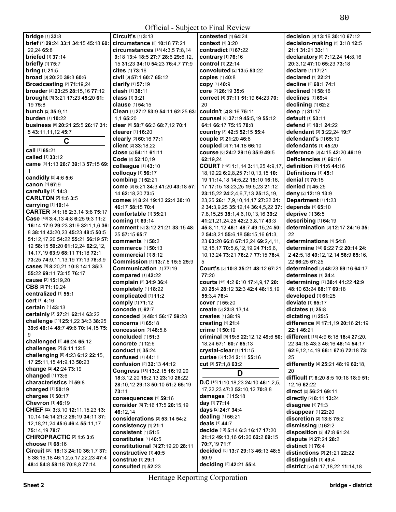| <b>bridge</b> [1] 33:8                           | Circuit's [1] 3:13                  | <b>contested</b> [1] 64:24                                           | decision [3] 13:16 30:10 67:12        |
|--------------------------------------------------|-------------------------------------|----------------------------------------------------------------------|---------------------------------------|
| brief [7] 29:24 33:1 34:15 45:18 60:             | circumstance [2] 10:18 77:21        | <b>context</b> [1] 3:20                                              | decision-making [5] 3:18 12:5         |
| 22,24 65:8                                       | circumstances [18] 4:3,5 7:8,14     | contradict $[1]$ 67:22                                               | 21:1 31:21 33:11                      |
| <b>briefed</b> [1] 37:14                         | 9:18 13:4 18:5 27:7 28:6 29:6,12,   | contrary [1] 76:16                                                   | declaratory [9] 7:12,24 14:8,16       |
| briefly $[1]$ 75:7                               | 15 31:23 34:10 54:23 76:4,7 77:9    | control [1] 22:14                                                    | 20:3.12 47:10 65:23 73:18             |
| <b>bring</b> [1] 21:5                            | $cites$ [1] $73:16$                 | convoluted [2] 13:5 53:22                                            | <b>declare</b> [1] <b>17:21</b>       |
| broad [3] 20:20 39:3 60:6                        | Civil [3] 57:1 60:7 65:12           | <b>copies</b> [1] 40:8                                               | declared [1] 22:21                    |
| Broadcasting [2] 71:19,24                        | <b>clarify</b> [1] 57:19            | copy [1] 40:9                                                        | decline [2] 68:1 74:1                 |
| broader [4] 23:25 28:15,16 77:12                 | <b>clash</b> [1] 38:11              | core [2] 26:19 35:6                                                  | <b>declined</b> [1] 58:16             |
| brought [5] 3:21 17:23 45:20 61:                 | <b>class</b> [1] 3:21               | correct [4] 37:11 51:19 64:23 70:                                    | declines [1] 69:4                     |
| 19 75:8                                          | <b>clause</b> [1] <b>54:15</b>      | 20                                                                   | declining [1] 62:2                    |
| bunch [2] 35:9,11                                | Clean [7] 27:2 53:9 54:11 62:25 63: | couldn't [2] 8:16 75:11                                              | deep [1] 31:17                        |
| burden [1] 10:22                                 | 1,1 65:20                           | Counsel [8] 37:19 45:5,19 55:12                                      | default [1] 53:11                     |
| business [8] 20:21 25:5 26:17 31:                | clear [5] 58:7 66:3 68:7,12 70:1    | 64:1 66:17 75:15 78:8                                                | <b>defend</b> [2] <b>18:1 24:22</b>   |
| 5 43:11,11,12 45:7                               | clearer [1] 16:20                   | country [3] 42:5 52:15 55:4                                          | defendant [3] 3:22,24 19:7            |
|                                                  | clearly [2] 60:16 77:1              | couple [2] 21:20 46:6                                                | defendant's [1] 65:10                 |
| C                                                | client [2] 33:18,22                 | coupled [3] 7:14,18 66:10                                            | defendants $[1]$ 45:20                |
| call [1] 65:21                                   | close [2] 54:11 61:11               | COUISE [6] 24:2 29:16 35:9 49:5                                      | deference [3] 4:15 42:20 46:19        |
| called [1] 33:12                                 | Code [2] 52:10.19                   | 62:19,24                                                             | Deficiencies [1] 66:16                |
| came [5] 1:13 26:7 39:13 57:15 69:               | colleague [1] 43:10                 | COURT [118] 1:1,14 3:11,25 4:9,17,                                   | definition [2] 11:6 44:16             |
| 1                                                | colloquy [1] 56:17                  | 18, 19, 22 6: 2, 8, 25 7: 10, 13, 15 10:                             | Definitions [1] 45:1                  |
| candidly [2] 4:6 5:6                             | combing [1] 52:21                   | 19 11:14,18 14:5,22 15:10 16:16,                                     | denial [1] 70:15                      |
| canon [1] 67:9                                   | come [8] 5:21 34:3 41:20 43:18 57:  | 17 17:15 18:23,25 19:5,23 21:12                                      | <b>denied</b> [1] 45:25               |
| carefully [1] 14:3                               | 14 62:18,20 73:5                    | 23:15,22 24:2,4,6,7,13 25:13,19,                                     | deny [2] 12:19 13:9                   |
| <b>CARLTON [2] 1:6 3:5</b>                       | comes [7] 8:24 19:13 22:4 30:10     | 23,25 26:1,7,9,10,14,17 27:22 31:                                    | Department [1] 1:23                   |
| carrying [1] 10:14                               | 46:17 58:15 70:4                    | 2 34:3,9,25 35:12,14 36:4,5,22 37:                                   | depends [1] 65:10                     |
| CARTER [5] 1:18 2:3,14 3:8 75:17                 | comfortable [1] 35:21               | 7,8,15,25 38:1,4,6,10,13,16 39:2                                     | deprive [1] 36:5                      |
| Case [48] 3:4,13 4:8 6:25 9:3 11:2               | coming [1] 69:14                    |                                                                      | describing [1] 64:19                  |
| 16:14 17:9 29:23 31:9 32:1,1,6 36:               | comment [6] 3:12 21:21 33:15 48:    | 41:21,21,24,25 42:2,3,8,17 43:3<br>45:8,11,12 46:1 48:7 49:15,24 50: | determination [3] 12:17 24:16 35:     |
| 8 38:14 43:20,23 45:23 48:5 50:5                 | 25 57:15 65:7                       |                                                                      | 22                                    |
| 51:12,17,20 54:22 55:21 56:19 57:                | <b>comments</b> [1] 58:2            | 2 54:8,21 55:6,18 58:15,16 61:3,                                     | determinations [1] 54:8               |
| 12 58:15 59:20 61:12,24 62:2,12,                 |                                     | 23 63:20 66:8 67:12,24 69:2,4,11,                                    |                                       |
| 14, 17, 19 63: 9 68: 11 71: 18 72: 1             | <b>commerce</b> [1] 50:13           | 12, 15, 17 70: 5, 6, 12, 19, 24 71: 6, 6,                            | determine [14] 6:22 7:2 20:14 24:     |
| 73:25 74:9,11,13,19 77:13 78:8,9                 | commercial [1] 8:12                 | 10, 13, 24 73: 21 76: 2, 7 77: 15 78: 4,                             | 2 42:5,18 49:12,12,14 56:9 65:16,     |
| cases [9] 8:20,21 10:8 14:1 35:3                 | Commission [4] 13:7,8 15:5 25:9     | 5                                                                    | 22 66:25 67:25                        |
| 55:22 69:11 73:15 76:17                          | Communication [1] 77:19             | Court's [5] 10:8 35:21 48:12 67:21                                   | determined [3] 48:23 59:16 64:17      |
| <b>cause</b> [2] <b>15:1</b> 9,20                | compared [1] 42:22                  | 77:20                                                                | determines [1] 24:4                   |
| CBS [2] 71:19,24                                 | complain [2] 34:9 36:4              | courts [15] 4:2 6:10 17:4,9,17 20:                                   | determining [7] 38:4 41:22 42:9       |
| centralized [1] 55:1                             | completely [1] 18:22                | 20 25:4 28:12 32:3 42:4 48:15,19                                     | 48:10 63:24 68:17 69:18               |
| cert [1] 4:16                                    | complicated [1] 11:2                | 55:3,4 76:4                                                          | developed [1] 61:25                   |
| <b>certain</b> [1] 43:13                         | comply [1] 71:12                    | cover [1] 55:20                                                      | deviate [1] 65:17                     |
| certainly [3] 27:21 62:14 63:22                  | concede [1] 62:7                    | create [3] 23:8,13,14                                                | dictates $[1]$ 25:8                   |
| challenge [11] 25:1,22 34:3 38:25                | conceded [3] 48:1 56:17 59:23       | <b>creates</b> [1] 38:19                                             | dictating [1] 25:5                    |
| 39:6 46:14 48:7 49:6 70:14,15 75:                | concerns [1] 65:18                  | creating [1] 21:4                                                    | difference [6] 17:1,19 20:16 21:19    |
| 9                                                | concession [2] 48:5,6               | crime [1] 50:19                                                      | 22:1 46:21                            |
| challenged [2] 46:24 65:12                       | concluded [1] 51:3                  | criminal [9] 19:8 22:12,12 49:6 50:                                  | different [18] 4:9 6:18 18:4 27:20,   |
| challenges [2] 5:11 12:5                         | concrete [1] 12:6                   | 18,24 57:1 60:7 65:13                                                | 22 34:18 43:3 46:16 48:14 54:17       |
| challenging [9] 4:23 6:12 22:15,                 | conduct [1] 35:24                   | crystal-clear [1] 11:15                                              | 62:9, 12, 14, 19 66:1 67:6 72:18 73:  |
| 17 25:11,15 41:9,13 50:23                        | confused [1] 44:11                  | curiae [3] 1:24 2:11 55:16                                           | 25                                    |
| change [2] 42:24 73:19                           | confusion [2] 32:13 44:12           | Cut [3] 57:1,8 63:2                                                  | differently [4] 25:21 48:19 62:18,    |
| changed [1] 73:6                                 | Congress [18] 13:2,15 16:19,20      | D                                                                    | 20                                    |
| characteristics [1] 59:8                         | 18:3,12,20 19:2,13 23:10 26:22      | D.C $[15]$ 1:10,18,23 24:10 46:1,2,5,                                | difficult [7] 6:20 8:5 10:18 18:9 51: |
| charged [1] 50:19                                | 28:10,12 29:13 50:10 51:2 65:19     | 17,22,23 47:3 52:10,12 70:8,8                                        | 12.16 62:22                           |
| charges [1] 50:17                                | 73:11                               | damages [1] 15:18                                                    | direct [2] 56:21 69:11                |
| Chevron [1] 46:19                                | consequences [1] 59:16              | day [1] 77:14                                                        | directly [2] 8:11 13:24               |
| CHIEF [22] 3:3,10 12:11,15,23 13:                | consider [6] 7:16 17:5 20:15,19     | days [2] 24:7 34:4                                                   | disagree [1] 71:3                     |
| 10,14 14:14 21:2 29:19 34:11 37:                 | 46:12,14                            | dealing [1] 56:21                                                    | disappear [1] 22:20                   |
| 12, 18, 21, 24 45: 6 46: 4 55: 11, 17            | considerations [2] 53:14 54:2       | deals [1] 44:7                                                       | discretion [2] 13:8 75:2              |
|                                                  | consistency [1] 21:1                | decide [13] 5:14 6:3 16:17 17:20                                     | dismissing [1] 62:2                   |
| 75:14,19 78:7<br><b>CHIROPRACTIC [2] 1:6 3:6</b> | consistent [1] 51:5                 |                                                                      | disposition [2] 47:8 61:24            |
| choose [1] 68:16                                 | constitutes [1] 40:5                | 21:12 49:13,16 61:20 62:2 69:15<br>70:7,19 71:7                      | dispute [2] 27:24 28:2                |
|                                                  | constitutional [3] 27:19,20 28:11   |                                                                      | distinct [1] 76:4                     |
| Circuit [20] 18:13 24:10 36:1,7 37:              | constructive [1] 40:5               | decided [5] 13:7 29:13 46:13 48:5<br>50:9                            | distinctions [2] 21:21 22:22          |
| 8 38:16,18 46:1,2,5,17,22,23 47:4                | <b>construe</b> [1] 29:1            | deciding [2] 42:21 55:4                                              | distinguish [1] 49:4                  |
| 48:4 54:8 58:18 70:8,8 77:14                     | <b>consulted</b> [1] 52:23          |                                                                      | district [37] 4:17,18,22 11:14,18     |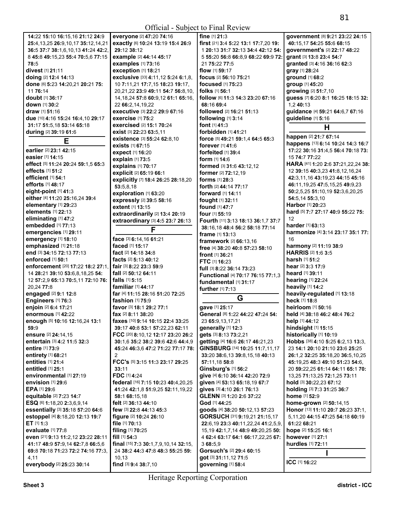|                                                |                                                      | OIIIUIAI - SUOJUU IV FIIIAI INVIUW   |                                       |
|------------------------------------------------|------------------------------------------------------|--------------------------------------|---------------------------------------|
| 14:22 15:10 16:15,16 21:12 24:9                | everyone [2] 47:20 74:16                             | fine $[1]$ 21:3                      | government [8] 9:21 23:22 24:15       |
| 25:4, 13, 25 26: 9, 10, 17 35: 12, 14, 21      | exactly [6] 10:24 13:19 15:4 26:9                    | first [21] 3:4 5:22 13:1 17:7,20 19: | 40:15.17 54:25 55:6 68:15             |
| 36:5 37:7 38:1,6,10,13 41:24 42:2,             | 29:12 38:12                                          | 1 20:13 31:7 32:13 34:4 42:12 54:    | government's [2] 22:17 48:22          |
| 8 45:8 49:15,23 55:4 70:5,6 77:15              | example [2] 44:14 45:17                              | 5 55:20 56:8 66:8,9 68:22 69:9 72:   | grant [3] 13:8 23:4 54:7              |
| 78:5                                           | examples [1] 73:16                                   | 21 75:22 77:5                        | granted [3] 4:16 36:16 62:3           |
| divest [1] 21:11                               | exception [1] 18:21                                  | flow $[1]$ 59:17                     | gray [1] 28:24                        |
| doing [2] 12:4 14:13                           | exclusive [33] 4:11,12 5:24 6:1,8,                   | focus [2] 56:10 75:21                | ground [1] 68:2                       |
|                                                |                                                      | <b>focused</b> [1] <b>75:23</b>      |                                       |
| done [6] 5:23 14:20,21 20:21 75:               | 10 7:11,21 17:7,15 18:23 19:17,                      |                                      | group [1] 45:20                       |
| 11 76:14                                       | 20,21,22 23:9 49:11 54:7 56:8,10,                    | folks [1] 56:1                       | growing [2] 51:7,10                   |
| doubt [1] 36:17                                | 14, 18, 24 57:8 60:9, 12 61:1 65:16,                 | follow [6] 11:3 14:3 23:20 67:16     | guess [7] 6:20 8:1 16:25 18:15 32:    |
| down [1] 30:2                                  | 22 66:2,14,19,22                                     | 68:16 69:4                           | 1,2 40:13                             |
| draw $[1]$ 51:16                               | executive [3] 22:2 29:9 67:16                        | followed [2] 16:21 51:13             | guidance [4] 59:21 64:6,7 67:16       |
| due [10] 4:16 15:24 16:4,10 29:17              | <b>exercise</b> [1] 75:2                             | following [1] 3:14                   | guideline [1] 5:16                    |
| 31:17 51:5,18 53:14 65:18                      | exercised [2] 15:1 70:24                             | font [1] 41:3                        | Н                                     |
| during [2] 39:19 61:6                          | exist [3] 22:23 63:5,11                              | forbidden [1] 41:21                  | happen [2] 21:7 67:14                 |
| Е                                              | existence [3] 55:24 62:8,10                          | force [5] 49:21 59:1,4 64:5 65:3     | happens [13] 6:14 10:24 14:3 16:7     |
| earlier [2] 23:1 42:15                         | exists [1] 67:15                                     | forever $[1]$ 41:6                   | 17:22 30:16 31:4,5 56:4 70:18 73:     |
| easier [1] 14:15                               | expect [1] 16:20                                     | forfeited [1] 39:4                   | 15 74:7 77:22                         |
| effect [5] 11:24 20:24 59:1,5 65:3             | explain [1] 73:5                                     | form [1] 14:6                        | HARA [41] 1:20 2:6 37:21,22,24 38:    |
| effects [1] 51:2                               | explains [1] 70:17                                   | formed [3] 31:6 43:12,12             |                                       |
|                                                | explicit [2] 65:19 66:1                              | <b>former</b> [2] <b>72:</b> 12,19   | 12 39:15 40:3,23 41:8,12,16,24        |
| <b>efficient</b> [1] 54:1<br>efforts [1] 48:17 | explicitly [7] 18:4 26:25 28:18,20                   | <b>forms</b> $[1]$ 28:3              | 42:3,11,16 43:19,23 44:15 45:16       |
|                                                | 53:5,8,18                                            | <b>forth</b> [2] <b>44:14 77:17</b>  | 46:11, 19, 25 47: 5, 15, 25 49: 9, 23 |
| eight-point [1] 41:3                           | exploration [1] 63:20                                | forward [1] 14:11                    | 50:2,5,25 51:10,19 52:3,6,20,25       |
| either [4] 11:20 25:16,24 39:4                 | expressly [2] 39:5 58:16                             | fought [1] 32:11                     | 54:5,14 55:3,10                       |
| elementary [1] 29:23                           | extent [1] 13:15                                     | found [1] 47:7                       | <b>Harbor</b> [1] <b>20:23</b>        |
| elements [1] 22:13                             | extraordinarily [2] 13:4 20:19                       | four $[1]$ 55:19                     | hard [5] 7:7 27:17 40:9 55:22 75:     |
| eliminating [1] 47:2                           | extraordinary [3] 4:5 23:7 26:13                     | Fourth [11] 3:13 18:13 36:1,7 37:7   | 12                                    |
| embedded [1] 77:13                             | F                                                    | 38:16,18 48:4 56:2 58:18 77:14       | harder [1] 63:13                      |
| emergencies [1] 29:11                          |                                                      | frame [1] 13:13                      | harmonize [4] 3:14 23:17 35:1 77:     |
| emergency [1] 18:10                            | face [3] 6:14,16 61:21                               | framework [2] 66:13,16               | 16                                    |
| emphasized [1] 21:18                           | faced [1] 15:17                                      | free [4] 38:20 40:8 57:23 58:10      | harmony [2] 11:19 38:9                |
| end [3] 34:15 72:13 77:13                      | fact [2] 14:18 34:8                                  | <b>front</b> [1] 36:21               | HARRIS [2] 1:6 3:5                    |
| enforced [1] 50:1                              | facts [2] 5:13 40:12                                 | FTC [1] 16:23                        | <b>harsh</b> [1] 51:2                 |
| enforcement [20] 17:22 18:2 27:1,              | fair [3] 8:22 23:3 59:9                              | full [3] 8:22 36:14 73:23            | hear [2] 3:3 17:9                     |
| 14 28:21 39:10 53:6,8,18,25 54:                | fall [2] 50:12 64:11                                 | Functional [4] 70:17 76:15 77:1,3    | heard [1] 39:11                       |
| 12 57:2.9 65:13 70:5.11 72:10 76:              | <b>falls</b> $[1]$ 5:15                              | fundamental [1] 31:17                | hearing [1] 22:24                     |
| 20,24 77:8                                     | familiar [1] 44:17                                   | further [1] 7:13                     | heavily [1] 14:2                      |
| engaged [2] 9:1 12:8                           | far [4] 11:15 28:16 51:20 72:25                      |                                      | heavily-regulated [1] 13:18           |
| Engineers [1] 76:3                             | fashion [1] 75:9                                     | G                                    | heck [1] 18:8                         |
| enjoin [2] 6:4 17:21                           | favor [3] 18:1 29:2 77:1                             | gave [1] 25:17                       | heirloom [1] 50:16                    |
| enormous [1] 42:22                             | <b>fax</b> $[2]$ <b>8:11 38:20</b>                   | General [8] 1:22 44:22 47:24 54:     | held [4] 38:18 46:2 48:4 76:2         |
| enough [5] 10:16 12:16,24 13:1                 | faxes [10] 9:14 10:15 22:4 33:25                     | 23 65:9,13,17,21                     | help [1] 44:12                        |
| 59:9                                           | 39:17 40:8 53:1 57:22,23 62:11                       | generally [1] 12:3                   | hindsight [1] 15:15                   |
| ensure [2] 24:14,15                            | FCC [20] 8:10,12 12:17 23:20 26:2                    | gets [3] 8:13 73:2,21                | historically [1] 10:19                |
| entertain [3] 4:2 11:5 32:3                    | 30:1.6 35:2 38:2 39:6 42:6 44:4.9                    | getting [4] 16:6 26:17 46:21,23      | Hobbs [38] 4:10 5:25 6:2,13 13:3,     |
| <b>entire</b> [1] 73:9                         | 45:24 46:3.6 47:2 71:22 77:17 78:                    | GINSBURG [14] 10:25 11:7,11,17       | 23 14:1 20:10 21:10 23:6 25:25        |
| entirety [1] 68:21                             | $\overline{2}$                                       | 33:20 38:6,13 39:8,15,18 40:13       | 26:1,2 32:25 35:18,20 36:5,10,25      |
| entities [1] 21:4                              | FCC's [5] 3:15 11:3 23:17 29:25                      | 57:11,18 58:8                        | 45:19,25 48:3 49:10 51:23 54:6,       |
| entitled [1] 25:1                              | 33:11                                                | Ginsburg's [1] 56:2                  | 20 59:22,25 61:14 64:11 65:1 70:      |
| environmental [1] 27:19                        | <b>FDC</b> [1] <b>4:24</b>                           | give [4] 6:10 36:14 42:20 72:9       | 13,25 71:13,25 72:1,25 73:11          |
| envision [1] 29:6                              | federal [16] 7:15 10:23 40:4,20,25                   | given [4] 53:13 65:18,19 67:7        | hold [3] 30:22,23 67:12               |
| EPA [1] 29:6                                   | 41:24 42:1,8 51:9,25 52:11,19,22                     | gives [3] 4:10 26:1 76:13            | holding [3] 7:3 31:25 36:7            |
| equitable [2] 7:23 14:7                        | 58:1 68:15,18                                        | GLENN [3] 1:20 2:6 37:22             | home [1] 52:9                         |
| ESQ [6] 1:18,20 2:3,6,9,14                     | felt [2] 36:13 44:10                                 | God [1] 44:25                        | home-grown [2] 50:14,15               |
| essentially [3] 35:18 57:20 64:6               | few [3] 22:8 44:13 45:3                              | goods [4] 38:20 50:12,13 57:23       | Honor [13] 11:10 20:7 26:23 37:1,     |
| estoppel [4] 8:18,20 12:13 19:7                | figure [2] 10:24 26:10                               | GORSUCH [31] 9:19,21 21:15,17        | 5,11,20 44:15 47:25 54:18 60:19       |
| ET $[1]$ 1:3                                   | file [1] 70:13                                       | 22:6,19 23:3 40:11,22,24 41:2,5,9,   | 61:22 68:21                           |
| <b>evaluate</b> [1] 77:8                       | filing [1] 70:25                                     | 15,19 42:1,7,14 48:9 49:20,25 50:    | hope [2] 15:25 16:1                   |
| even [21] 9:13 11:2,12 23:22 28:11             | fill $[1]$ 54:3                                      | 4 62:4 63:17 64:1 66:17,22,25 67:    | <b>however</b> [1] 27:1               |
| 41:17 48:9 57:9,14 62:7,8 66:5,6               | <b>final</b> $[15]$ <b>7:3 30:1,7,9,10,14 32:15,</b> | 368:5,9                              | hurdles [1] 72:11                     |
| 69:8 70:18 71:23 72:2 74:16 77:3,              | 24 38:2 44:3 47:8 48:3 55:25 59:                     | Gorsuch's [2] 29:4 60:15             |                                       |
| 4,11                                           | 10, 13                                               | got [3] 31:11,12 71:5                |                                       |
|                                                |                                                      |                                      | ICC [1] 16:22                         |
| everybody [2] 25:23 30:14                      | find [3] 9:4 38:7,10                                 | governing [1] 58:4                   |                                       |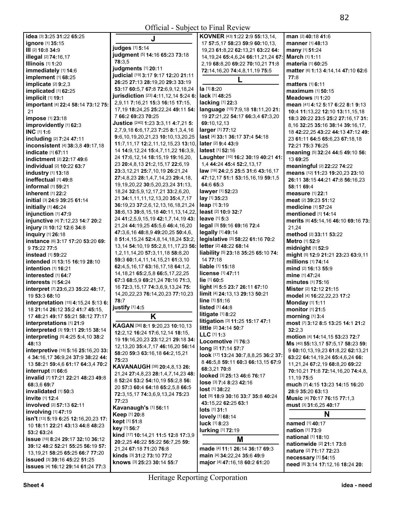|                                          |                                                   | OTHUM - SUOJUU TO TIHAI KUVIUW               |                                      |
|------------------------------------------|---------------------------------------------------|----------------------------------------------|--------------------------------------|
| <b>idea</b> [3] <b>3:25 31:22 65:25</b>  | J                                                 | <b>KOVNER</b> [43] <b>1:22 2:9 55:13,14,</b> | man [2] 40:18 41:6                   |
| ignore [1] 35:15                         |                                                   | 17 57:5,17 58:23 59:9 60:10,13,              | <b>manner</b> [1] 48:13              |
| III [2] 10:8 34:9                        | judges [1] 5:14                                   | 19,23 61:8,22 62:13,21 63:22 64:             | many [1] 51:24                       |
| <b>illegal</b> [2] <b>74:16,17</b>       | judgment [5] 14:16 65:23 73:18                    | 14, 19, 24 65: 4, 6, 24 66: 11, 21, 24 67:   | March [1] 1:11                       |
| <b>Illinois</b> [1] 1:20                 | 78:3.5                                            | 2,19 68:8,20 69:22 70:10,21 71:8             | materia [1] 60:25                    |
| immediately [1] 14:6                     | judgments [1] 20:11                               | 72:14,16,20 74:4,8,11,19 75:5                | matter [6] 1:13 4:14,14 47:10 62:6   |
| implement [1] 68:25                      | judicial [19] 3:17 9:17 12:20 21:11               |                                              | 77:8                                 |
| implicate [2] 9:2,3                      | 26:25 27:13 28:19,20 29:3 33:19                   |                                              | matters [1] 6:11                     |
| implicated [1] 62:25                     | 53:17 60:5,7 67:8 72:6,9,12,18,24                 | la [1] 8:20                                  | maximum [1] 50:15                    |
| implicit [1] 19:1                        | jurisdiction [23] 4:11,12,14 5:24 6:              | lack [1] 48:25                               | Meadows $[1]$ 1:20                   |
| important [4] 22:4 58:14 73:12 75:       | 2,9,11 7:16,21 15:3 16:15 17:15,                  | lacking [1] 22:3                             | mean [41] 4:12 5:17 6:22 8:1 9:13    |
| 21                                       | 17,19 18:24,25 25:22,24 49:11 54:                 | language [15] 7:9,18 18:11,20 21:            | 10:4 11:13,22 12:10 13:11,15,18      |
| impose [1] 23:18                         | 7 66:2 69:23 70:25                                | 19 27:21,22 54:17 66:3,4 67:3,20             | 18:3 20:22 23:5 25:2 27:16,17 31:    |
| improvidently [1] 62:3                   | <b>Justice</b> [240] <b>1:23 3:3,11 4:7,21 5:</b> | 69:10,12,13                                  | 8,16 32:25 35:16 38:14 39:16,17,     |
| INC [1] 1:6                              | 2,7,9,18 6:6,17,23 7:25 8:1,3,4,16                | larger [1] 77:12                             | 18 42:22,25 43:22 44:13 47:12 49:    |
| including [2] 7:24 47:11                 | 9:6,10,19,20,21,23 10:10,13,20,25                 | last [4] 33:1 36:17 37:4 54:18               | 23 61:11 64:5 65:6,23 67:18,18       |
| <b>inconsistent</b> [4] 38:3,8 49:17,18  | 11:7,11,17 12:2,11,12,15,23 13:10,                | <b>later</b> [2] <b>9:4 43:9</b>             | 72:21 75:3 76:25                     |
| <b>indicate</b> [1] <b>67:11</b>         | 14 14:9,12,24 15:4,7,11,22 16:3,9,                | latest [1] 52:16                             | meaning [5] 32:24 44:5 49:10 56:     |
| indictment [2] 22:17 49:6                | 24 17:6,12,14 18:15,19 19:16,20,                  | Laughter [10] 16:2 30:19 40:21 41:           | 13 69:25                             |
| <b>individual</b> [2] <b>10:22 63:7</b>  | 23 20:4,8,13 21:2,15,17 22:6,19                   | 1,4 44:24 45:4 52:2,13,17                    | <b>meaningful</b> [2] 22:22 74:22    |
| industry [1] 13:18                       | 23:3,12,21 25:7,10,19 26:21,24                    | law [16] 24:2,5 25:5 31:6 43:16,17           | means [12] 11:23 19:20,23 23:10      |
| ineffectual [1] 49:8                     | 27:4,8,23 28:1,4,7,14,23 29:4,18,                 | 47:12,17 51:1 53:15,16,19 59:1,5             | 26:11 38:15 44:21 47:8 56:16.23      |
| informal [1] 59:21                       | 19, 19, 20, 22 30: 5, 20, 23, 24 31: 13,          | 64:6 65:3                                    | 58:11 69:4                           |
| <b>inherent</b> [1] <b>22:</b> 2         | 18,24 32:5,9,12,17,21 33:2,6,20,                  | lawyer [1] 52:23                             | <b>measure</b> [1] 22:1              |
| initial [3] 24:9 39:25 61:14             | 21 34:1,11,11,12,13,20 35:4,7,17                  | lay [1] 35:23                                | meat [2] 39:23 51:12                 |
| initially [1] 46:24                      | 36:19,23 37:2,6,12,13,16,18,21,24                 | leap [1] 3:19                                | medicine [1] 57:24                   |
| injunction [1] 47:9                      | 38:6, 13 39:8, 15, 18 40:11, 13, 14, 22,          | least [2] 10:9 32:7                          | <b>mentioned</b> [1] <b>14:14</b>    |
| injunctive [4] 7:12,23 14:7 20:2         | 24 41:2,5,9,15,19 42:1,7,14,19 43:                | <b>leave</b> $[1]$ 5:3                       | merits [6] 45:14, 16 46:10 69:16 73: |
| injury [3] 10:12 12:6 34:8               | 21,24 44:19,25 45:5,6 46:4,16,20                  | legal [3] 59:16 69:16 72:4                   | 21,24                                |
| <b>inquiry</b> [1] 26:18                 | 47:3,6,16 48:8,9 49:20,25 50:4,6,                 | legally [1] 49:14                            | method [2] 33:11 53:22               |
| instance [6] 3:17 17:20 53:20 69:        | 8 51:4, 15, 24 52:4, 8, 14, 18, 24 53:2,          | legislative [3] 58:22 61:16 70:2             | Metro [1] 52:9                       |
| 9 75:22 77:5                             | 13, 14 54: 10, 19 55: 2, 8, 11, 17, 23 56:        | <b>letter</b> [2] 48:22 68:14                | midnight $[1]$ 52:9                  |
| <b>instead</b> [1] <b>59:22</b>          | 1,2,11,14,20 57:3,11,18 58:8,20                   | liability [5] 23:18 35:25 65:10 74:          | might [5] 12:9 21:21 23:23 63:9,11   |
| intended [3] 13:15 16:19 28:10           | 59:3 60:1,4,11,14,15,21 61:3,10                   | 14 77:18                                     | millions [1] 74:14                   |
| intention $[1]$ 16:21                    | 62:4,5,16,17 63:16,17,18 64:1,2,                  | liable [1] 15:18                             | mind [2] 16:13 55:9                  |
| interested [1] 64:7                      | 14, 18, 21 65: 2, 5, 8 66: 5, 17, 22, 25          | license [1] 47:11                            | mine [1] 47:24                       |
| <b>interests</b> [1] <b>54:24</b>        | 67:3 68:5,9 69:21,24 70:16 71:3,                  | lie [1] 60:5                                 | <b>minutes</b> [1] <b>75:16</b>      |
| interpret [7] 23:6,23 35:22 48:17,       | 16 72:3,15,17 74:3,6,9,13,24 75:                  | light [4] 5:5 23:7 26:11 67:10               | Mister [2] 12:12 21:15               |
| 19 53:3 68:10                            | 14, 20, 22, 23 76: 14, 20, 23 77: 10, 23          | limit [4] 24:13,13 29:13 50:21               | model [4] 16:22,22,23 17:2           |
| interpretation [15] 4:15,24 5:13 6:      | 78:7                                              | line [1] 51:16                               | <b>Monday</b> [1] 1:11               |
| 18 21:14 26:12 35:2 41:7 45:15,          | justify [1] 4:5                                   | <b>listed</b> $[1]$ 44:8                     | monitor [1] 21:5                     |
| 17 48:21 49:17 55:21 58:12 77:17         | Κ                                                 | litigate $[1]$ 8:22                          | <b>morning</b> [1] 3:4               |
| interpretations [1] 21:9                 |                                                   | litigation [3] 11:25 15:17 47:1              | most [7] 3:12 8:5 13:25 14:1 21:2    |
| interpreted [3] 19:11 29:15 38:14        | KAGAN [36] 8:1 9:20,23 10:10,13                   | little [2] 34:14 50:7                        | 32:2.3                               |
| interpreting [5] 4:25 5:4,10 38:2        | 12:2,12 16:24 17:6,12,14 18:15,                   | LLC [1] 1:3                                  | motion [4] 14:14,15 53:23 72:7       |
| 48:13                                    | 19 19:16,20,23 23:12,21 29:18 34:                 | Locomotive [1] 76:3                          | Ms [40] 55:13,17 57:5,17 58:23 59:   |
| interpretive [18] 5:16 25:16,20 33:      | 12, 13, 20 35: 4, 7, 17 46: 16, 20 56: 14         | long [2] 17:14 57:7                          | 9 60:10,13,19,23 61:8,22 62:13,21    |
| 4 34:16.17 36:9.24 37:9 38:22 44:        | 58:20 59:3 63:16,18 64:2,15,21                    | look [17] 13:24 30:7,8,8,25 36:2 37:         | 63:22 64:14,19,24 65:4,6,24 66:      |
| 13 58:21 59:4,6 61:17 64:3,4 70:2        | 75:23                                             | 8 46:5,8 59:11 60:3 66:13,15 67:9            | 11,21,24 67:2,19 68:8,20 69:22       |
| interrupt $[1]$ 66:6                     | <b>KAVANAUGH [38] 20:4,8,13 26:</b>               | 68:3,21 70:8                                 | 70:10,21 71:8 72:14,16,20 74:4,8,    |
| invalid [7] 17:21 22:21 48:23 49:8       | 21,24 27:4,8,23 28:1,4,7,14,23 48:                | looked [3] 25:13 46:6 76:17                  | 11, 19 75:5                          |
| 68:3.6 69:7                              | 8 52:24 53:2 54:10,19 55:2,8 56:                  | lose [3] 7:4 8:23 42:16                      | much [7] 4:15 13:23 14:15 16:20      |
| invalidated [1] 50:3                     | 20 57:3 60:4 64:18 65:2.5.8 66:5                  | $lost$ [1] $38:22$                           | 28:9 35:20 63:13                     |
| invite [1] 12:4                          | 72:3,15,17 74:3,6,9,13,24 75:23                   | lot [9] 18:9 30:16 33:7 35:8 40:24           | Music [4] 70:17 76:15 77:1,3         |
| <b>involved</b> [2] <b>57:13 62:11</b>   | 77:23                                             | 43:15,22 62:25 63:1                          | must [3] 31:6,25 40:17               |
| involving [1] 47:19                      | Kavanaugh's [1] 56:11                             | lots [1] 31:1                                |                                      |
| isn't [13] 5:19 6:25 12:16,20,23 17:     | Keep [1] 20:8                                     | lovely [1] 68:14                             | N                                    |
| 10 18:11 22:21 43:13 44:8 48:23          | kept [1] 51:8                                     | luck [1] 8:23                                | named [1] 40:17                      |
| 53:2 63:24                               | key [1] 56:7                                      | lurking [1] 72:19                            | <b>nation</b> [1] 73:9               |
| issue [16] 8:24 29:17 32:10 36:12        | kind [17] 10:14,21 11:5 12:8 17:3,9               | M                                            | <b>national</b> [1] 18:10            |
| 39:12 48:2 52:21 55:25 56:19 57:         | 20:2,25 46:22 55:22 56:7,25 59:                   |                                              | nationwide [2] 21:1 73:8             |
| 13, 19, 21 58: 25 65: 25 66: 7 77: 20    | 21,24 67:18 71:20 76:8                            | made [4] 11:1 26:14 36:17 69:3               | nature [2] 71:17 72:23               |
| issued [3] 39:16 45:22 51:25             | kinds [3] 31:2 73:10 77:2                         | main [4] 34:22,24 35:6 49:9                  | necessary [1] 54:15                  |
| <b>ISSUES [4] 16:12 29:14 61:24 77:3</b> | knows [3] 25:23 30:14 55:7                        | major [4] 47:16,18 60:2 61:20                | need [8] 3:14 17:12,16 18:24 20:     |

**issues** [4] **16:**12 **29:**14 **61:**24 **77:**3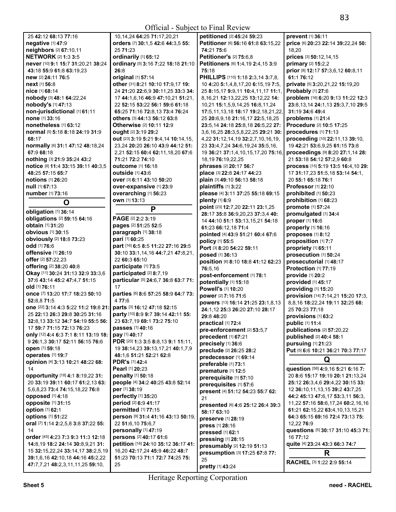| 25 42:12 68:13 77:16                          | 10,14,24 64:25 71:17,20,21          | petitioned [2] 45:24 59:23                 | prevent [1] 36:11                      |
|-----------------------------------------------|-------------------------------------|--------------------------------------------|----------------------------------------|
| negative [1] 47:9                             | orders [7] 30:1,5 42:6 44:3,5 55:   | Petitioner [6] 56:16 61:8 63:15,22         | price [6] 20:23 22:14 39:22,24 50:     |
|                                               |                                     |                                            |                                        |
| neighbors [2] 67:10,11                        | 25 71:23                            | 74:21 75:6                                 | 18,20                                  |
| <b>NETWORK [2] 1:3 3:5</b>                    | ordinarily [1] 65:12                | <b>Petitioner's [2] 75:6,8</b>             | prices [3] 50:12,14,15                 |
| never [10] 9:1 15:7 31:20,21 38:24            | ordinary [5] 3:16 7:22 18:18 21:10  | Petitioners [6] 1:4,19 2:4,15 3:9          | primary [2] 15:2,2                     |
|                                               |                                     |                                            |                                        |
| 43:18 55:9 61:8 63:19.23                      | 26:8                                | 75:18                                      | prior [8] 12:17 57:3,6,12 60:8,11      |
| new [2] 24:11 76:5                            | original [1] 57:14                  | PHILLIPS [110] 1:18 2:3,14 3:7,8,          | 61:1 76:12                             |
|                                               |                                     |                                            |                                        |
| <b>next</b> [1] 56:8                          | other [31] 8:21 10:10 17:9,17 19:   | 10 4:20 5:1,4,8,17,20 6:15,19 7:5,         | private [5] 3:20,21,22 15:19,20        |
| nice [1] 68:14                                | 24 21:20 22:6,9 30:11,25 33:3 34:   | 25 8:15,17 9:9,11 10:4,11,17 11:1,         | Probably [1] 27:6                      |
| nobody [3] 48:1 64:22,24                      | 17 44:1,6,16 46:9 47:10,21 51:21,   | 8, 16, 21 12: 13, 22, 25 13: 12, 22 14:    | problem [16] 6:20 9:13 11:22 12:3      |
|                                               |                                     |                                            |                                        |
| nobody's [1] 47:13                            | 22 52:15 53:22 56:1 59:6 61:18      | 10,21 15:1,5,9,14,25 16:8,11,24            | 23:8, 13, 14 24:1, 13 25:3, 7, 10 29:5 |
| non-jurisdictional [1] 61:11                  | 65:25 71:16 72:8.13 73:4 76:24      | 17:5, 11, 13, 18 18: 17 19: 2, 18, 21, 22, | 31:19 34:6 49:4                        |
| none [1] 33:16                                | others [3] 44:13 56:12 63:8         | 25 20:6,9,18 21:16,17 22:5,18,25           | problems [1] 21:4                      |
|                                               |                                     |                                            |                                        |
| nonetheless [1] 63:12                         | Otherwise [2] 10:11 12:9            | 23:5,14 24:18 25:8,18 26:5,22 27:          | Procedure [2] 10:5 17:25               |
| <b>normal</b> [5] <b>5:18 8:18 24:19 31:9</b> | ought [2] 3:19 29:2                 | 3,6,16,25 28:3,5,8,22,25 29:21 30:         | procedures [1] 71:13                   |
| 68:17                                         | out [23] 3:19 5:21 9:4,14 10:14,15, | 4,22 31:12,14,19 32:2,7,10,16,19,          | proceeding [10] 22:11,13 39:10,        |
|                                               |                                     |                                            |                                        |
| normally [6] 31:1 47:12 48:18,24              | 23,24 20:20 26:10 43:9 44:12 51:    | 23 33:4,7,24 34:6,19,24 35:5,16,           | 19 42:21 53:6,9,25 61:15 73:8          |
| 67:9 68:18                                    | 2,21 52:15 60:4 62:11,18,20 67:6    | 19 36:21 37:1,4,10,15,17,20 75:16,         | proceedings [9] 8:20 27:1,14 28:       |
|                                               |                                     |                                            |                                        |
| nothing [3] 21:9 35:24 43:2                   | 71:21 72:2 74:10                    | 18, 19 76: 19, 22, 25                      | 21 53:18 54:12 57:2.9 60:8             |
| notice [8] 11:4 33:15 39:11 40:3,5            | <b>outcome</b> [1] 16:18            | phrases [2] 20:17 56:7                     | process [15] 5:19 13:5 16:4,10 29:     |
| 48:25 57:15 65:7                              | <b>outside</b> [1] 43:6             | place [3] 22:8 24:17 44:23                 | 17 31:17,23 51:5,18 53:14 54:1,        |
|                                               |                                     |                                            |                                        |
| <b>notions</b> [1] 26:20                      | <b>over</b> [3] 6:11 43:10 50:20    | plain [3] 49:10 56:13 58:18                | 20 55:1 65:18 76:1                     |
| $null$ [1] 67:13                              | over-expansive [1] 23:9             | plaintiffs [1] 3:22                        | <b>Professor</b> [1] 22:10             |
| number [1] 73:16                              | overarching [1] 56:23               | please [4] 3:11 37:25 55:18 69:15          | prohibited [1] 50:23                   |
|                                               |                                     |                                            |                                        |
| O                                             | own [1] 13:13                       | plenty $[1]$ 6:9                           | prohibition [1] 68:23                  |
|                                               |                                     | point [23] 12:7,20 22:11 23:1,25           | promote [1] 57:24                      |
| obligation [1] 36:14                          | P                                   |                                            |                                        |
| obligations [2] 59:15 64:16                   | PAGE [2] 2:2 3:19                   | 28:17 35:8 36:9,20,23 37:3,4 40:           | promulgated [1] 34:4                   |
|                                               |                                     | 14 44:10 51:1 53:13,15,21 54:18            | proper [1] 16:6                        |
| obtain [1] 31:20                              | pages [2] 51:25 52:5                | 61:23 66:12,18 71:4                        | properly [1] 16:16                     |
| <b>obvious</b> [1] 30:15                      | paragraph [1] 38:18                 |                                            |                                        |
|                                               |                                     | pointed [4] 43:9 51:21 60:4 67:6           | proposes [1] 8:12                      |
| obviously [2] 18:8 73:23                      | pari [1] 60:25                      | policy [1] 55:5                            | proposition [1] 7:7                    |
| odd [1] 76:6                                  | part [16] 6:5 8:5 11:22 27:16 29:5  | Port [3] 8:20 54:22 59:11                  | propriety [1] 65:11                    |
| offensive [1] 26:19                           | 30:10 33:1,14,16 44:7,21 47:8,21,   |                                            |                                        |
|                                               |                                     | posed [1] 36:13                            | prosecution [1] 50:24                  |
| offer [2] 57:22,23                            | 22 60:3 65:10                       | position [6] 8:10 18:8 41:12 62:23         | prosecutorial [1] 48:17                |
| offering [2] 38:20 40:8                       | participate [1] 73:5                | 76:5,16                                    | Protection [1] 77:19                   |
|                                               | participated [2] 8:7,19             |                                            |                                        |
| Okay [11] 30:24 31:13 32:9 33:3,6             |                                     | post-enforcement [1] 78:1                  | provide [1] 20:2                       |
| 37:6 43:14 45:2 47:4,7 51:15                  | particular [5] 24:6,7 36:8 63:7 71: | potentially [1] 15:18                      | provided [1] 45:17                     |
| old [1] 76:11                                 | 17                                  |                                            |                                        |
|                                               |                                     | Powell's [1] 10:20                         | providing [1] 15:20                    |
| once [7] 13:20 17:7 18:23 50:10               | parties [6] 8:6 57:25 58:9 64:7 73: | power [2] 7:16 71:6                        | provision [14] 7:14,21 15:20 17:3,     |
| 52:8,8 71:5                                   | 4 77:6                              | powers [13] 16:14 21:25 23:1,8,13          | 8,8,16 18:22,24 19:11 32:25 68:        |
| one [22] 3:14 4:3 5:22 11:2 19:8 21:          | parts [3] 16:12 47:18 52:15         |                                            |                                        |
|                                               |                                     | 24:1,12 25:3 26:20 27:10 28:17             | 25 70:23 77:18                         |
| 25 22:13 26:3 29:8 30:25 31:16                | party [10] 8:9 9:7 39:14 42:11 55:  | 29:8 48:20                                 | provisions [1] 63:2                    |
| 32:8,13 33:12 34:7 54:19 55:5 56:             | 23 63:7,19 69:1 73:2 75:10          | practical [1] 72:4                         | public [1] 11:4                        |
| 17 59:7 71:15 72:13 76:23                     | passes [1] 40:16                    |                                            |                                        |
|                                               |                                     | pre-enforcement [2] 53:5,7                 | publications [2] 57:20,22              |
| only [12] 4:4 6:3 7:1 8:11 13:19 18:          | pay [1] 40:17                       | precedent [1] 67:21                        | published [2] 40:4 58:1                |
| 9 26:1,3 30:17 52:11 56:15 76:6               | PDR [20] 1:3 3:5 8:8,13 9:1 11:11,  | precisely [1] 36:6                         | pursuing [1] 21:23                     |
| open [1] 59:18                                | 19 38:14,23 39:13,17,21 40:1,7,9    |                                            |                                        |
|                                               |                                     | preclude [2] 26:25 28:2                    | Put [5] 6:6 10:21 36:21 70:3 77:17     |
| <b>operates</b> [1] 19:7                      | 48:1,6 51:21 52:21 62:8             | predecessor [1] 69:14                      |                                        |
| opinion [4] 3:13 10:21 48:22 68:              | <b>PDR's [1] 42:4</b>               | preferable [1] 73:1                        | Q                                      |
| 14                                            | Pearl [1] 20:23                     |                                            | question [58] 4:9,16 5:21 6:16 7:      |
|                                               |                                     | premature [1] 12:5                         |                                        |
| opportunity [18] 4:1 8:19,22 31:              | penalty [1] 50:18                   | prerequisite [1] 57:10                     | 20 8:6 15:17 19:19 20:1 21:13,24       |
| 20 33:19 39:11 60:17 61:2,13 63:              | people [4] 34:2 40:25 43:8 52:14    | prerequisites [1] 57:6                     | 25:12 26:3,4,6 29:4,22 30:15 33:       |
| 5.6.8.23 73:4 74:15.18.22 76:8                | per [1] 38:19                       |                                            | 12 36:10,11,13,15 39:2 43:7,25         |
|                                               |                                     | present [4] 51:12 54:23 55:7 62:           |                                        |
| opposed [1] 4:18                              | perfectly [1] 35:20                 | 21                                         | 44:2 45:13 47:6.17 53:3.11 56:3.       |
| opposite [1] 31:15                            | period [2] 6:9 41:17                |                                            | 11,22 57:16 58:6,17,24 60:2,16,16      |
| option [1] 62:1                               |                                     | presented [6] 4:6 25:12 26:4 39:3          |                                        |
|                                               | permitted [1] 77:15                 | 58:17 63:10                                | 61:21 62:15,22 63:4,10,13,15,21        |
|                                               |                                     |                                            | 64:3 65:15 69:16 72:4 73:13 75:        |
| options [1] 51:22                             | person [9] 31:4 41:16 43:13 50:19,  |                                            |                                        |
|                                               |                                     | preserve [1] 28:19                         | 12,22 76:9                             |
| oral [7] 1:14 2:2,5,8 3:8 37:22 55:           | 22 51:6,10 75:6,7                   | press [1] 28:16                            |                                        |
| 14                                            | personally [1] 47:19                | pressed [1] 62:1                           | questions [5] 30:17 31:10 45:3 71:     |
| order [45] 4:23 7:3 9:3 11:3 12:18            | persons [2] 40:17 61:6              |                                            | 16 77:12                               |
|                                               |                                     | pressing [1] 28:15                         |                                        |
| 14:8,19 18:2 24:14 30:8,9,21 31:              | petition [16] 24:10 35:12 36:17 41: | presumably [2] 12:19 51:13                 | quite [4] 23:24 43:3 66:3 74:7         |
| 15 32:15,22,24 33:14,17 38:2,5,19             | 16,20 42:17,24 45:9 46:22 48:7      | presumption [3] 17:25 67:8 77:             |                                        |
| 39:1,6,16 42:10,18 44:16 45:2,22              | 51:23 70:13 71:1 72:7 74:25 75:     |                                            | R                                      |
| 47:7,7,21 48:2,3,11,11,25 59:10,              | 25                                  | 25<br>pretty [1] 43:24                     | <b>RACHEL [3] 1:22 2:9 55:14</b>       |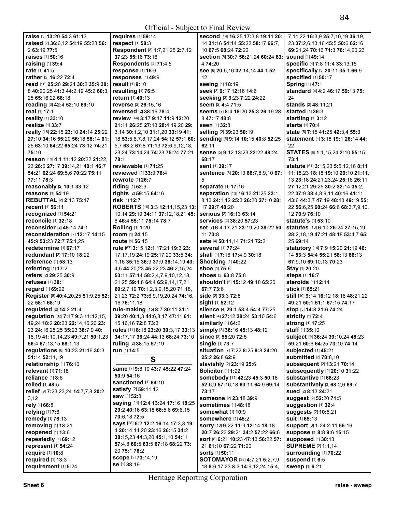| raise [3] 13:20 54:3 61:13                | requires [1] 59:14                                             | second [14] 16:25 17:3,8 19:11 20:                                      | 7,11,22 16:3,9 25:7,10,19 36:19,                |
|-------------------------------------------|----------------------------------------------------------------|-------------------------------------------------------------------------|-------------------------------------------------|
| raised [7] 36:6,12 54:19 55:23 56:        | respect [1] 58:3                                               | 14 31:16 54:14 55:22 58:17 66:7,                                        | 23 37:2,6,13,16 45:5 50:6 62:16                 |
| 2 63:19 77:5                              | Respondent [8] 1:7,21,25 2:7,12                                | 10 67:5 68:24 72:22                                                     | 69:21,24 70:16 71:3 76:14,20,23                 |
| <b>raises</b> [1] <b>50:</b> 16           | 37:23 55:16 73:16                                              | section [6] 30:7 56:21,24 60:24 63:                                     | <b>sound</b> [1] 49:14                          |
| raising [1] 39:4                          | Respondents [2] 71:4,5                                         | 4 74:20                                                                 | specific [4] 7:8 11:4 33:13,15                  |
| rate [1] 41:5                             | response [1] 16:6                                              | See [6] 20:5, 16 32:14, 14 44:1 52:                                     | specifically [3] 20:11 35:1 66:9                |
| rather [2] 16:22 72:4                     | responses [1] 49:9                                             | 12                                                                      | specified [1] 50:17                             |
| read [16] 25:20 29:24 30:2 35:9 38:       | result [1] 9:10                                                | seeing [1] 18:19                                                        | Spring [1] 47:1                                 |
| 8 40:20,25 41:3 44:2,19 45:2 60:3,        | resulting [1] 76:5                                             | seek [3] 9:17 12:16 14:6                                                | standard [4] 4:2 46:17 59:13 75:                |
| 25 65:16,22 68:18                         | return [1] 40:13                                               | seeking [3] 3:23 7:22 24:22                                             | 24                                              |
| reading [3] 42:4 52:10 69:10              | reverse [2] 26:15.16                                           | seem [2] 4:4 71:5                                                       | stands [2] 48:11,21                             |
| real [1] 17:1                             | reversed [2] 38:16 78:4                                        | seems [7] 8:4 18:20 25:3 26:19 28:                                      | started [1] 36:3                                |
| reality [1] 33:10                         | review [44] 3:17 9:17 11:9 12:20                               | 8 47:17 48:8                                                            | startling [1] 3:12                              |
| realize [1] 33:7                          | 21:11 26:25 27:13 28:4,19,20 29:                               | seen [1] 32:8                                                           | <b>starts</b> [1] 70:4                          |
| really [16] 22:15 23:10 24:14 25:22       | 3,14 30:1,2,10 31:1,20 33:19 41:                               | selling [2] 39:23 50:19                                                 | state [5] 7:15 41:25 42:3,4 55:3                |
| 27:10 34:16 55:20 56:18 58:14 61:         | 18 53:5,6,7,8,17,24 54:12 57:1 60:                             | sending [5] 9:14 10:15 40:8 52:25                                       | statement [4] 3:18 19:1 26:14 44:               |
| 25 63:10 64:22 65:24 73:12 74:21          | 5,7 63:2 67:8 71:13 72:6,9,12,18,                              | 62:11                                                                   | 22                                              |
| 75:10                                     | 23,24 73:14,24 74:23 75:24 77:21                               | sense [5] 9:12 13:23 22:22 48:24                                        | STATES [6] 1:1, 15, 24 2:10 55:15               |
| reason [19] 4:1 11:12 20:22 21:22,        | 78:1                                                           | 68:17                                                                   | 73:1                                            |
| 23 26:6 27:17 39:14,21 40:1 46:7          | reviewable [1] 71:25                                           | sent [1] 39:17                                                          | statute [51] 3:15,23 5:5,12,16 8:11             |
| 54:21 62:24 69:5,6 70:22 75:11            | reviewed [2] 33:9 76:4                                         | sentence [6] 20:13 66:7,8,9,10 67:                                      | 11:18,23 18:18 19:10 20:10 21:11,               |
| 77:11 78:3                                | rewrote [1] 26:7                                               | 5                                                                       | 13 23:18 24:21,23,24 25:16 26:11                |
| reasonably [2] 10:1 33:12                 | riding [1] 52:9                                                | separate [1] 17:16                                                      | 27:12,21 29:25 30:2 32:14 35:2,                 |
| reasons [1] 54:19                         | rights [2] 59:15 64:16                                         | separation [13] 16:13 21:25 23:1,                                       | 22 37:9 38:4,8,9,11 40:16 41:11                 |
| <b>REBUTTAL [2] 2:13 75:17</b>            | risk [1] 12:7                                                  | 8,13 24:1,12 25:3 26:20 27:10 28:                                       | 43:6 44:3,7 47:19 48:13 49:19 55:               |
| recent [1] 56:11                          | ROBERTS [16] 3:3 12:11,15,23 13:                               | 17 29:7 48:20                                                           | 22 56:6,25 60:24 66:6 68:3,7,9,10,              |
| recognized [1] 54:21                      | 10,14 29:19 34:11 37:12,18,21 45:                              | serious [2] 16:13 63:14                                                 | 12 70:9 76:10                                   |
| reconcile [1] 32:18                       | 6 46:4 55:11 75:14 78:7                                        | <b>services</b> [2] 38:20 57:23                                         | <b>statute's</b> [1] <b>53:10</b>               |
| reconsider [2] 45:14 74:1                 | Rolling [1] 1:20                                               | set [7] 6:4 17:21 23:19,20 39:22 50:                                    | statutes [13] 6:10 26:24 27:15,19               |
| reconsideration [7] 12:17 14:15           | room [1] 24:15                                                 | 11 73:8                                                                 | 28:2, 18, 19 47: 21 48: 18 53: 4, 7 65:         |
| 45:9 53:23 72:7 75:1,25                   | <b>route</b> [1] 56:15                                         | sets [4] 50:11,14 71:21 72:2                                            | 25 69:14                                        |
| redetermine $[1]$ 67:17                   | rule [67] 3:15 12:1 17:21 19:3 23:                             | <b>several</b> [1] 77:24                                                | statutory [14] 7:9 15:20 21:19 46:              |
| <b>redundant</b> [2] 17:10 18:22          | 17, 17, 19 24: 19 25: 17, 20 33: 5 34:                         | shall [4] 7:16 17:4,9 30:18                                             | 14 53:3 54:4 55:21 58:13 66:13                  |
| reference [1] 58:13                       | 1,16 35:15 36:9 37:9 38:14,19 43:                              | <b>Shocking [1] 40:22</b>                                               | 67:9,10 69:10,13 70:23                          |
| referring [1] 17:2                        | 4,5 44:20,23 45:22,23 46:2,15,24                               | <b>shoe</b> [1] <b>75:</b> 6                                            | Stay [1] 20:20                                  |
| refers [2] 29:25 30:9                     | 53:11 57:14 58:2,4,7,9,10,12,18,                               | shoes [2] 63:8 75:8                                                     | steps [1] 16:7                                  |
| <b>refuses</b> [1] 38:1                   | 21,25 59:4,6 64:4 65:9,14,17,21                                | shouldn't [5] 15:12 49:18 65:20                                         | steroids [1] 12:14                              |
| regard [1] 69:22                          | 69:2,7,19 70:1,2,3,9,15,20 71:18,                              | 67:7 73:6                                                               | stick [1] 65:21                                 |
| Register [8] 40:4,20,25 51:9,25 52:       | 21,23 72:2 73:6,9,19,20,24 74:16,                              | <b>side</b> [2] <b>33:3 72:</b> 8                                       | still [10] 9:14 16:12 18:16 48:21,22            |
| 22 58:1 68:19                             | 16 76:11,18                                                    | sight [1] 52:12                                                         | 49:21 50:1 51:1 67:15 74:17                     |
| regulated [2] 14:2 21:4                   | rule-making [15] 8:7 30:11 31:1                                | silence [4] 29:1 53:4 54:4 77:25                                        | stop [3] 14:8 21:6 74:24                        |
| regulation [32] 7:17 9:3 11:12,15,        | 39:20 40:1,3 44:6,8,17 47:11 61:                               | silent [4] 27:12 28:24 53:10 54:6                                       | strictly [1] 72:4                               |
| 19,24 18:2 20:23 22:14,16,20 23:          | 15, 16, 16 72: 8 73: 3                                         | similarly [1] 64:2                                                      | Strong [1] 17:25                                |
| 23 24:16,25,25 35:23 38:7,9 40:           | rules [11] 8:18 23:20 30:3,17 33:13                            | simply [3] 36:16 45:13 48:12                                            | stuff [1] 35:10                                 |
| 16,19 41:10,14,23 49:7,21 50:1,23         | 34:17,17 36:24 44:13 68:24 73:10                               | since [2] 55:20 72:5                                                    | Subject [9] 36:24 39:10,24 48:23                |
| 56:4 67:13,15 68:1,13                     | ruling [2] 38:15 57:19                                         | single [1] 73:7                                                         | 59:21 60:6 64:25 73:10 74:14                    |
| regulations [6] 10:23 21:16 30:3          | run [1] 14:5                                                   | situation [7] 7:22 8:25 9:8 24:20                                       | subjected [1] 45:21                             |
| 51:14 52:11,19                            | S                                                              | 25:2 26:8 62:9                                                          | <b>submitted</b> [2] 78:8,10                    |
| relationship [1] 76:10                    | same [7] 9:8,10 43:7 45:22 47:24                               | slavishly [2] 23:19 25:6                                                | subsequent [2] 13:21 70:14                      |
| relevant [1] 71:18                        | 50:9 54:16                                                     | <b>Solicitor</b> [1] <b>1:22</b>                                        | subsequently [2] 20:10 31:22                    |
| reliance [1] 8:6                          | sanctioned [1] 64:10                                           | somebody [11] 42:23 45:3 50:16                                          | substantive [1] 68:23                           |
| relied [1] 48:5                           | satisfy [2] 59:11,12                                           | 52:6,9 57:16,18 63:11 64:9 69:14                                        | substantively [3] 68:2,6 69:7                   |
| relief [9] 7:23,23,24 14:7,7,8 20:2,      | saw [1] 52:8                                                   | 73:17                                                                   | <b>sued</b> [2] 8:13 24:21                      |
| 3,12                                      | saying [14] 12:4 13:24 17:16 18:25                             | <b>someone</b> [2] 23:18 39:9                                           | <b>suggest [2] 52:20 71:5</b>                   |
| rely [1] 66:8<br>relying $[1]$ 7:6        | 29:2 40:16 63:18 68:5,6 69:6,15                                | <b>sometimes</b> [1] 48:18<br><b>somewhat</b> [1] <b>10:</b> 9          | Suggestion [1] 32:4<br>suggests [2] 10:5,21     |
|                                           | 70:6,1872:5                                                    |                                                                         |                                                 |
| remedy [1] 76:13                          | says [28] 6:2 12:2 16:14 17:3,8 19:                            | <b>somewhere</b> [1] 45:2                                               | suit [1] 65:13                                  |
| removing [1] 18:21                        | 4 <b>20:</b> 14,14,20 <b>23:</b> 16 <b>26:</b> 15 <b>34:</b> 2 | sorry [10] 9:22 11:9 12:14 18:18                                        | support [3] 1:24 2:11 55:16                     |
| reopened [1] 13:6<br>repeatedly [1] 69:12 | 38:15,23 44:3,20 45:1,10 54:11                                 | 20:7 26:23 29:21 34:2 57:22 66:6<br>sort [8] 6:21 10:23 47:13 56:22 57: | suppose [3] 8:8 9:6 15:15<br>supposed [1] 30:13 |
| represent [1] 54:24                       | 57:4,8 60:5 63:5 67:18 68:22 73:                               | 21 61:10 67:22 71:20                                                    | <b>SUPREME [2] 1:1,14</b>                       |
| require [1] 10:8                          | 20 75:1 78:2                                                   | <b>sorts</b> [1] 50:11                                                  | Surrounding [1] 70:22                           |
| required [1] 13:3                         | <b>scope</b> [2] 73:14,19                                      | <b>SOTOMAYOR</b> [38] <b>4:7,21 5:2,7,9,</b>                            | suspend [1] 6:5                                 |
| requirement [1] 5:24                      | se [1] 38:19                                                   | 18 6:6, 17, 23 8:3 14:9, 12, 24 15:4,                                   | sweep [1] 6:21                                  |
|                                           |                                                                |                                                                         |                                                 |